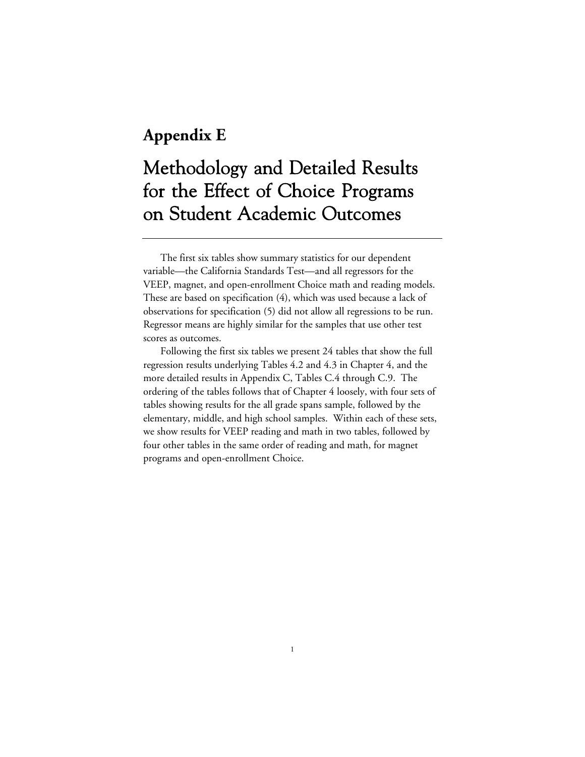# **Appendix E**

# Methodology and Detailed Results for the Effect of Choice Programs on Student Academic Outcomes

The first six tables show summary statistics for our dependent variable—the California Standards Test—and all regressors for the VEEP, magnet, and open-enrollment Choice math and reading models. These are based on specification (4), which was used because a lack of observations for specification (5) did not allow all regressions to be run. Regressor means are highly similar for the samples that use other test scores as outcomes.

Following the first six tables we present 24 tables that show the full regression results underlying Tables 4.2 and 4.3 in Chapter 4, and the more detailed results in Appendix C, Tables C.4 through C.9. The ordering of the tables follows that of Chapter 4 loosely, with four sets of tables showing results for the all grade spans sample, followed by the elementary, middle, and high school samples. Within each of these sets, we show results for VEEP reading and math in two tables, followed by four other tables in the same order of reading and math, for magnet programs and open-enrollment Choice.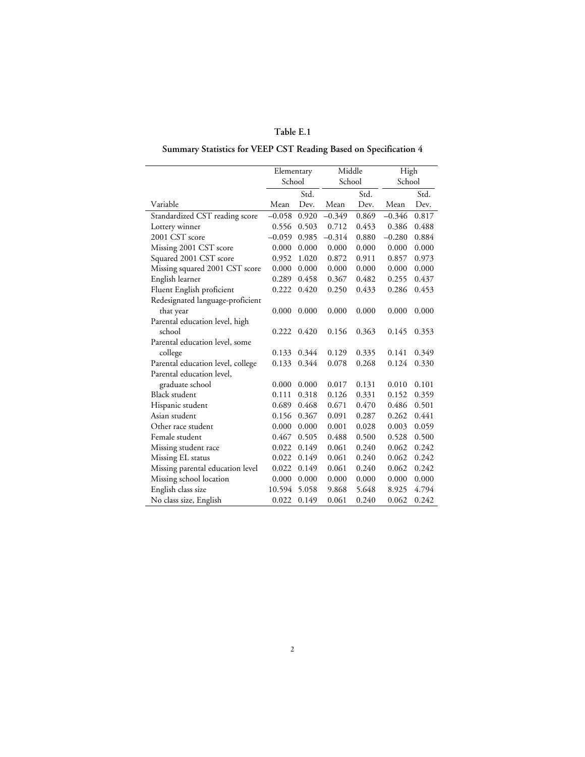# **Summary Statistics for VEEP CST Reading Based on Specification 4**

|                                   | Elementary |       | Middle   |       | High     |       |
|-----------------------------------|------------|-------|----------|-------|----------|-------|
|                                   | School     |       | School   |       | School   |       |
|                                   |            | Std.  |          | Std.  |          | Std.  |
| Variable                          | Mean       | Dev.  | Mean     | Dev.  | Mean     | Dev.  |
| Standardized CST reading score    | $-0.058$   | 0.920 | $-0.349$ | 0.869 | $-0.346$ | 0.817 |
| Lottery winner                    | 0.556      | 0.503 | 0.712    | 0.453 | 0.386    | 0.488 |
| 2001 CST score                    | $-0.059$   | 0.985 | $-0.314$ | 0.880 | $-0.280$ | 0.884 |
| Missing 2001 CST score            | 0.000      | 0.000 | 0.000    | 0.000 | 0.000    | 0.000 |
| Squared 2001 CST score            | 0.952      | 1.020 | 0.872    | 0.911 | 0.857    | 0.973 |
| Missing squared 2001 CST score    | 0.000      | 0.000 | 0.000    | 0.000 | 0.000    | 0.000 |
| English learner                   | 0.289      | 0.458 | 0.367    | 0.482 | 0.255    | 0.437 |
| Fluent English proficient         | 0.222      | 0.420 | 0.250    | 0.433 | 0.286    | 0.453 |
| Redesignated language-proficient  |            |       |          |       |          |       |
| that year                         | 0.000      | 0.000 | 0.000    | 0.000 | 0.000    | 0.000 |
| Parental education level, high    |            |       |          |       |          |       |
| school                            | 0.222      | 0.420 | 0.156    | 0.363 | 0.145    | 0.353 |
| Parental education level, some    |            |       |          |       |          |       |
| college                           | 0.133      | 0.344 | 0.129    | 0.335 | 0.141    | 0.349 |
| Parental education level, college | 0.133      | 0.344 | 0.078    | 0.268 | 0.124    | 0.330 |
| Parental education level,         |            |       |          |       |          |       |
| graduate school                   | 0.000      | 0.000 | 0.017    | 0.131 | 0.010    | 0.101 |
| Black student                     | 0.111      | 0.318 | 0.126    | 0.331 | 0.152    | 0.359 |
| Hispanic student                  | 0.689      | 0.468 | 0.671    | 0.470 | 0.486    | 0.501 |
| Asian student                     | 0.156      | 0.367 | 0.091    | 0.287 | 0.262    | 0.441 |
| Other race student                | 0.000      | 0.000 | 0.001    | 0.028 | 0.003    | 0.059 |
| Female student                    | 0.467      | 0.505 | 0.488    | 0.500 | 0.528    | 0.500 |
| Missing student race              | 0.022      | 0.149 | 0.061    | 0.240 | 0.062    | 0.242 |
| Missing EL status                 | 0.022      | 0.149 | 0.061    | 0.240 | 0.062    | 0.242 |
| Missing parental education level  | 0.022      | 0.149 | 0.061    | 0.240 | 0.062    | 0.242 |
| Missing school location           | 0.000      | 0.000 | 0.000    | 0.000 | 0.000    | 0.000 |
| English class size                | 10.594     | 5.058 | 9.868    | 5.648 | 8.925    | 4.794 |
| No class size, English            | 0.022      | 0.149 | 0.061    | 0.240 | 0.062    | 0.242 |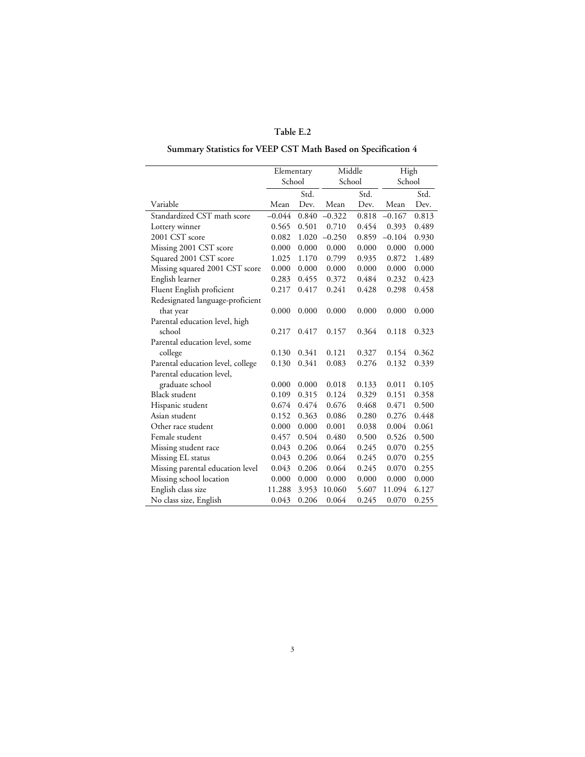# **Summary Statistics for VEEP CST Math Based on Specification 4**

|                                   | Elementary |       | Middle   |        | High     |        |
|-----------------------------------|------------|-------|----------|--------|----------|--------|
|                                   | School     |       |          | School |          | School |
|                                   |            | Std.  |          | Std.   |          | Std.   |
| Variable                          | Mean       | Dev.  | Mean     | Dev.   | Mean     | Dev.   |
| Standardized CST math score       | $-0.044$   | 0.840 | $-0.322$ | 0.818  | $-0.167$ | 0.813  |
| Lottery winner                    | 0.565      | 0.501 | 0.710    | 0.454  | 0.393    | 0.489  |
| 2001 CST score                    | 0.082      | 1.020 | $-0.250$ | 0.859  | $-0.104$ | 0.930  |
| Missing 2001 CST score            | 0.000      | 0.000 | 0.000    | 0.000  | 0.000    | 0.000  |
| Squared 2001 CST score            | 1.025      | 1.170 | 0.799    | 0.935  | 0.872    | 1.489  |
| Missing squared 2001 CST score    | 0.000      | 0.000 | 0.000    | 0.000  | 0.000    | 0.000  |
| English learner                   | 0.283      | 0.455 | 0.372    | 0.484  | 0.232    | 0.423  |
| Fluent English proficient         | 0.217      | 0.417 | 0.241    | 0.428  | 0.298    | 0.458  |
| Redesignated language-proficient  |            |       |          |        |          |        |
| that year                         | 0.000      | 0.000 | 0.000    | 0.000  | 0.000    | 0.000  |
| Parental education level, high    |            |       |          |        |          |        |
| school                            | 0.217      | 0.417 | 0.157    | 0.364  | 0.118    | 0.323  |
| Parental education level, some    |            |       |          |        |          |        |
| college                           | 0.130      | 0.341 | 0.121    | 0.327  | 0.154    | 0.362  |
| Parental education level, college | 0.130      | 0.341 | 0.083    | 0.276  | 0.132    | 0.339  |
| Parental education level,         |            |       |          |        |          |        |
| graduate school                   | 0.000      | 0.000 | 0.018    | 0.133  | 0.011    | 0.105  |
| <b>Black student</b>              | 0.109      | 0.315 | 0.124    | 0.329  | 0.151    | 0.358  |
| Hispanic student                  | 0.674      | 0.474 | 0.676    | 0.468  | 0.471    | 0.500  |
| Asian student                     | 0.152      | 0.363 | 0.086    | 0.280  | 0.276    | 0.448  |
| Other race student                | 0.000      | 0.000 | 0.001    | 0.038  | 0.004    | 0.061  |
| Female student                    | 0.457      | 0.504 | 0.480    | 0.500  | 0.526    | 0.500  |
| Missing student race              | 0.043      | 0.206 | 0.064    | 0.245  | 0.070    | 0.255  |
| Missing EL status                 | 0.043      | 0.206 | 0.064    | 0.245  | 0.070    | 0.255  |
| Missing parental education level  | 0.043      | 0.206 | 0.064    | 0.245  | 0.070    | 0.255  |
| Missing school location           | 0.000      | 0.000 | 0.000    | 0.000  | 0.000    | 0.000  |
| English class size                | 11.288     | 3.953 | 10.060   | 5.607  | 11.094   | 6.127  |
| No class size, English            | 0.043      | 0.206 | 0.064    | 0.245  | 0.070    | 0.255  |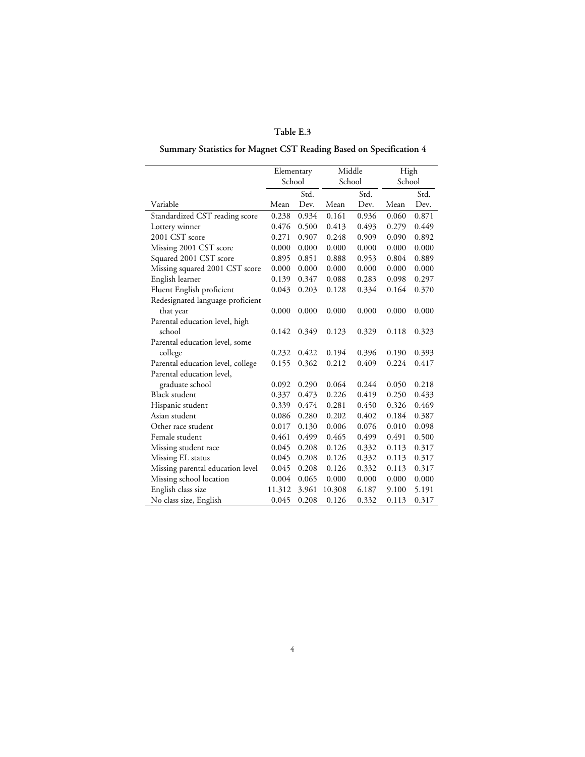# **Summary Statistics for Magnet CST Reading Based on Specification 4**

|                                   | Elementary |       | Middle |        | High  |        |
|-----------------------------------|------------|-------|--------|--------|-------|--------|
|                                   | School     |       |        | School |       | School |
|                                   |            | Std.  |        | Std.   |       | Std.   |
| Variable                          | Mean       | Dev.  | Mean   | Dev.   | Mean  | Dev.   |
| Standardized CST reading score    | 0.238      | 0.934 | 0.161  | 0.936  | 0.060 | 0.871  |
| Lottery winner                    | 0.476      | 0.500 | 0.413  | 0.493  | 0.279 | 0.449  |
| 2001 CST score                    | 0.271      | 0.907 | 0.248  | 0.909  | 0.090 | 0.892  |
| Missing 2001 CST score            | 0.000      | 0.000 | 0.000  | 0.000  | 0.000 | 0.000  |
| Squared 2001 CST score            | 0.895      | 0.851 | 0.888  | 0.953  | 0.804 | 0.889  |
| Missing squared 2001 CST score    | 0.000      | 0.000 | 0.000  | 0.000  | 0.000 | 0.000  |
| English learner                   | 0.139      | 0.347 | 0.088  | 0.283  | 0.098 | 0.297  |
| Fluent English proficient         | 0.043      | 0.203 | 0.128  | 0.334  | 0.164 | 0.370  |
| Redesignated language-proficient  |            |       |        |        |       |        |
| that year                         | 0.000      | 0.000 | 0.000  | 0.000  | 0.000 | 0.000  |
| Parental education level, high    |            |       |        |        |       |        |
| school                            | 0.142      | 0.349 | 0.123  | 0.329  | 0.118 | 0.323  |
| Parental education level, some    |            |       |        |        |       |        |
| college                           | 0.232      | 0.422 | 0.194  | 0.396  | 0.190 | 0.393  |
| Parental education level, college | 0.155      | 0.362 | 0.212  | 0.409  | 0.224 | 0.417  |
| Parental education level,         |            |       |        |        |       |        |
| graduate school                   | 0.092      | 0.290 | 0.064  | 0.244  | 0.050 | 0.218  |
| <b>Black student</b>              | 0.337      | 0.473 | 0.226  | 0.419  | 0.250 | 0.433  |
| Hispanic student                  | 0.339      | 0.474 | 0.281  | 0.450  | 0.326 | 0.469  |
| Asian student                     | 0.086      | 0.280 | 0.202  | 0.402  | 0.184 | 0.387  |
| Other race student                | 0.017      | 0.130 | 0.006  | 0.076  | 0.010 | 0.098  |
| Female student                    | 0.461      | 0.499 | 0.465  | 0.499  | 0.491 | 0.500  |
| Missing student race              | 0.045      | 0.208 | 0.126  | 0.332  | 0.113 | 0.317  |
| Missing EL status                 | 0.045      | 0.208 | 0.126  | 0.332  | 0.113 | 0.317  |
| Missing parental education level  | 0.045      | 0.208 | 0.126  | 0.332  | 0.113 | 0.317  |
| Missing school location           | 0.004      | 0.065 | 0.000  | 0.000  | 0.000 | 0.000  |
| English class size                | 11.312     | 3.961 | 10.308 | 6.187  | 9.100 | 5.191  |
| No class size, English            | 0.045      | 0.208 | 0.126  | 0.332  | 0.113 | 0.317  |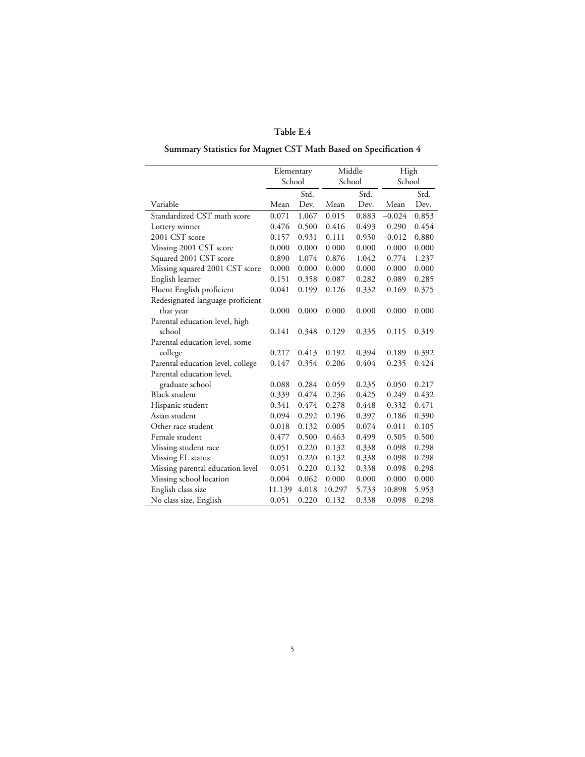# **Summary Statistics for Magnet CST Math Based on Specification 4**

| School<br>School<br>School<br>Std.<br>Std.<br>Std.<br>Variable<br>Mean<br>Dev.<br>Mean<br>Dev.<br>Mean<br>Dev.<br>Standardized CST math score<br>$-0.024$<br>0.071<br>1.067<br>0.015<br>0.883<br>0.853<br>0.493<br>0.476<br>0.500<br>0.416<br>0.290<br>0.454<br>Lottery winner<br>2001 CST score<br>$-0.012$<br>0.880<br>0.157<br>0.931<br>0.111<br>0.930 |
|-----------------------------------------------------------------------------------------------------------------------------------------------------------------------------------------------------------------------------------------------------------------------------------------------------------------------------------------------------------|
|                                                                                                                                                                                                                                                                                                                                                           |
|                                                                                                                                                                                                                                                                                                                                                           |
|                                                                                                                                                                                                                                                                                                                                                           |
|                                                                                                                                                                                                                                                                                                                                                           |
|                                                                                                                                                                                                                                                                                                                                                           |
|                                                                                                                                                                                                                                                                                                                                                           |
| Missing 2001 CST score<br>0.000<br>0.000<br>0.000<br>0.000<br>0.000<br>0.000                                                                                                                                                                                                                                                                              |
| Squared 2001 CST score<br>1.042<br>0.890<br>1.074<br>0.876<br>0.774<br>1.237                                                                                                                                                                                                                                                                              |
| Missing squared 2001 CST score<br>0.000<br>0.000<br>0.000<br>0.000<br>0.000<br>0.000                                                                                                                                                                                                                                                                      |
| English learner<br>0.089<br>0.151<br>0.358<br>0.087<br>0.282<br>0.285                                                                                                                                                                                                                                                                                     |
| Fluent English proficient<br>0.041<br>0.199<br>0.126<br>0.332<br>0.169<br>0.375                                                                                                                                                                                                                                                                           |
| Redesignated language-proficient                                                                                                                                                                                                                                                                                                                          |
| 0.000<br>0.000<br>0.000<br>0.000<br>0.000<br>0.000<br>that year                                                                                                                                                                                                                                                                                           |
| Parental education level, high                                                                                                                                                                                                                                                                                                                            |
| school<br>0.141<br>0.348<br>0.129<br>0.335<br>0.115<br>0.319                                                                                                                                                                                                                                                                                              |
| Parental education level, some                                                                                                                                                                                                                                                                                                                            |
| college<br>0.217<br>0.413<br>0.394<br>0.189<br>0.192<br>0.392                                                                                                                                                                                                                                                                                             |
| 0.404<br>0.424<br>Parental education level, college<br>0.147<br>0.354<br>0.206<br>0.235                                                                                                                                                                                                                                                                   |
| Parental education level,                                                                                                                                                                                                                                                                                                                                 |
| graduate school<br>0.088<br>0.284<br>0.059<br>0.235<br>0.050<br>0.217                                                                                                                                                                                                                                                                                     |
| <b>Black student</b><br>0.425<br>0.249<br>0.339<br>0.474<br>0.236<br>0.432                                                                                                                                                                                                                                                                                |
| 0.474<br>0.448<br>0.471<br>Hispanic student<br>0.341<br>0.278<br>0.332                                                                                                                                                                                                                                                                                    |
| Asian student<br>0.094<br>0.292<br>0.196<br>0.397<br>0.186<br>0.390                                                                                                                                                                                                                                                                                       |
| 0.132<br>0.011<br>0.105<br>Other race student<br>0.018<br>0.005<br>0.074                                                                                                                                                                                                                                                                                  |
| Female student<br>0.477<br>0.463<br>0.499<br>0.500<br>0.505<br>0.500                                                                                                                                                                                                                                                                                      |
| Missing student race<br>0.051<br>0.220<br>0.132<br>0.338<br>0.098<br>0.298                                                                                                                                                                                                                                                                                |
| Missing EL status<br>0.220<br>0.338<br>0.098<br>0.298<br>0.051<br>0.132                                                                                                                                                                                                                                                                                   |
| Missing parental education level<br>0.220<br>0.338<br>0.298<br>0.051<br>0.132<br>0.098                                                                                                                                                                                                                                                                    |
| Missing school location<br>0.062<br>0.004<br>0.000<br>0.000<br>0.000<br>0.000                                                                                                                                                                                                                                                                             |
| English class size<br>4.018<br>10.297<br>10.898<br>11.139<br>5.733<br>5.953                                                                                                                                                                                                                                                                               |
| No class size, English<br>0.220<br>0.051<br>0.132<br>0.338<br>0.098<br>0.298                                                                                                                                                                                                                                                                              |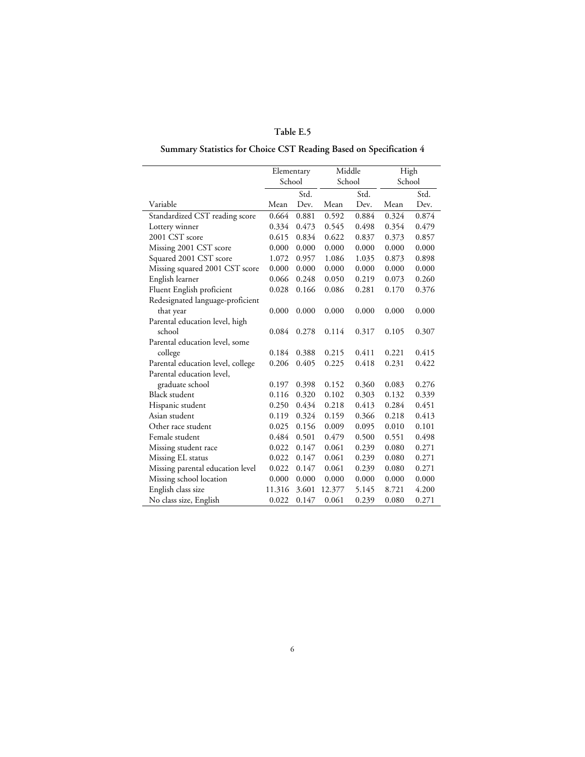# **Summary Statistics for Choice CST Reading Based on Specification 4**

|                                   |        | Elementary |        | Middle |       | High   |
|-----------------------------------|--------|------------|--------|--------|-------|--------|
|                                   |        | School     |        | School |       | School |
|                                   |        | Std.       |        | Std.   |       | Std.   |
| Variable                          | Mean   | Dev.       | Mean   | Dev.   | Mean  | Dev.   |
| Standardized CST reading score    | 0.664  | 0.881      | 0.592  | 0.884  | 0.324 | 0.874  |
| Lottery winner                    | 0.334  | 0.473      | 0.545  | 0.498  | 0.354 | 0.479  |
| 2001 CST score                    | 0.615  | 0.834      | 0.622  | 0.837  | 0.373 | 0.857  |
| Missing 2001 CST score            | 0.000  | 0.000      | 0.000  | 0.000  | 0.000 | 0.000  |
| Squared 2001 CST score            | 1.072  | 0.957      | 1.086  | 1.035  | 0.873 | 0.898  |
| Missing squared 2001 CST score    | 0.000  | 0.000      | 0.000  | 0.000  | 0.000 | 0.000  |
| English learner                   | 0.066  | 0.248      | 0.050  | 0.219  | 0.073 | 0.260  |
| Fluent English proficient         | 0.028  | 0.166      | 0.086  | 0.281  | 0.170 | 0.376  |
| Redesignated language-proficient  |        |            |        |        |       |        |
| that year                         | 0.000  | 0.000      | 0.000  | 0.000  | 0.000 | 0.000  |
| Parental education level, high    |        |            |        |        |       |        |
| school                            | 0.084  | 0.278      | 0.114  | 0.317  | 0.105 | 0.307  |
| Parental education level, some    |        |            |        |        |       |        |
| college                           | 0.184  | 0.388      | 0.215  | 0.411  | 0.221 | 0.415  |
| Parental education level, college | 0.206  | 0.405      | 0.225  | 0.418  | 0.231 | 0.422  |
| Parental education level,         |        |            |        |        |       |        |
| graduate school                   | 0.197  | 0.398      | 0.152  | 0.360  | 0.083 | 0.276  |
| <b>Black student</b>              | 0.116  | 0.320      | 0.102  | 0.303  | 0.132 | 0.339  |
| Hispanic student                  | 0.250  | 0.434      | 0.218  | 0.413  | 0.284 | 0.451  |
| Asian student                     | 0.119  | 0.324      | 0.159  | 0.366  | 0.218 | 0.413  |
| Other race student                | 0.025  | 0.156      | 0.009  | 0.095  | 0.010 | 0.101  |
| Female student                    | 0.484  | 0.501      | 0.479  | 0.500  | 0.551 | 0.498  |
| Missing student race              | 0.022  | 0.147      | 0.061  | 0.239  | 0.080 | 0.271  |
| Missing EL status                 | 0.022  | 0.147      | 0.061  | 0.239  | 0.080 | 0.271  |
| Missing parental education level  | 0.022  | 0.147      | 0.061  | 0.239  | 0.080 | 0.271  |
| Missing school location           | 0.000  | 0.000      | 0.000  | 0.000  | 0.000 | 0.000  |
| English class size                | 11.316 | 3.601      | 12.377 | 5.145  | 8.721 | 4.200  |
| No class size, English            | 0.022  | 0.147      | 0.061  | 0.239  | 0.080 | 0.271  |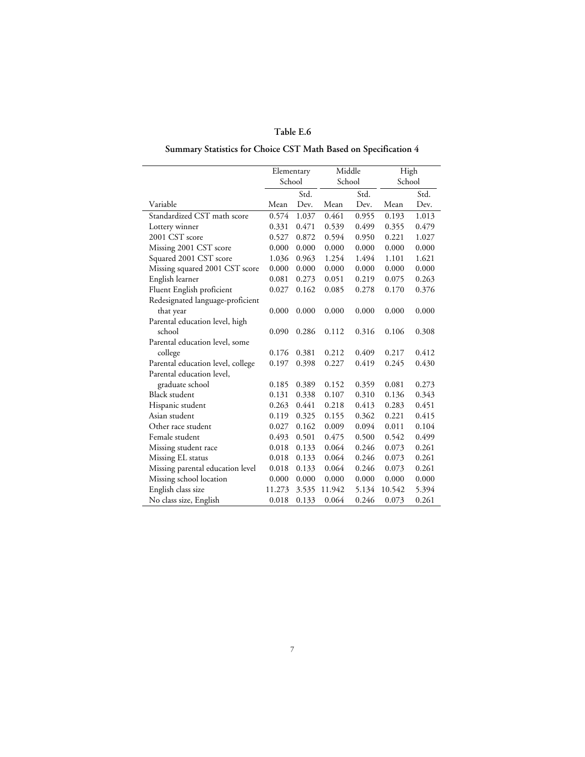# **Summary Statistics for Choice CST Math Based on Specification 4**

|                                   | Elementary |       | Middle |        | High   |        |
|-----------------------------------|------------|-------|--------|--------|--------|--------|
|                                   | School     |       |        | School |        | School |
|                                   |            | Std.  |        | Std.   |        | Std.   |
| Variable                          | Mean       | Dev.  | Mean   | Dev.   | Mean   | Dev.   |
| Standardized CST math score       | 0.574      | 1.037 | 0.461  | 0.955  | 0.193  | 1.013  |
| Lottery winner                    | 0.331      | 0.471 | 0.539  | 0.499  | 0.355  | 0.479  |
| 2001 CST score                    | 0.527      | 0.872 | 0.594  | 0.950  | 0.221  | 1.027  |
| Missing 2001 CST score            | 0.000      | 0.000 | 0.000  | 0.000  | 0.000  | 0.000  |
| Squared 2001 CST score            | 1.036      | 0.963 | 1.254  | 1.494  | 1.101  | 1.621  |
| Missing squared 2001 CST score    | 0.000      | 0.000 | 0.000  | 0.000  | 0.000  | 0.000  |
| English learner                   | 0.081      | 0.273 | 0.051  | 0.219  | 0.075  | 0.263  |
| Fluent English proficient         | 0.027      | 0.162 | 0.085  | 0.278  | 0.170  | 0.376  |
| Redesignated language-proficient  |            |       |        |        |        |        |
| that year                         | 0.000      | 0.000 | 0.000  | 0.000  | 0.000  | 0.000  |
| Parental education level, high    |            |       |        |        |        |        |
| school                            | 0.090      | 0.286 | 0.112  | 0.316  | 0.106  | 0.308  |
| Parental education level, some    |            |       |        |        |        |        |
| college                           | 0.176      | 0.381 | 0.212  | 0.409  | 0.217  | 0.412  |
| Parental education level, college | 0.197      | 0.398 | 0.227  | 0.419  | 0.245  | 0.430  |
| Parental education level,         |            |       |        |        |        |        |
| graduate school                   | 0.185      | 0.389 | 0.152  | 0.359  | 0.081  | 0.273  |
| <b>Black student</b>              | 0.131      | 0.338 | 0.107  | 0.310  | 0.136  | 0.343  |
| Hispanic student                  | 0.263      | 0.441 | 0.218  | 0.413  | 0.283  | 0.451  |
| Asian student                     | 0.119      | 0.325 | 0.155  | 0.362  | 0.221  | 0.415  |
| Other race student                | 0.027      | 0.162 | 0.009  | 0.094  | 0.011  | 0.104  |
| Female student                    | 0.493      | 0.501 | 0.475  | 0.500  | 0.542  | 0.499  |
| Missing student race              | 0.018      | 0.133 | 0.064  | 0.246  | 0.073  | 0.261  |
| Missing EL status                 | 0.018      | 0.133 | 0.064  | 0.246  | 0.073  | 0.261  |
| Missing parental education level  | 0.018      | 0.133 | 0.064  | 0.246  | 0.073  | 0.261  |
| Missing school location           | 0.000      | 0.000 | 0.000  | 0.000  | 0.000  | 0.000  |
| English class size                | 11.273     | 3.535 | 11.942 | 5.134  | 10.542 | 5.394  |
| No class size, English            | 0.018      | 0.133 | 0.064  | 0.246  | 0.073  | 0.261  |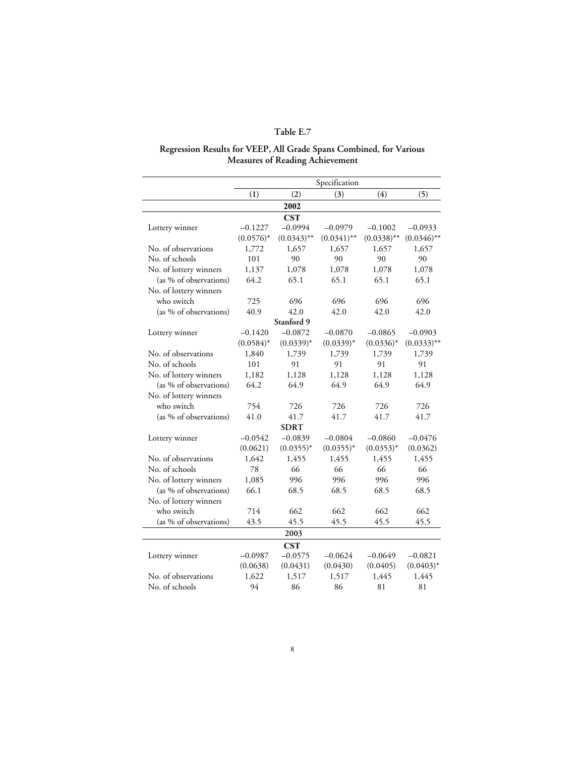#### **Regression Results for VEEP, All Grade Spans Combined, for Various Measures of Reading Achievement**

|                        | Specification |               |               |               |               |  |  |
|------------------------|---------------|---------------|---------------|---------------|---------------|--|--|
|                        | (1)           | (2)           | (3)           | (4)           | (5)           |  |  |
|                        |               | 2002          |               |               |               |  |  |
|                        |               | <b>CST</b>    |               |               |               |  |  |
| Lottery winner         | $-0.1227$     | $-0.0994$     | $-0.0979$     | $-0.1002$     | $-0.0933$     |  |  |
|                        | $(0.0576)^*$  | $(0.0343)$ ** | $(0.0341)$ ** | $(0.0338)$ ** | $(0.0346)$ ** |  |  |
| No. of observations    | 1,772         | 1,657         | 1,657         | 1,657         | 1,657         |  |  |
| No. of schools         | 101           | 90            | 90            | 90            | 90            |  |  |
| No. of lottery winners | 1,137         | 1,078         | 1,078         | 1,078         | 1,078         |  |  |
| (as % of observations) | 64.2          | 65.1          | 65.1          | 65.1          | 65.1          |  |  |
| No. of lottery winners |               |               |               |               |               |  |  |
| who switch             | 725           | 696           | 696           | 696           | 696           |  |  |
| (as % of observations) | 40.9          | 42.0          | 42.0          | 42.0          | 42.0          |  |  |
|                        |               | Stanford 9    |               |               |               |  |  |
| Lottery winner         | $-0.1420$     | $-0.0872$     | $-0.0870$     | $-0.0865$     | $-0.0903$     |  |  |
|                        | $(0.0584)^*$  | $(0.0339)*$   | $(0.0339)^*$  | $(0.0336)^*$  | $(0.0333)$ ** |  |  |
| No. of observations    | 1,840         | 1,739         | 1,739         | 1,739         | 1,739         |  |  |
| No. of schools         | 101           | 91            | 91            | 91            | 91            |  |  |
| No. of lottery winners | 1,182         | 1,128         | 1,128         | 1,128         | 1,128         |  |  |
| (as % of observations) | 64.2          | 64.9          | 64.9          | 64.9          | 64.9          |  |  |
| No. of lottery winners |               |               |               |               |               |  |  |
| who switch             | 754           | 726           | 726           | 726           | 726           |  |  |
| (as % of observations) | 41.0          | 41.7          | 41.7          | 41.7          | 41.7          |  |  |
|                        |               | <b>SDRT</b>   |               |               |               |  |  |
| Lottery winner         | $-0.0542$     | $-0.0839$     | $-0.0804$     | $-0.0860$     | $-0.0476$     |  |  |
|                        | (0.0621)      | $(0.0355)^*$  | $(0.0355)^*$  | $(0.0353)^*$  | (0.0362)      |  |  |
| No. of observations    | 1,642         | 1,455         | 1,455         | 1,455         | 1,455         |  |  |
| No. of schools         | 78            | 66            | 66            | 66            | 66            |  |  |
| No. of lottery winners | 1,085         | 996           | 996           | 996           | 996           |  |  |
| (as % of observations) | 66.1          | 68.5          | 68.5          | 68.5          | 68.5          |  |  |
| No. of lottery winners |               |               |               |               |               |  |  |
| who switch             | 714           | 662           | 662           | 662           | 662           |  |  |
| (as % of observations) | 43.5          | 45.5          | 45.5          | 45.5          | 45.5          |  |  |
|                        |               | 2003          |               |               |               |  |  |
|                        |               | <b>CST</b>    |               |               |               |  |  |
| Lottery winner         | $-0.0987$     | $-0.0575$     | $-0.0624$     | $-0.0649$     | $-0.0821$     |  |  |
|                        | (0.0638)      | (0.0431)      | (0.0430)      | (0.0405)      | $(0.0403)^*$  |  |  |
| No. of observations    | 1,622         | 1,517         | 1,517         | 1,445         | 1,445         |  |  |
| No. of schools         | 94            | 86            | 86            | 81            | 81            |  |  |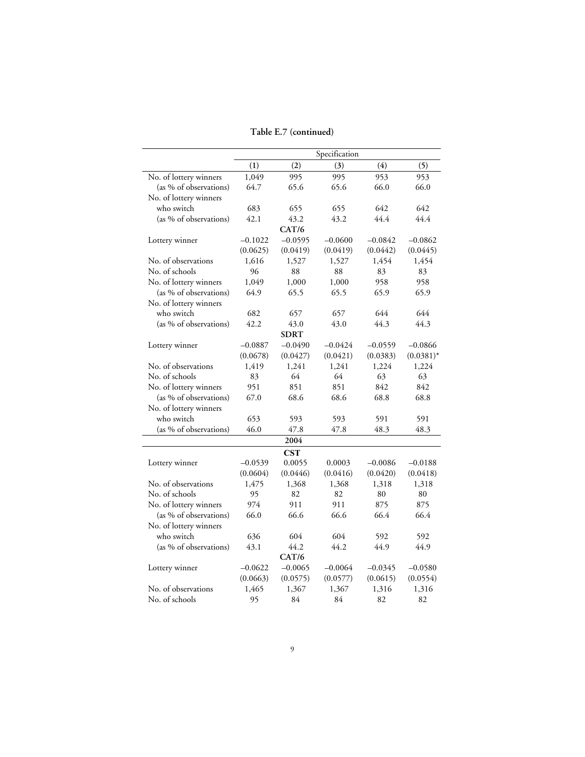**Table E.7 (continued)**

|                        |           |             | Specification |           |              |
|------------------------|-----------|-------------|---------------|-----------|--------------|
|                        | (1)       | (2)         | (3)           | (4)       | (5)          |
| No. of lottery winners | 1,049     | 995         | 995           | 953       | 953          |
| (as % of observations) | 64.7      | 65.6        | 65.6          | 66.0      | 66.0         |
| No. of lottery winners |           |             |               |           |              |
| who switch             | 683       | 655         | 655           | 642       | 642          |
| (as % of observations) | 42.1      | 43.2        | 43.2          | 44.4      | 44.4         |
|                        |           | CAT/6       |               |           |              |
| Lottery winner         | $-0.1022$ | $-0.0595$   | $-0.0600$     | $-0.0842$ | $-0.0862$    |
|                        | (0.0625)  | (0.0419)    | (0.0419)      | (0.0442)  | (0.0445)     |
| No. of observations    | 1,616     | 1,527       | 1,527         | 1,454     | 1,454        |
| No. of schools         | 96        | 88          | 88            | 83        | 83           |
| No. of lottery winners | 1,049     | 1,000       | 1,000         | 958       | 958          |
| (as % of observations) | 64.9      | 65.5        | 65.5          | 65.9      | 65.9         |
| No. of lottery winners |           |             |               |           |              |
| who switch             | 682       | 657         | 657           | 644       | 644          |
| (as % of observations) | 42.2      | 43.0        | 43.0          | 44.3      | 44.3         |
|                        |           | <b>SDRT</b> |               |           |              |
| Lottery winner         | $-0.0887$ | $-0.0490$   | $-0.0424$     | $-0.0559$ | $-0.0866$    |
|                        | (0.0678)  | (0.0427)    | (0.0421)      | (0.0383)  | $(0.0381)^*$ |
| No. of observations    | 1,419     | 1,241       | 1,241         | 1,224     | 1,224        |
| No. of schools         | 83        | 64          | 64            | 63        | 63           |
| No. of lottery winners | 951       | 851         | 851           | 842       | 842          |
| (as % of observations) | 67.0      | 68.6        | 68.6          | 68.8      | 68.8         |
| No. of lottery winners |           |             |               |           |              |
| who switch             | 653       | 593         | 593           | 591       | 591          |
| (as % of observations) | 46.0      | 47.8        | 47.8          | 48.3      | 48.3         |
|                        |           | 2004        |               |           |              |
|                        |           | <b>CST</b>  |               |           |              |
| Lottery winner         | $-0.0539$ | 0.0055      | 0.0003        | $-0.0086$ | $-0.0188$    |
|                        | (0.0604)  | (0.0446)    | (0.0416)      | (0.0420)  | (0.0418)     |
| No. of observations    | 1,475     | 1,368       | 1,368         | 1,318     | 1,318        |
| No. of schools         | 95        | 82          | 82            | 80        | 80           |
| No. of lottery winners | 974       | 911         | 911           | 875       | 875          |
| (as % of observations) | 66.0      | 66.6        | 66.6          | 66.4      | 66.4         |
| No. of lottery winners |           |             |               |           |              |
| who switch             | 636       | 604         | 604           | 592       | 592          |
| (as % of observations) | 43.1      | 44.2        | 44.2          | 44.9      | 44.9         |
|                        |           | CAT/6       |               |           |              |
| Lottery winner         | $-0.0622$ | $-0.0065$   | $-0.0064$     | $-0.0345$ | $-0.0580$    |
|                        | (0.0663)  | (0.0575)    | (0.0577)      | (0.0615)  | (0.0554)     |
| No. of observations    | 1,465     | 1,367       | 1,367         | 1,316     | 1,316        |
| No. of schools         | 95        | 84          | 84            | 82        | 82           |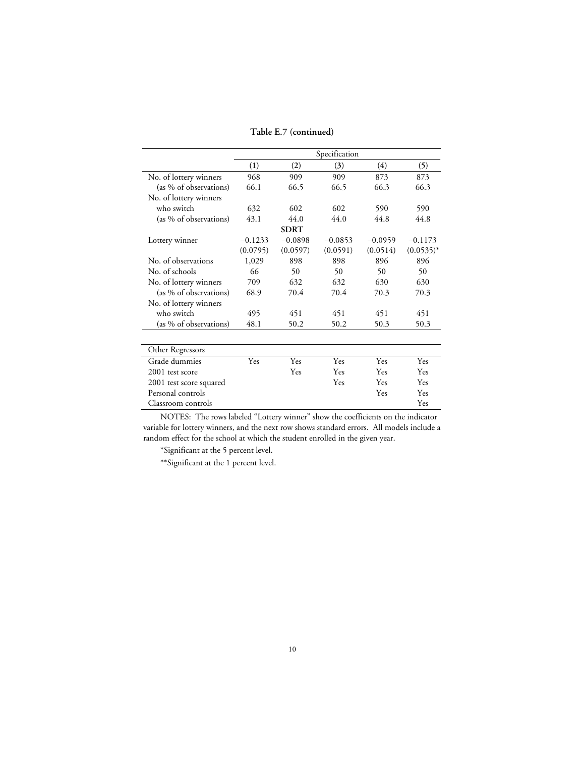**Table E.7 (continued)**

|                         | Specification |             |           |           |              |  |  |
|-------------------------|---------------|-------------|-----------|-----------|--------------|--|--|
|                         | (1)           | (2)         | (3)       | (4)       | (5)          |  |  |
| No. of lottery winners  | 968           | 909         | 909       | 873       | 873          |  |  |
| (as % of observations)  | 66.1          | 66.5        | 66.5      | 66.3      | 66.3         |  |  |
| No. of lottery winners  |               |             |           |           |              |  |  |
| who switch              | 632           | 602         | 602       | 590       | 590          |  |  |
| (as % of observations)  | 43.1          | 44.0        | 44.0      | 44.8      | 44.8         |  |  |
|                         |               | <b>SDRT</b> |           |           |              |  |  |
| Lottery winner          | $-0.1233$     | $-0.0898$   | $-0.0853$ | $-0.0959$ | $-0.1173$    |  |  |
|                         | (0.0795)      | (0.0597)    | (0.0591)  | (0.0514)  | $(0.0535)^*$ |  |  |
| No. of observations     | 1,029         | 898         | 898       | 896       | 896          |  |  |
| No. of schools          | 66            | 50          | 50        | 50        | 50           |  |  |
| No. of lottery winners  | 709           | 632         | 632       | 630       | 630          |  |  |
| (as % of observations)  | 68.9          | 70.4        | 70.4      | 70.3      | 70.3         |  |  |
| No. of lottery winners  |               |             |           |           |              |  |  |
| who switch              | 495           | 451         | 451       | 451       | 451          |  |  |
| (as % of observations)  | 48.1          | 50.2        | 50.2      | 50.3      | 50.3         |  |  |
|                         |               |             |           |           |              |  |  |
| Other Regressors        |               |             |           |           |              |  |  |
| Grade dummies           | Yes           | Yes         | Yes       | Yes       | Yes          |  |  |
| 2001 test score         |               | Yes         | Yes       | Yes       | Yes          |  |  |
| 2001 test score squared |               |             | Yes       | Yes       | Yes          |  |  |
| Personal controls       |               |             |           | Yes       | Yes          |  |  |
| Classroom controls      |               |             |           |           | Yes          |  |  |

\*Significant at the 5 percent level.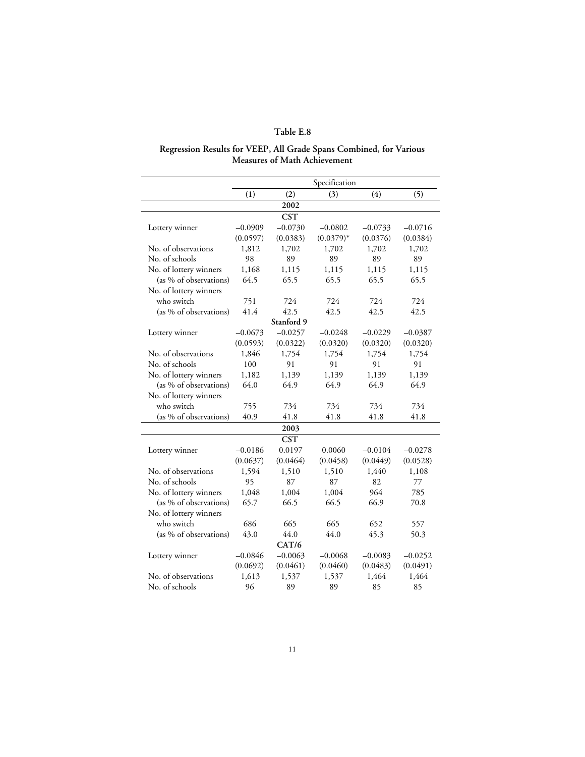#### **Regression Results for VEEP, All Grade Spans Combined, for Various Measures of Math Achievement**

|                        |           |            | Specification |           |           |
|------------------------|-----------|------------|---------------|-----------|-----------|
|                        | (1)       | (2)        | (3)           | (4)       | (5)       |
|                        |           | 2002       |               |           |           |
|                        |           | <b>CST</b> |               |           |           |
| Lottery winner         | $-0.0909$ | $-0.0730$  | $-0.0802$     | $-0.0733$ | $-0.0716$ |
|                        | (0.0597)  | (0.0383)   | $(0.0379)^*$  | (0.0376)  | (0.0384)  |
| No. of observations    | 1,812     | 1,702      | 1,702         | 1,702     | 1,702     |
| No. of schools         | 98        | 89         | 89            | 89        | 89        |
| No. of lottery winners | 1,168     | 1,115      | 1,115         | 1,115     | 1,115     |
| (as % of observations) | 64.5      | 65.5       | 65.5          | 65.5      | 65.5      |
| No. of lottery winners |           |            |               |           |           |
| who switch             | 751       | 724        | 724           | 724       | 724       |
| (as % of observations) | 41.4      | 42.5       | 42.5          | 42.5      | 42.5      |
|                        |           | Stanford 9 |               |           |           |
| Lottery winner         | $-0.0673$ | $-0.0257$  | $-0.0248$     | $-0.0229$ | $-0.0387$ |
|                        | (0.0593)  | (0.0322)   | (0.0320)      | (0.0320)  | (0.0320)  |
| No. of observations    | 1,846     | 1,754      | 1,754         | 1,754     | 1,754     |
| No. of schools         | 100       | 91         | 91            | 91        | 91        |
| No. of lottery winners | 1,182     | 1,139      | 1,139         | 1,139     | 1,139     |
| (as % of observations) | 64.0      | 64.9       | 64.9          | 64.9      | 64.9      |
| No. of lottery winners |           |            |               |           |           |
| who switch             | 755       | 734        | 734           | 734       | 734       |
| (as % of observations) | 40.9      | 41.8       | 41.8          | 41.8      | 41.8      |
|                        |           | 2003       |               |           |           |
|                        |           | <b>CST</b> |               |           |           |
| Lottery winner         | $-0.0186$ | 0.0197     | 0.0060        | $-0.0104$ | $-0.0278$ |
|                        | (0.0637)  | (0.0464)   | (0.0458)      | (0.0449)  | (0.0528)  |
| No. of observations    | 1,594     | 1,510      | 1,510         | 1,440     | 1,108     |
| No. of schools         | 95        | 87         | 87            | 82        | 77        |
| No. of lottery winners | 1,048     | 1,004      | 1,004         | 964       | 785       |
| (as % of observations) | 65.7      | 66.5       | 66.5          | 66.9      | 70.8      |
| No. of lottery winners |           |            |               |           |           |
| who switch             | 686       | 665        | 665           | 652       | 557       |
| (as % of observations) | 43.0      | 44.0       | 44.0          | 45.3      | 50.3      |
|                        |           | CAT/6      |               |           |           |
| Lottery winner         | $-0.0846$ | $-0.0063$  | $-0.0068$     | $-0.0083$ | $-0.0252$ |
|                        | (0.0692)  | (0.0461)   | (0.0460)      | (0.0483)  | (0.0491)  |
| No. of observations    | 1,613     | 1,537      | 1,537         | 1,464     | 1,464     |
| No. of schools         | 96        | 89         | 89            | 85        | 85        |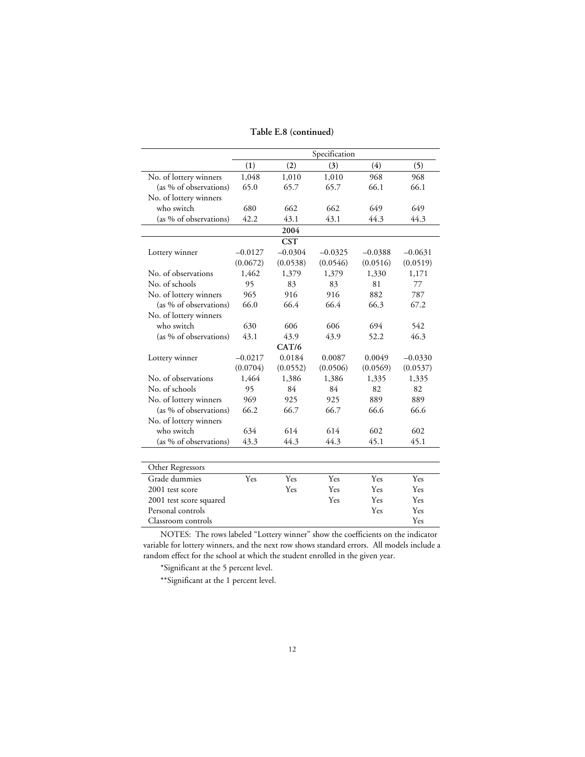|                         |           |           | Specification |           |           |  |  |  |  |
|-------------------------|-----------|-----------|---------------|-----------|-----------|--|--|--|--|
|                         | (1)       | (2)       | (3)           | (4)       | (5)       |  |  |  |  |
| No. of lottery winners  | 1,048     | 1,010     | 1,010         | 968       | 968       |  |  |  |  |
| (as % of observations)  | 65.0      | 65.7      | 65.7          | 66.1      | 66.1      |  |  |  |  |
| No. of lottery winners  |           |           |               |           |           |  |  |  |  |
| who switch              | 680       | 662       | 662           | 649       | 649       |  |  |  |  |
| (as % of observations)  | 42.2      | 43.1      | 43.1          | 44.3      | 44.3      |  |  |  |  |
|                         |           | 2004      |               |           |           |  |  |  |  |
| <b>CST</b>              |           |           |               |           |           |  |  |  |  |
| Lottery winner          | $-0.0127$ | $-0.0304$ | $-0.0325$     | $-0.0388$ | $-0.0631$ |  |  |  |  |
|                         | (0.0672)  | (0.0538)  | (0.0546)      | (0.0516)  | (0.0519)  |  |  |  |  |
| No. of observations     | 1,462     | 1,379     | 1,379         | 1,330     | 1,171     |  |  |  |  |
| No. of schools          | 95        | 83        | 83            | 81        | 77        |  |  |  |  |
| No. of lottery winners  | 965       | 916       | 916           | 882       | 787       |  |  |  |  |
| (as % of observations)  | 66.0      | 66.4      | 66.4          | 66.3      | 67.2      |  |  |  |  |
| No. of lottery winners  |           |           |               |           |           |  |  |  |  |
| who switch              | 630       | 606       | 606           | 694       | 542       |  |  |  |  |
| (as % of observations)  | 43.1      | 43.9      | 43.9          | 52.2      | 46.3      |  |  |  |  |
|                         |           | CAT/6     |               |           |           |  |  |  |  |
| Lottery winner          | $-0.0217$ | 0.0184    | 0.0087        | 0.0049    | $-0.0330$ |  |  |  |  |
|                         | (0.0704)  | (0.0552)  | (0.0506)      | (0.0569)  | (0.0537)  |  |  |  |  |
| No. of observations     | 1,464     | 1,386     | 1,386         | 1,335     | 1,335     |  |  |  |  |
| No. of schools          | 95        | 84        | 84            | 82        | 82        |  |  |  |  |
| No. of lottery winners  | 969       | 925       | 925           | 889       | 889       |  |  |  |  |
| (as % of observations)  | 66.2      | 66.7      | 66.7          | 66.6      | 66.6      |  |  |  |  |
| No. of lottery winners  |           |           |               |           |           |  |  |  |  |
| who switch              | 634       | 614       | 614           | 602       | 602       |  |  |  |  |
| (as % of observations)  | 43.3      | 44.3      | 44.3          | 45.1      | 45.1      |  |  |  |  |
|                         |           |           |               |           |           |  |  |  |  |
| Other Regressors        |           |           |               |           |           |  |  |  |  |
| Grade dummies           | Yes       | Yes       | Yes           | Yes       | Yes       |  |  |  |  |
| 2001 test score         |           | Yes       | Yes           | Yes       | Yes       |  |  |  |  |
| 2001 test score squared |           |           | Yes           | Yes       | Yes       |  |  |  |  |
| Personal controls       |           |           |               | Yes       | Yes       |  |  |  |  |
| Classroom controls      |           |           |               |           | Yes       |  |  |  |  |

\*Significant at the 5 percent level.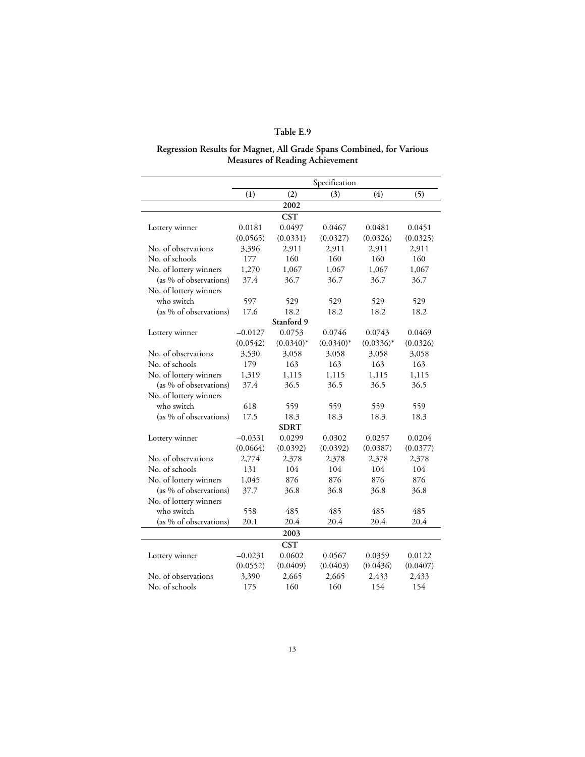#### **Regression Results for Magnet, All Grade Spans Combined, for Various Measures of Reading Achievement**

|                        | Specification |              |             |              |          |  |
|------------------------|---------------|--------------|-------------|--------------|----------|--|
|                        | (1)           | (2)          | (3)         | (4)          | (5)      |  |
|                        |               | 2002         |             |              |          |  |
|                        |               | <b>CST</b>   |             |              |          |  |
| Lottery winner         | 0.0181        | 0.0497       | 0.0467      | 0.0481       | 0.0451   |  |
|                        | (0.0565)      | (0.0331)     | (0.0327)    | (0.0326)     | (0.0325) |  |
| No. of observations    | 3,396         | 2,911        | 2,911       | 2,911        | 2,911    |  |
| No. of schools         | 177           | 160          | 160         | 160          | 160      |  |
| No. of lottery winners | 1,270         | 1,067        | 1,067       | 1,067        | 1,067    |  |
| (as % of observations) | 37.4          | 36.7         | 36.7        | 36.7         | 36.7     |  |
| No. of lottery winners |               |              |             |              |          |  |
| who switch             | 597           | 529          | 529         | 529          | 529      |  |
| (as % of observations) | 17.6          | 18.2         | 18.2        | 18.2         | 18.2     |  |
|                        |               | Stanford 9   |             |              |          |  |
| Lottery winner         | $-0.0127$     | 0.0753       | 0.0746      | 0.0743       | 0.0469   |  |
|                        | (0.0542)      | $(0.0340)^*$ | $(0.0340)*$ | $(0.0336)^*$ | (0.0326) |  |
| No. of observations    | 3,530         | 3,058        | 3,058       | 3,058        | 3,058    |  |
| No. of schools         | 179           | 163          | 163         | 163          | 163      |  |
| No. of lottery winners | 1,319         | 1,115        | 1,115       | 1,115        | 1,115    |  |
| (as % of observations) | 37.4          | 36.5         | 36.5        | 36.5         | 36.5     |  |
| No. of lottery winners |               |              |             |              |          |  |
| who switch             | 618           | 559          | 559         | 559          | 559      |  |
| (as % of observations) | 17.5          | 18.3         | 18.3        | 18.3         | 18.3     |  |
|                        |               | <b>SDRT</b>  |             |              |          |  |
| Lottery winner         | $-0.0331$     | 0.0299       | 0.0302      | 0.0257       | 0.0204   |  |
|                        | (0.0664)      | (0.0392)     | (0.0392)    | (0.0387)     | (0.0377) |  |
| No. of observations    | 2,774         | 2,378        | 2,378       | 2,378        | 2,378    |  |
| No. of schools         | 131           | 104          | 104         | 104          | 104      |  |
| No. of lottery winners | 1,045         | 876          | 876         | 876          | 876      |  |
| (as % of observations) | 37.7          | 36.8         | 36.8        | 36.8         | 36.8     |  |
| No. of lottery winners |               |              |             |              |          |  |
| who switch             | 558           | 485          | 485         | 485          | 485      |  |
| (as % of observations) | 20.1          | 20.4         | 20.4        | 20.4         | 20.4     |  |
|                        |               | 2003         |             |              |          |  |
|                        |               | <b>CST</b>   |             |              |          |  |
| Lottery winner         | $-0.0231$     | 0.0602       | 0.0567      | 0.0359       | 0.0122   |  |
|                        | (0.0552)      | (0.0409)     | (0.0403)    | (0.0436)     | (0.0407) |  |
| No. of observations    | 3,390         | 2,665        | 2,665       | 2,433        | 2,433    |  |
| No. of schools         | 175           | 160          | 160         | 154          | 154      |  |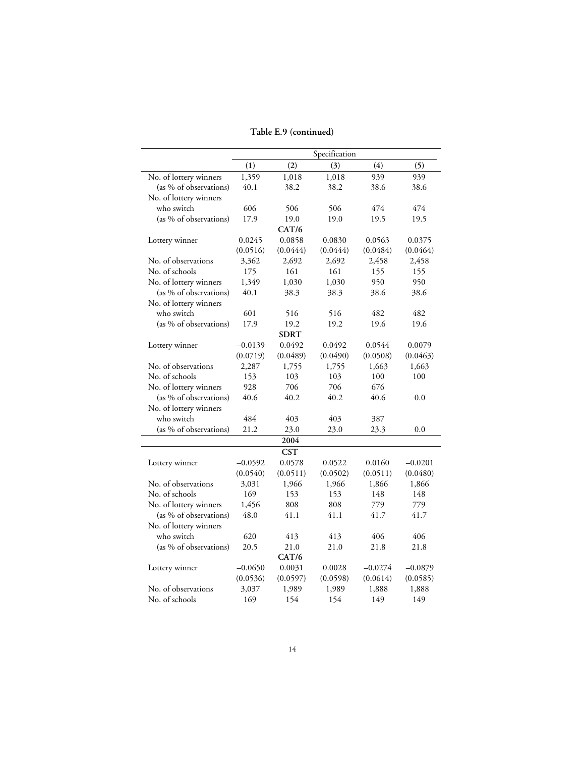### **Table E.9 (continued)**

|                        | Specification |             |          |           |           |
|------------------------|---------------|-------------|----------|-----------|-----------|
|                        | (1)           | (2)         | (3)      | (4)       | (5)       |
| No. of lottery winners | 1,359         | 1,018       | 1,018    | 939       | 939       |
| (as % of observations) | 40.1          | 38.2        | 38.2     | 38.6      | 38.6      |
| No. of lottery winners |               |             |          |           |           |
| who switch             | 606           | 506         | 506      | 474       | 474       |
| (as % of observations) | 17.9          | 19.0        | 19.0     | 19.5      | 19.5      |
|                        |               | CAT/6       |          |           |           |
| Lottery winner         | 0.0245        | 0.0858      | 0.0830   | 0.0563    | 0.0375    |
|                        | (0.0516)      | (0.0444)    | (0.0444) | (0.0484)  | (0.0464)  |
| No. of observations    | 3,362         | 2,692       | 2,692    | 2,458     | 2,458     |
| No. of schools         | 175           | 161         | 161      | 155       | 155       |
| No. of lottery winners | 1,349         | 1,030       | 1,030    | 950       | 950       |
| (as % of observations) | 40.1          | 38.3        | 38.3     | 38.6      | 38.6      |
| No. of lottery winners |               |             |          |           |           |
| who switch             | 601           | 516         | 516      | 482       | 482       |
| (as % of observations) | 17.9          | 19.2        | 19.2     | 19.6      | 19.6      |
|                        |               | <b>SDRT</b> |          |           |           |
| Lottery winner         | $-0.0139$     | 0.0492      | 0.0492   | 0.0544    | 0.0079    |
|                        | (0.0719)      | (0.0489)    | (0.0490) | (0.0508)  | (0.0463)  |
| No. of observations    | 2,287         | 1,755       | 1,755    | 1,663     | 1,663     |
| No. of schools         | 153           | 103         | 103      | 100       | 100       |
| No. of lottery winners | 928           | 706         | 706      | 676       |           |
| (as % of observations) | 40.6          | 40.2        | 40.2     | 40.6      | 0.0       |
| No. of lottery winners |               |             |          |           |           |
| who switch             | 484           | 403         | 403      | 387       |           |
| (as % of observations) | 21.2          | 23.0        | 23.0     | 23.3      | 0.0       |
|                        |               | 2004        |          |           |           |
|                        |               | <b>CST</b>  |          |           |           |
| Lottery winner         | $-0.0592$     | 0.0578      | 0.0522   | 0.0160    | $-0.0201$ |
|                        | (0.0540)      | (0.0511)    | (0.0502) | (0.0511)  | (0.0480)  |
| No. of observations    | 3,031         | 1,966       | 1,966    | 1,866     | 1,866     |
| No. of schools         | 169           | 153         | 153      | 148       | 148       |
| No. of lottery winners | 1,456         | 808         | 808      | 779       | 779       |
| (as % of observations) | 48.0          | 41.1        | 41.1     | 41.7      | 41.7      |
| No. of lottery winners |               |             |          |           |           |
| who switch             | 620           | 413         | 413      | 406       | 406       |
| (as % of observations) | 20.5          | 21.0        | 21.0     | 21.8      | 21.8      |
|                        |               | CAT/6       |          |           |           |
| Lottery winner         | $-0.0650$     | 0.0031      | 0.0028   | $-0.0274$ | $-0.0879$ |
|                        | (0.0536)      | (0.0597)    | (0.0598) | (0.0614)  | (0.0585)  |
| No. of observations    | 3,037         | 1,989       | 1,989    | 1,888     | 1,888     |
| No. of schools         | 169           | 154         | 154      | 149       | 149       |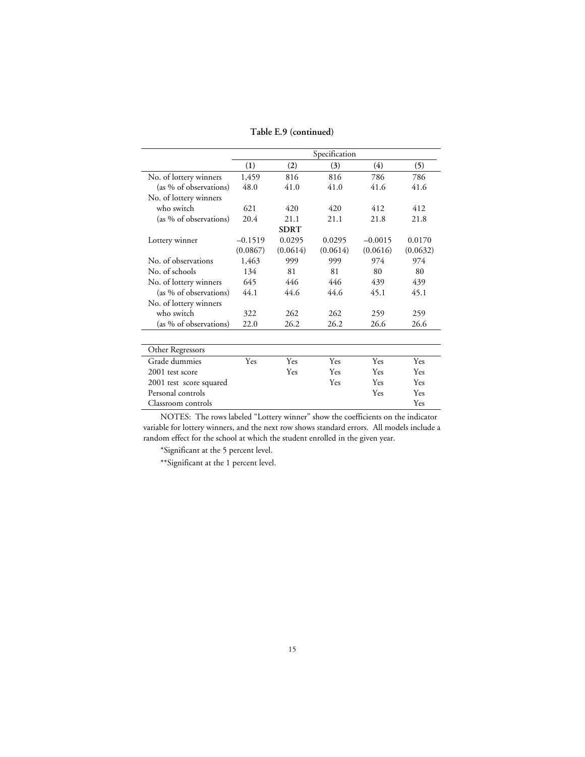**Table E.9 (continued)**

|                         |           |             | Specification |           |          |
|-------------------------|-----------|-------------|---------------|-----------|----------|
|                         | (1)       | (2)         | (3)           | (4)       | (5)      |
| No. of lottery winners  | 1,459     | 816         | 816           | 786       | 786      |
| (as % of observations)  | 48.0      | 41.0        | 41.0          | 41.6      | 41.6     |
| No. of lottery winners  |           |             |               |           |          |
| who switch              | 621       | 420         | 420           | 412       | 412      |
| (as % of observations)  | 20.4      | 21.1        | 21.1          | 21.8      | 21.8     |
|                         |           | <b>SDRT</b> |               |           |          |
| Lottery winner          | $-0.1519$ | 0.0295      | 0.0295        | $-0.0015$ | 0.0170   |
|                         | (0.0867)  | (0.0614)    | (0.0614)      | (0.0616)  | (0.0632) |
| No. of observations     | 1,463     | 999         | 999           | 974       | 974      |
| No. of schools          | 134       | 81          | 81            | 80        | 80       |
| No. of lottery winners  | 645       | 446         | 446           | 439       | 439      |
| (as % of observations)  | 44.1      | 44.6        | 44.6          | 45.1      | 45.1     |
| No. of lottery winners  |           |             |               |           |          |
| who switch              | 322       | 262         | 262           | 259       | 259      |
| (as % of observations)  | 22.0      | 26.2        | 26.2          | 26.6      | 26.6     |
| Other Regressors        |           |             |               |           |          |
| Grade dummies           | Yes       | Yes         | Yes           | Yes       | Yes      |
| 2001 test score         |           | Yes         | Yes           | Yes       | Yes      |
| 2001 test score squared |           |             | <b>Yes</b>    | Yes       | Yes      |
| Personal controls       |           |             |               | Yes       | Yes      |
| Classroom controls      |           |             |               |           | Yes      |
|                         |           |             |               |           |          |

\*Significant at the 5 percent level.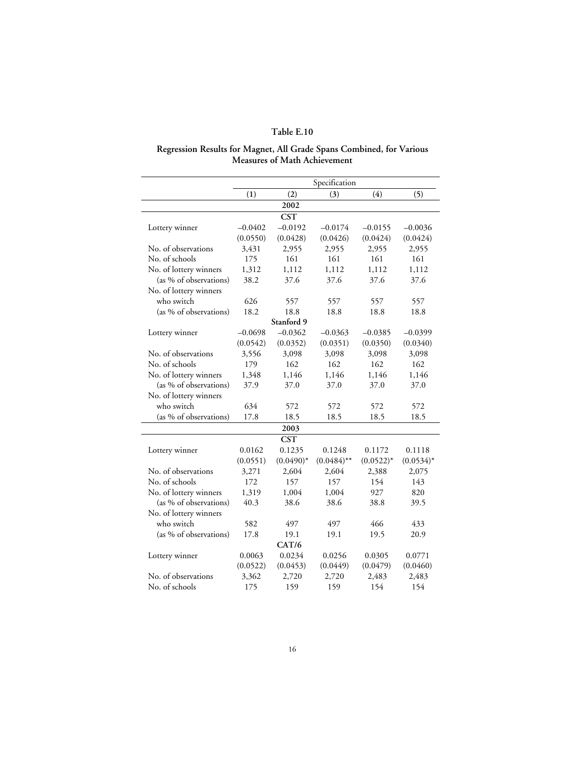#### **Regression Results for Magnet, All Grade Spans Combined, for Various Measures of Math Achievement**

|                        |           |              | Specification |              |              |
|------------------------|-----------|--------------|---------------|--------------|--------------|
|                        | (1)       | (2)          | (3)           | (4)          | (5)          |
|                        |           | 2002         |               |              |              |
|                        |           | <b>CST</b>   |               |              |              |
| Lottery winner         | $-0.0402$ | $-0.0192$    | $-0.0174$     | $-0.0155$    | $-0.0036$    |
|                        | (0.0550)  | (0.0428)     | (0.0426)      | (0.0424)     | (0.0424)     |
| No. of observations    | 3,431     | 2,955        | 2,955         | 2,955        | 2,955        |
| No. of schools         | 175       | 161          | 161           | 161          | 161          |
| No. of lottery winners | 1,312     | 1,112        | 1,112         | 1,112        | 1,112        |
| (as % of observations) | 38.2      | 37.6         | 37.6          | 37.6         | 37.6         |
| No. of lottery winners |           |              |               |              |              |
| who switch             | 626       | 557          | 557           | 557          | 557          |
| (as % of observations) | 18.2      | 18.8         | 18.8          | 18.8         | 18.8         |
|                        |           | Stanford 9   |               |              |              |
| Lottery winner         | $-0.0698$ | $-0.0362$    | $-0.0363$     | $-0.0385$    | $-0.0399$    |
|                        | (0.0542)  | (0.0352)     | (0.0351)      | (0.0350)     | (0.0340)     |
| No. of observations    | 3,556     | 3,098        | 3,098         | 3,098        | 3,098        |
| No. of schools         | 179       | 162          | 162           | 162          | 162          |
| No. of lottery winners | 1,348     | 1,146        | 1,146         | 1,146        | 1,146        |
| (as % of observations) | 37.9      | 37.0         | 37.0          | 37.0         | 37.0         |
| No. of lottery winners |           |              |               |              |              |
| who switch             | 634       | 572          | 572           | 572          | 572          |
| (as % of observations) | 17.8      | 18.5         | 18.5          | 18.5         | 18.5         |
|                        |           | 2003         |               |              |              |
|                        |           | <b>CST</b>   |               |              |              |
| Lottery winner         | 0.0162    | 0.1235       | 0.1248        | 0.1172       | 0.1118       |
|                        | (0.0551)  | $(0.0490)^*$ | $(0.0484)$ ** | $(0.0522)^*$ | $(0.0534)^*$ |
| No. of observations    | 3,271     | 2,604        | 2,604         | 2,388        | 2,075        |
| No. of schools         | 172       | 157          | 157           | 154          | 143          |
| No. of lottery winners | 1,319     | 1,004        | 1,004         | 927          | 820          |
| (as % of observations) | 40.3      | 38.6         | 38.6          | 38.8         | 39.5         |
| No. of lottery winners |           |              |               |              |              |
| who switch             | 582       | 497          | 497           | 466          | 433          |
| (as % of observations) | 17.8      | 19.1         | 19.1          | 19.5         | 20.9         |
|                        |           | CAT/6        |               |              |              |
| Lottery winner         | 0.0063    | 0.0234       | 0.0256        | 0.0305       | 0.0771       |
|                        | (0.0522)  | (0.0453)     | (0.0449)      | (0.0479)     | (0.0460)     |
| No. of observations    | 3,362     | 2,720        | 2,720         | 2,483        | 2,483        |
| No. of schools         | 175       | 159          | 159           | 154          | 154          |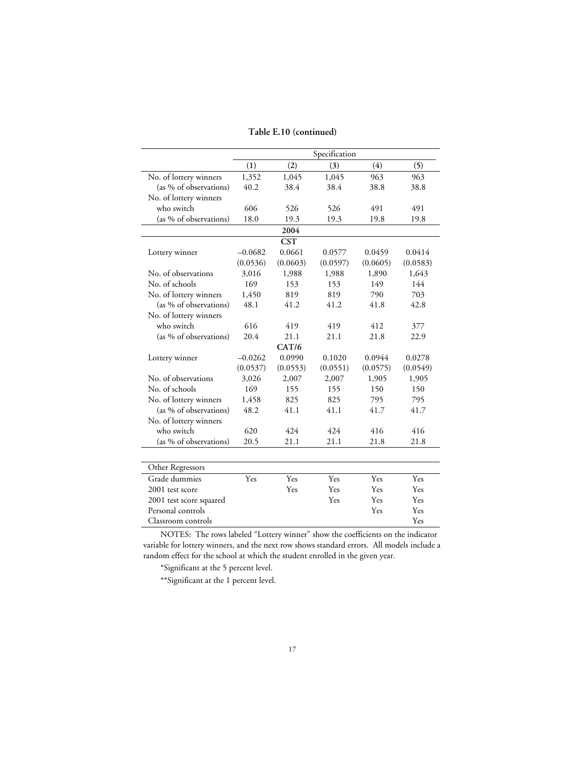|                         |           |            | Specification |          |          |
|-------------------------|-----------|------------|---------------|----------|----------|
|                         | (1)       | (2)        | (3)           | (4)      | (5)      |
| No. of lottery winners  | 1,352     | 1,045      | 1,045         | 963      | 963      |
| (as % of observations)  | 40.2      | 38.4       | 38.4          | 38.8     | 38.8     |
| No. of lottery winners  |           |            |               |          |          |
| who switch              | 606       | 526        | 526           | 491      | 491      |
| (as % of observations)  | 18.0      | 19.3       | 19.3          | 19.8     | 19.8     |
|                         |           | 2004       |               |          |          |
|                         |           | <b>CST</b> |               |          |          |
| Lottery winner          | $-0.0682$ | 0.0661     | 0.0577        | 0.0459   | 0.0414   |
|                         | (0.0536)  | (0.0603)   | (0.0597)      | (0.0605) | (0.0583) |
| No. of observations     | 3,016     | 1,988      | 1,988         | 1,890    | 1,643    |
| No. of schools          | 169       | 153        | 153           | 149      | 144      |
| No. of lottery winners  | 1,450     | 819        | 819           | 790      | 703      |
| (as % of observations)  | 48.1      | 41.2       | 41.2          | 41.8     | 42.8     |
| No. of lottery winners  |           |            |               |          |          |
| who switch              | 616       | 419        | 419           | 412      | 377      |
| (as % of observations)  | 20.4      | 21.1       | 21.1          | 21.8     | 22.9     |
|                         |           | CAT/6      |               |          |          |
| Lottery winner          | $-0.0262$ | 0.0990     | 0.1020        | 0.0944   | 0.0278   |
|                         | (0.0537)  | (0.0553)   | (0.0551)      | (0.0575) | (0.0549) |
| No. of observations     | 3,026     | 2,007      | 2,007         | 1,905    | 1,905    |
| No. of schools          | 169       | 155        | 155           | 150      | 150      |
| No. of lottery winners  | 1,458     | 825        | 825           | 795      | 795      |
| (as % of observations)  | 48.2      | 41.1       | 41.1          | 41.7     | 41.7     |
| No. of lottery winners  |           |            |               |          |          |
| who switch              | 620       | 424        | 424           | 416      | 416      |
| (as % of observations)  | 20.5      | 21.1       | 21.1          | 21.8     | 21.8     |
|                         |           |            |               |          |          |
| Other Regressors        |           |            |               |          |          |
| Grade dummies           | Yes       | Yes        | Yes           | Yes      | Yes      |
| 2001 test score         |           | Yes        | Yes           | Yes      | Yes      |
| 2001 test score squared |           |            | Yes           | Yes      | Yes      |
| Personal controls       |           |            |               | Yes      | Yes      |
| Classroom controls      |           |            |               |          | Yes      |

\*Significant at the 5 percent level.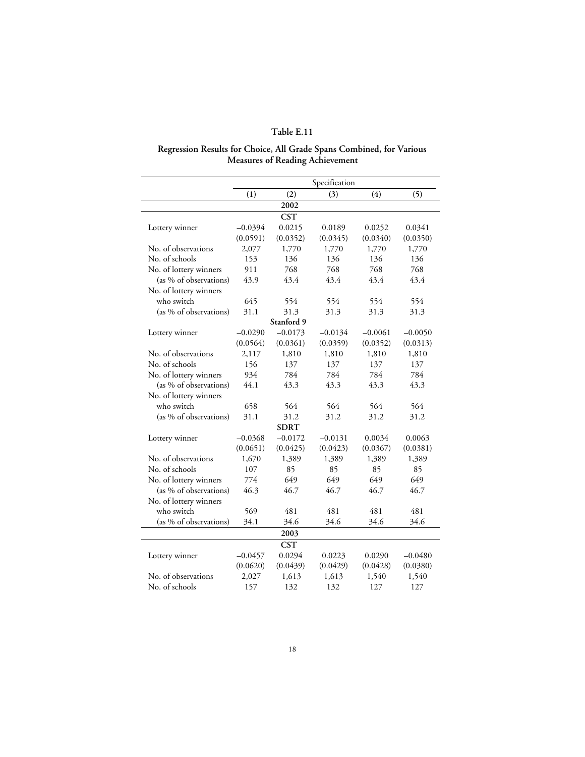#### **Regression Results for Choice, All Grade Spans Combined, for Various Measures of Reading Achievement**

|                        | Specification |             |           |           |           |  |
|------------------------|---------------|-------------|-----------|-----------|-----------|--|
|                        | (1)           | (2)         | (3)       | (4)       | (5)       |  |
|                        |               | 2002        |           |           |           |  |
|                        |               | <b>CST</b>  |           |           |           |  |
| Lottery winner         | $-0.0394$     | 0.0215      | 0.0189    | 0.0252    | 0.0341    |  |
|                        | (0.0591)      | (0.0352)    | (0.0345)  | (0.0340)  | (0.0350)  |  |
| No. of observations    | 2,077         | 1,770       | 1,770     | 1,770     | 1,770     |  |
| No. of schools         | 153           | 136         | 136       | 136       | 136       |  |
| No. of lottery winners | 911           | 768         | 768       | 768       | 768       |  |
| (as % of observations) | 43.9          | 43.4        | 43.4      | 43.4      | 43.4      |  |
| No. of lottery winners |               |             |           |           |           |  |
| who switch             | 645           | 554         | 554       | 554       | 554       |  |
| (as % of observations) | 31.1          | 31.3        | 31.3      | 31.3      | 31.3      |  |
|                        |               | Stanford 9  |           |           |           |  |
| Lottery winner         | $-0.0290$     | $-0.0173$   | $-0.0134$ | $-0.0061$ | $-0.0050$ |  |
|                        | (0.0564)      | (0.0361)    | (0.0359)  | (0.0352)  | (0.0313)  |  |
| No. of observations    | 2,117         | 1,810       | 1,810     | 1,810     | 1,810     |  |
| No. of schools         | 156           | 137         | 137       | 137       | 137       |  |
| No. of lottery winners | 934           | 784         | 784       | 784       | 784       |  |
| (as % of observations) | 44.1          | 43.3        | 43.3      | 43.3      | 43.3      |  |
| No. of lottery winners |               |             |           |           |           |  |
| who switch             | 658           | 564         | 564       | 564       | 564       |  |
| (as % of observations) | 31.1          | 31.2        | 31.2      | 31.2      | 31.2      |  |
|                        |               | <b>SDRT</b> |           |           |           |  |
| Lottery winner         | $-0.0368$     | $-0.0172$   | $-0.0131$ | 0.0034    | 0.0063    |  |
|                        | (0.0651)      | (0.0425)    | (0.0423)  | (0.0367)  | (0.0381)  |  |
| No. of observations    | 1,670         | 1,389       | 1,389     | 1,389     | 1,389     |  |
| No. of schools         | 107           | 85          | 85        | 85        | 85        |  |
| No. of lottery winners | 774           | 649         | 649       | 649       | 649       |  |
| (as % of observations) | 46.3          | 46.7        | 46.7      | 46.7      | 46.7      |  |
| No. of lottery winners |               |             |           |           |           |  |
| who switch             | 569           | 481         | 481       | 481       | 481       |  |
| (as % of observations) | 34.1          | 34.6        | 34.6      | 34.6      | 34.6      |  |
|                        |               | 2003        |           |           |           |  |
|                        |               | <b>CST</b>  |           |           |           |  |
| Lottery winner         | $-0.0457$     | 0.0294      | 0.0223    | 0.0290    | $-0.0480$ |  |
|                        | (0.0620)      | (0.0439)    | (0.0429)  | (0.0428)  | (0.0380)  |  |
| No. of observations    | 2,027         | 1,613       | 1,613     | 1,540     | 1,540     |  |
| No. of schools         | 157           | 132         | 132       | 127       | 127       |  |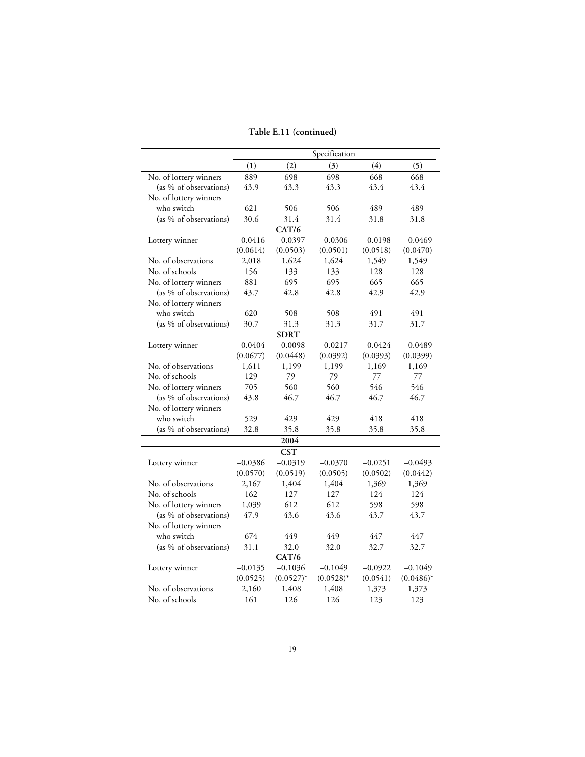### **Table E.11 (continued)**

|                        |           |              | Specification |           |              |
|------------------------|-----------|--------------|---------------|-----------|--------------|
|                        | (1)       | (2)          | (3)           | (4)       | (5)          |
| No. of lottery winners | 889       | 698          | 698           | 668       | 668          |
| (as % of observations) | 43.9      | 43.3         | 43.3          | 43.4      | 43.4         |
| No. of lottery winners |           |              |               |           |              |
| who switch             | 621       | 506          | 506           | 489       | 489          |
| (as % of observations) | 30.6      | 31.4         | 31.4          | 31.8      | 31.8         |
|                        |           | CAT/6        |               |           |              |
| Lottery winner         | $-0.0416$ | $-0.0397$    | $-0.0306$     | $-0.0198$ | $-0.0469$    |
|                        | (0.0614)  | (0.0503)     | (0.0501)      | (0.0518)  | (0.0470)     |
| No. of observations    | 2,018     | 1,624        | 1,624         | 1,549     | 1,549        |
| No. of schools         | 156       | 133          | 133           | 128       | 128          |
| No. of lottery winners | 881       | 695          | 695           | 665       | 665          |
| (as % of observations) | 43.7      | 42.8         | 42.8          | 42.9      | 42.9         |
| No. of lottery winners |           |              |               |           |              |
| who switch             | 620       | 508          | 508           | 491       | 491          |
| (as % of observations) | 30.7      | 31.3         | 31.3          | 31.7      | 31.7         |
|                        |           | <b>SDRT</b>  |               |           |              |
| Lottery winner         | $-0.0404$ | $-0.0098$    | $-0.0217$     | $-0.0424$ | $-0.0489$    |
|                        | (0.0677)  | (0.0448)     | (0.0392)      | (0.0393)  | (0.0399)     |
| No. of observations    | 1,611     | 1,199        | 1,199         | 1,169     | 1,169        |
| No. of schools         | 129       | 79           | 79            | 77        | 77           |
| No. of lottery winners | 705       | 560          | 560           | 546       | 546          |
| (as % of observations) | 43.8      | 46.7         | 46.7          | 46.7      | 46.7         |
| No. of lottery winners |           |              |               |           |              |
| who switch             | 529       | 429          | 429           | 418       | 418          |
| (as % of observations) | 32.8      | 35.8         | 35.8          | 35.8      | 35.8         |
|                        |           | 2004         |               |           |              |
|                        |           | <b>CST</b>   |               |           |              |
| Lottery winner         | $-0.0386$ | $-0.0319$    | $-0.0370$     | $-0.0251$ | $-0.0493$    |
|                        | (0.0570)  | (0.0519)     | (0.0505)      | (0.0502)  | (0.0442)     |
| No. of observations    | 2,167     | 1,404        | 1,404         | 1,369     | 1,369        |
| No. of schools         | 162       | 127          | 127           | 124       | 124          |
| No. of lottery winners | 1,039     | 612          | 612           | 598       | 598          |
| (as % of observations) | 47.9      | 43.6         | 43.6          | 43.7      | 43.7         |
| No. of lottery winners |           |              |               |           |              |
| who switch             | 674       | 449          | 449           | 447       | 447          |
| (as % of observations) | 31.1      | 32.0         | 32.0          | 32.7      | 32.7         |
|                        |           | CAT/6        |               |           |              |
| Lottery winner         | $-0.0135$ | $-0.1036$    | $-0.1049$     | $-0.0922$ | $-0.1049$    |
|                        | (0.0525)  | $(0.0527)^*$ | $(0.0528)^*$  | (0.0541)  | $(0.0486)^*$ |
| No. of observations    | 2,160     | 1,408        | 1,408         | 1,373     | 1,373        |
| No. of schools         | 161       | 126          | 126           | 123       | 123          |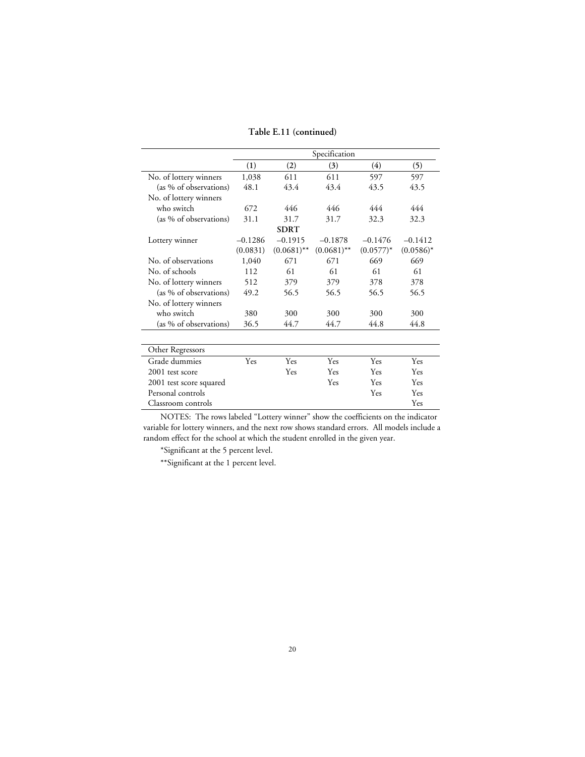**Table E.11 (continued)**

|                         |           | Specification |               |              |              |  |  |
|-------------------------|-----------|---------------|---------------|--------------|--------------|--|--|
|                         | (1)       | (2)           | (3)           | (4)          | (5)          |  |  |
| No. of lottery winners  | 1,038     | 611           | 611           | 597          | 597          |  |  |
| (as % of observations)  | 48.1      | 43.4          | 43.4          | 43.5         | 43.5         |  |  |
| No. of lottery winners  |           |               |               |              |              |  |  |
| who switch              | 672       | 446           | 446           | 444          | 444          |  |  |
| (as % of observations)  | 31.1      | 31.7          | 31.7          | 32.3         | 32.3         |  |  |
|                         |           | <b>SDRT</b>   |               |              |              |  |  |
| Lottery winner          | $-0.1286$ | $-0.1915$     | $-0.1878$     | $-0.1476$    | $-0.1412$    |  |  |
|                         | (0.0831)  | $(0.0681)$ ** | $(0.0681)$ ** | $(0.0577)^*$ | $(0.0586)^*$ |  |  |
| No. of observations     | 1,040     | 671           | 671           | 669          | 669          |  |  |
| No. of schools          | 112       | 61            | 61            | 61           | 61           |  |  |
| No. of lottery winners  | 512       | 379           | 379           | 378          | 378          |  |  |
| (as % of observations)  | 49.2      | 56.5          | 56.5          | 56.5         | 56.5         |  |  |
| No. of lottery winners  |           |               |               |              |              |  |  |
| who switch              | 380       | 300           | 300           | 300          | 300          |  |  |
| (as % of observations)  | 36.5      | 44.7          | 44.7          | 44.8         | 44.8         |  |  |
| Other Regressors        |           |               |               |              |              |  |  |
| Grade dummies           | Yes       | Yes           | Yes           | Yes          | Yes          |  |  |
| 2001 test score         |           | Yes           | Yes           | Yes          | Yes          |  |  |
| 2001 test score squared |           |               | Yes           | Yes          | <b>Yes</b>   |  |  |
| Personal controls       |           |               |               | Yes          | Yes          |  |  |
| Classroom controls      |           |               |               |              | Yes          |  |  |

\*Significant at the 5 percent level.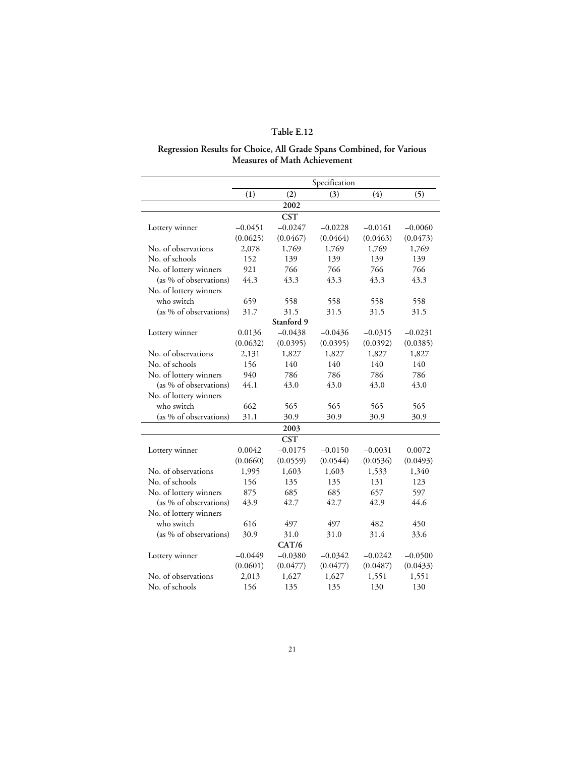#### **Regression Results for Choice, All Grade Spans Combined, for Various Measures of Math Achievement**

|                        |           |            | Specification |           |           |
|------------------------|-----------|------------|---------------|-----------|-----------|
|                        | (1)       | (2)        | (3)           | (4)       | (5)       |
|                        |           | 2002       |               |           |           |
|                        |           | <b>CST</b> |               |           |           |
| Lottery winner         | $-0.0451$ | $-0.0247$  | $-0.0228$     | $-0.0161$ | $-0.0060$ |
|                        | (0.0625)  | (0.0467)   | (0.0464)      | (0.0463)  | (0.0473)  |
| No. of observations    | 2,078     | 1,769      | 1,769         | 1,769     | 1,769     |
| No. of schools         | 152       | 139        | 139           | 139       | 139       |
| No. of lottery winners | 921       | 766        | 766           | 766       | 766       |
| (as % of observations) | 44.3      | 43.3       | 43.3          | 43.3      | 43.3      |
| No. of lottery winners |           |            |               |           |           |
| who switch             | 659       | 558        | 558           | 558       | 558       |
| (as % of observations) | 31.7      | 31.5       | 31.5          | 31.5      | 31.5      |
|                        |           | Stanford 9 |               |           |           |
| Lottery winner         | 0.0136    | $-0.0438$  | $-0.0436$     | $-0.0315$ | $-0.0231$ |
|                        | (0.0632)  | (0.0395)   | (0.0395)      | (0.0392)  | (0.0385)  |
| No. of observations    | 2,131     | 1,827      | 1,827         | 1,827     | 1,827     |
| No. of schools         | 156       | 140        | 140           | 140       | 140       |
| No. of lottery winners | 940       | 786        | 786           | 786       | 786       |
| (as % of observations) | 44.1      | 43.0       | 43.0          | 43.0      | 43.0      |
| No. of lottery winners |           |            |               |           |           |
| who switch             | 662       | 565        | 565           | 565       | 565       |
| (as % of observations) | 31.1      | 30.9       | 30.9          | 30.9      | 30.9      |
|                        |           | 2003       |               |           |           |
|                        |           | <b>CST</b> |               |           |           |
| Lottery winner         | 0.0042    | $-0.0175$  | $-0.0150$     | $-0.0031$ | 0.0072    |
|                        | (0.0660)  | (0.0559)   | (0.0544)      | (0.0536)  | (0.0493)  |
| No. of observations    | 1,995     | 1,603      | 1,603         | 1,533     | 1,340     |
| No. of schools         | 156       | 135        | 135           | 131       | 123       |
| No. of lottery winners | 875       | 685        | 685           | 657       | 597       |
| (as % of observations) | 43.9      | 42.7       | 42.7          | 42.9      | 44.6      |
| No. of lottery winners |           |            |               |           |           |
| who switch             | 616       | 497        | 497           | 482       | 450       |
| (as % of observations) | 30.9      | 31.0       | 31.0          | 31.4      | 33.6      |
|                        |           | CAT/6      |               |           |           |
| Lottery winner         | $-0.0449$ | $-0.0380$  | $-0.0342$     | $-0.0242$ | $-0.0500$ |
|                        | (0.0601)  | (0.0477)   | (0.0477)      | (0.0487)  | (0.0433)  |
| No. of observations    | 2,013     | 1,627      | 1,627         | 1,551     | 1,551     |
| No. of schools         | 156       | 135        | 135           | 130       | 130       |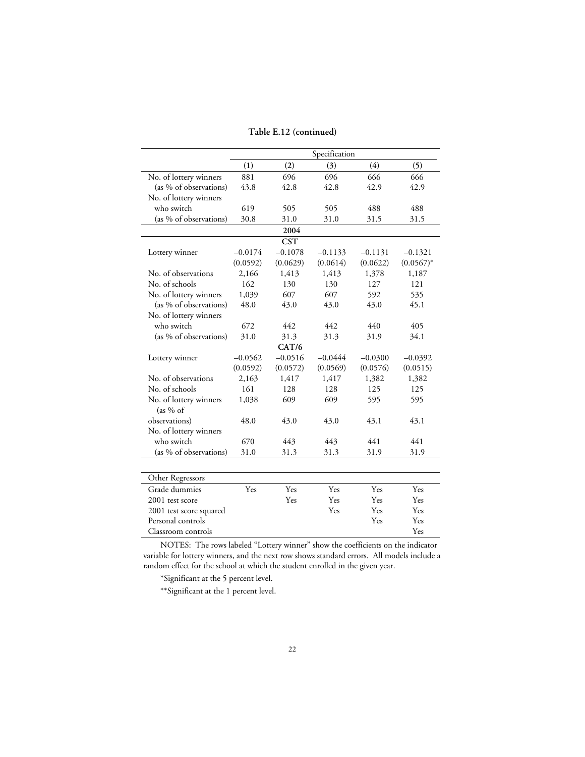|                                      |           | Specification |           |           |              |  |  |
|--------------------------------------|-----------|---------------|-----------|-----------|--------------|--|--|
|                                      | (1)       | (2)           | (3)       | (4)       | (5)          |  |  |
| No. of lottery winners               | 881       | 696           | 696       | 666       | 666          |  |  |
| (as % of observations)               | 43.8      | 42.8          | 42.8      | 42.9      | 42.9         |  |  |
| No. of lottery winners               |           |               |           |           |              |  |  |
| who switch                           | 619       | 505           | 505       | 488       | 488          |  |  |
| (as % of observations)               | 30.8      | 31.0          | 31.0      | 31.5      | 31.5         |  |  |
|                                      |           | 2004          |           |           |              |  |  |
|                                      |           | <b>CST</b>    |           |           |              |  |  |
| Lottery winner                       | $-0.0174$ | $-0.1078$     | $-0.1133$ | $-0.1131$ | $-0.1321$    |  |  |
|                                      | (0.0592)  | (0.0629)      | (0.0614)  | (0.0622)  | $(0.0567)^*$ |  |  |
| No. of observations                  | 2,166     | 1,413         | 1,413     | 1,378     | 1,187        |  |  |
| No. of schools                       | 162       | 130           | 130       | 127       | 121          |  |  |
| No. of lottery winners               | 1,039     | 607           | 607       | 592       | 535          |  |  |
| (as % of observations)               | 48.0      | 43.0          | 43.0      | 43.0      | 45.1         |  |  |
| No. of lottery winners               |           |               |           |           |              |  |  |
| who switch                           | 672       | 442           | 442       | 440       | 405          |  |  |
| (as % of observations)               | 31.0      | 31.3          | 31.3      | 31.9      | 34.1         |  |  |
|                                      |           | CAT/6         |           |           |              |  |  |
| Lottery winner                       | $-0.0562$ | $-0.0516$     | $-0.0444$ | $-0.0300$ | $-0.0392$    |  |  |
|                                      | (0.0592)  | (0.0572)      | (0.0569)  | (0.0576)  | (0.0515)     |  |  |
| No. of observations                  | 2,163     | 1,417         | 1,417     | 1,382     | 1,382        |  |  |
| No. of schools                       | 161       | 128           | 128       | 125       | 125          |  |  |
| No. of lottery winners<br>(as 9/6 of | 1,038     | 609           | 609       | 595       | 595          |  |  |
| observations)                        | 48.0      | 43.0          | 43.0      | 43.1      | 43.1         |  |  |
| No. of lottery winners               |           |               |           |           |              |  |  |
| who switch                           | 670       | 443           | 443       | 441       | 441          |  |  |
| (as % of observations)               | 31.0      | 31.3          | 31.3      | 31.9      | 31.9         |  |  |
|                                      |           |               |           |           |              |  |  |
| Other Regressors                     |           |               |           |           |              |  |  |
| Grade dummies                        | Yes       | Yes           | Yes       | Yes       | Yes          |  |  |
| 2001 test score                      |           | Yes           | Yes       | Yes       | Yes          |  |  |
| 2001 test score squared              |           |               | Yes       | Yes       | Yes          |  |  |
| Personal controls                    |           |               |           | Yes       | Yes          |  |  |

Classroom controls Yes

\*Significant at the 5 percent level.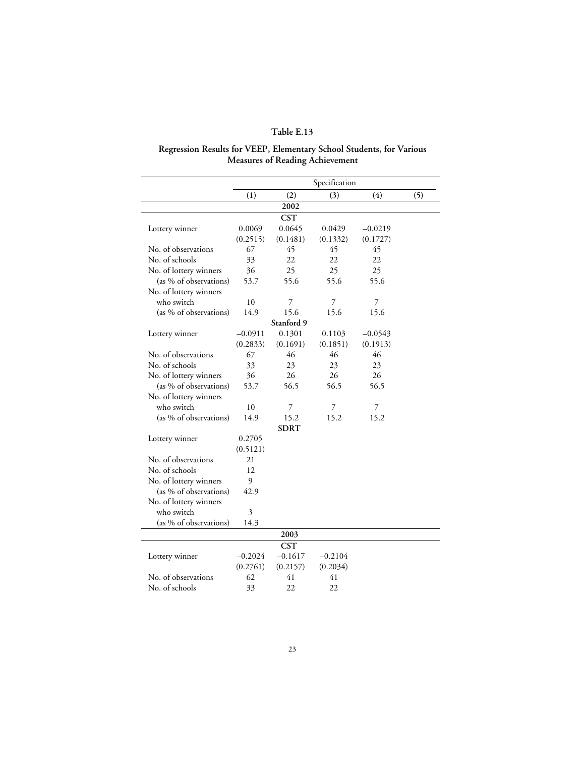# **Regression Results for VEEP, Elementary School Students, for Various Measures of Reading Achievement**

|                        | (1)       | (2)         | (3)       | (4)       | (5) |
|------------------------|-----------|-------------|-----------|-----------|-----|
|                        |           | 2002        |           |           |     |
|                        |           | <b>CST</b>  |           |           |     |
| Lottery winner         | 0.0069    | 0.0645      | 0.0429    | $-0.0219$ |     |
|                        | (0.2515)  | (0.1481)    | (0.1332)  | (0.1727)  |     |
| No. of observations    | 67        | 45          | 45        | 45        |     |
| No. of schools         | 33        | 22          | 22        | 22        |     |
| No. of lottery winners | 36        | 25          | 25        | 25        |     |
| (as % of observations) | 53.7      | 55.6        | 55.6      | 55.6      |     |
| No. of lottery winners |           |             |           |           |     |
| who switch             | 10        | 7           | 7         | 7         |     |
| (as % of observations) | 14.9      | 15.6        | 15.6      | 15.6      |     |
|                        |           | Stanford 9  |           |           |     |
| Lottery winner         | $-0.0911$ | 0.1301      | 0.1103    | $-0.0543$ |     |
|                        | (0.2833)  | (0.1691)    | (0.1851)  | (0.1913)  |     |
| No. of observations    | 67        | 46          | 46        | 46        |     |
| No. of schools         | 33        | 23          | 23        | 23        |     |
| No. of lottery winners | 36        | 26          | 26        | 26        |     |
| (as % of observations) | 53.7      | 56.5        | 56.5      | 56.5      |     |
| No. of lottery winners |           |             |           |           |     |
| who switch             | 10        | 7           | 7         | 7         |     |
| (as % of observations) | 14.9      | 15.2        | 15.2      | 15.2      |     |
|                        |           | <b>SDRT</b> |           |           |     |
| Lottery winner         | 0.2705    |             |           |           |     |
|                        | (0.5121)  |             |           |           |     |
| No. of observations    | 21        |             |           |           |     |
| No. of schools         | 12        |             |           |           |     |
| No. of lottery winners | 9         |             |           |           |     |
| (as % of observations) | 42.9      |             |           |           |     |
| No. of lottery winners |           |             |           |           |     |
| who switch             | 3         |             |           |           |     |
| (as % of observations) | 14.3      |             |           |           |     |
|                        |           | 2003        |           |           |     |
|                        |           | <b>CST</b>  |           |           |     |
| Lottery winner         | $-0.2024$ | $-0.1617$   | $-0.2104$ |           |     |
|                        | (0.2761)  | (0.2157)    | (0.2034)  |           |     |
| No. of observations    | 62        | 41          | 41        |           |     |
| No. of schools         | 33        | 22          | 22        |           |     |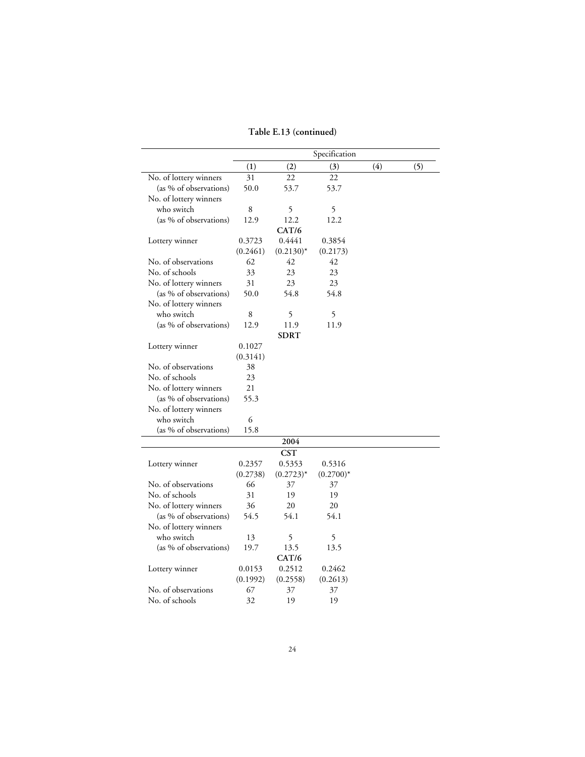|                        |          |              | Specification |     |     |
|------------------------|----------|--------------|---------------|-----|-----|
|                        | (1)      | (2)          | (3)           | (4) | (5) |
| No. of lottery winners | 31       | 22           | 22            |     |     |
| (as % of observations) | 50.0     | 53.7         | 53.7          |     |     |
| No. of lottery winners |          |              |               |     |     |
| who switch             | 8        | 5            | 5             |     |     |
| (as % of observations) | 12.9     | 12.2         | 12.2          |     |     |
|                        |          | CAT/6        |               |     |     |
| Lottery winner         | 0.3723   | 0.4441       | 0.3854        |     |     |
|                        | (0.2461) | $(0.2130)^*$ | (0.2173)      |     |     |
| No. of observations    | 62       | 42           | 42            |     |     |
| No. of schools         | 33       | 23           | 23            |     |     |
| No. of lottery winners | 31       | 23           | 23            |     |     |
| (as % of observations) | 50.0     | 54.8         | 54.8          |     |     |
| No. of lottery winners |          |              |               |     |     |
| who switch             | 8        | 5            | 5             |     |     |
| (as % of observations) | 12.9     | 11.9         | 11.9          |     |     |
|                        |          | <b>SDRT</b>  |               |     |     |
| Lottery winner         | 0.1027   |              |               |     |     |
|                        | (0.3141) |              |               |     |     |
| No. of observations    | 38       |              |               |     |     |
| No. of schools         | 23       |              |               |     |     |
| No. of lottery winners | 21       |              |               |     |     |
| (as % of observations) | 55.3     |              |               |     |     |
| No. of lottery winners |          |              |               |     |     |
| who switch             | 6        |              |               |     |     |
| (as % of observations) | 15.8     |              |               |     |     |
|                        |          | 2004         |               |     |     |
|                        |          | <b>CST</b>   |               |     |     |
| Lottery winner         | 0.2357   | 0.5353       | 0.5316        |     |     |
|                        | (0.2738) | $(0.2723)^*$ | $(0.2700)^*$  |     |     |
| No. of observations    | 66       | 37           | 37            |     |     |
| No. of schools         | 31       | 19           | 19            |     |     |
| No. of lottery winners | 36       | 20           | 20            |     |     |
| (as % of observations) | 54.5     | 54.1         | 54.1          |     |     |
| No. of lottery winners |          |              |               |     |     |
| who switch             | 13       | 5            | 5             |     |     |
| (as % of observations) | 19.7     | 13.5         | 13.5          |     |     |
|                        |          | CAT/6        |               |     |     |
| Lottery winner         | 0.0153   | 0.2512       | 0.2462        |     |     |
|                        | (0.1992) | (0.2558)     | (0.2613)      |     |     |
| No. of observations    | 67       | 37           | 37            |     |     |
| No. of schools         | 32       | 19           | 19            |     |     |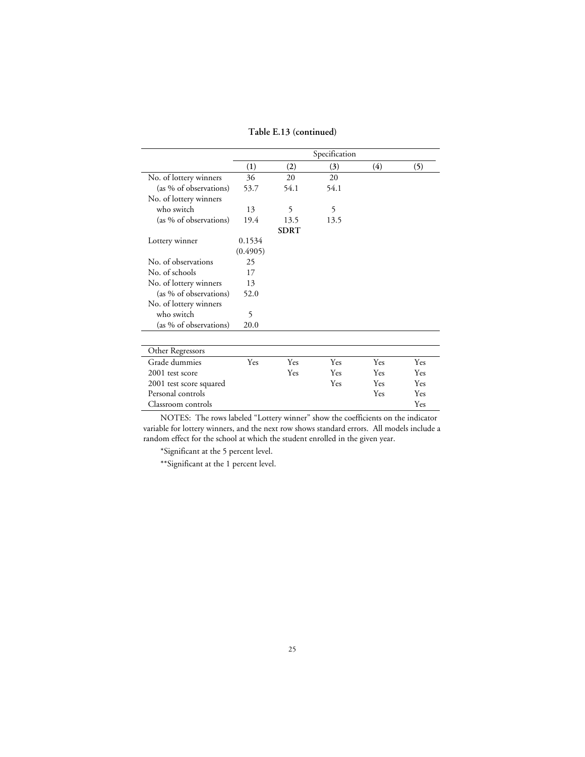**Table E.13 (continued)**

|                        | Specification |             |      |     |     |  |  |
|------------------------|---------------|-------------|------|-----|-----|--|--|
|                        | (1)           | (2)         | (3)  | (4) | (5) |  |  |
| No. of lottery winners | 36            | 20          | 20   |     |     |  |  |
| (as % of observations) | 53.7          | 54.1        | 54.1 |     |     |  |  |
| No. of lottery winners |               |             |      |     |     |  |  |
| who switch             | 13            | 5           | 5    |     |     |  |  |
| (as % of observations) | 19.4          | 13.5        | 13.5 |     |     |  |  |
|                        |               | <b>SDRT</b> |      |     |     |  |  |
| Lottery winner         | 0.1534        |             |      |     |     |  |  |
|                        | (0.4905)      |             |      |     |     |  |  |
| No. of observations    | 25            |             |      |     |     |  |  |
| No. of schools         | 17            |             |      |     |     |  |  |
| No. of lottery winners | 13            |             |      |     |     |  |  |
| (as % of observations) | 52.0          |             |      |     |     |  |  |
| No. of lottery winners |               |             |      |     |     |  |  |
| who switch             | 5             |             |      |     |     |  |  |
| (as % of observations) | 20.0          |             |      |     |     |  |  |
|                        |               |             |      |     |     |  |  |
| Other Regressors       |               |             |      |     |     |  |  |
| Grade dummies          | Yes           | Yes         | Yes  | Yes | Yes |  |  |
| $2001$ test score      |               | Ves         | Yes  | Yes | Ves |  |  |

| Grade dummies           | Yes | Yes | Yes | Yes | Yes |
|-------------------------|-----|-----|-----|-----|-----|
| 2001 test score         |     | Yes | Yes | Yes | Yes |
| 2001 test score squared |     |     | Yes | Yes | Yes |
| Personal controls       |     |     |     | Yes | Yes |
| Classroom controls      |     |     |     |     | Yes |
|                         |     |     |     |     |     |

\*Significant at the 5 percent level.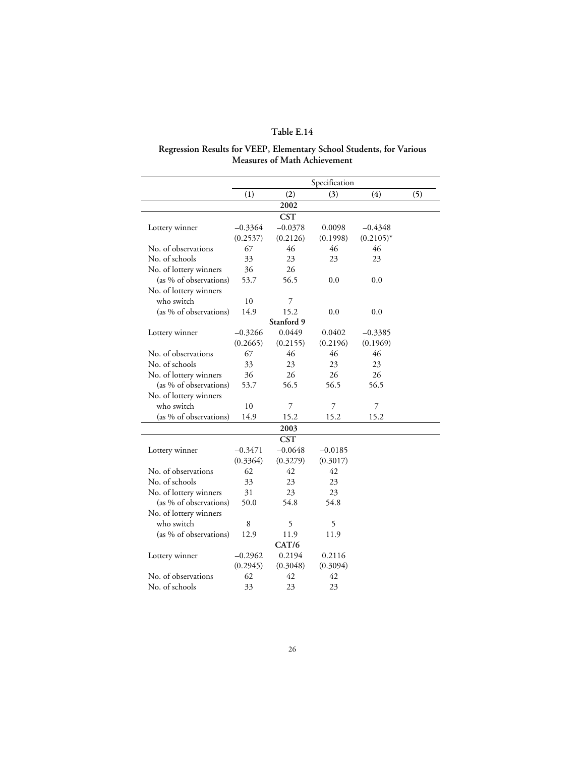#### **Regression Results for VEEP, Elementary School Students, for Various Measures of Math Achievement**

|                        |           |            | Specification |              |     |
|------------------------|-----------|------------|---------------|--------------|-----|
|                        | (1)       | (2)        | (3)           | (4)          | (5) |
|                        |           | 2002       |               |              |     |
|                        |           | <b>CST</b> |               |              |     |
| Lottery winner         | $-0.3364$ | $-0.0378$  | 0.0098        | $-0.4348$    |     |
|                        | (0.2537)  | (0.2126)   | (0.1998)      | $(0.2105)^*$ |     |
| No. of observations    | 67        | 46         | 46            | 46           |     |
| No. of schools         | 33        | 23         | 23            | 23           |     |
| No. of lottery winners | 36        | 26         |               |              |     |
| (as % of observations) | 53.7      | 56.5       | 0.0           | 0.0          |     |
| No. of lottery winners |           |            |               |              |     |
| who switch             | 10        | 7          |               |              |     |
| (as % of observations) | 14.9      | 15.2       | 0.0           | 0.0          |     |
|                        |           | Stanford 9 |               |              |     |
| Lottery winner         | $-0.3266$ | 0.0449     | 0.0402        | $-0.3385$    |     |
|                        | (0.2665)  | (0.2155)   | (0.2196)      | (0.1969)     |     |
| No. of observations    | 67        | 46         | 46            | 46           |     |
| No. of schools         | 33        | 23         | 23            | 23           |     |
| No. of lottery winners | 36        | 26         | 26            | 26           |     |
| (as % of observations) | 53.7      | 56.5       | 56.5          | 56.5         |     |
| No. of lottery winners |           |            |               |              |     |
| who switch             | 10        | 7          | 7             | 7            |     |
| (as % of observations) | 14.9      | 15.2       | 15.2          | 15.2         |     |
|                        |           | 2003       |               |              |     |
|                        |           | <b>CST</b> |               |              |     |
| Lottery winner         | $-0.3471$ | $-0.0648$  | $-0.0185$     |              |     |
|                        | (0.3364)  | (0.3279)   | (0.3017)      |              |     |
| No. of observations    | 62        | 42         | 42            |              |     |
| No. of schools         | 33        | 23         | 23            |              |     |
| No. of lottery winners | 31        | 23         | 23            |              |     |
| (as % of observations) | 50.0      | 54.8       | 54.8          |              |     |
| No. of lottery winners |           |            |               |              |     |
| who switch             | 8         | 5          | 5             |              |     |
| (as % of observations) | 12.9      | 11.9       | 11.9          |              |     |
|                        |           | CAT/6      |               |              |     |
| Lottery winner         | $-0.2962$ | 0.2194     | 0.2116        |              |     |
|                        | (0.2945)  | (0.3048)   | (0.3094)      |              |     |
| No. of observations    | 62        | 42         | 42            |              |     |
|                        |           |            |               |              |     |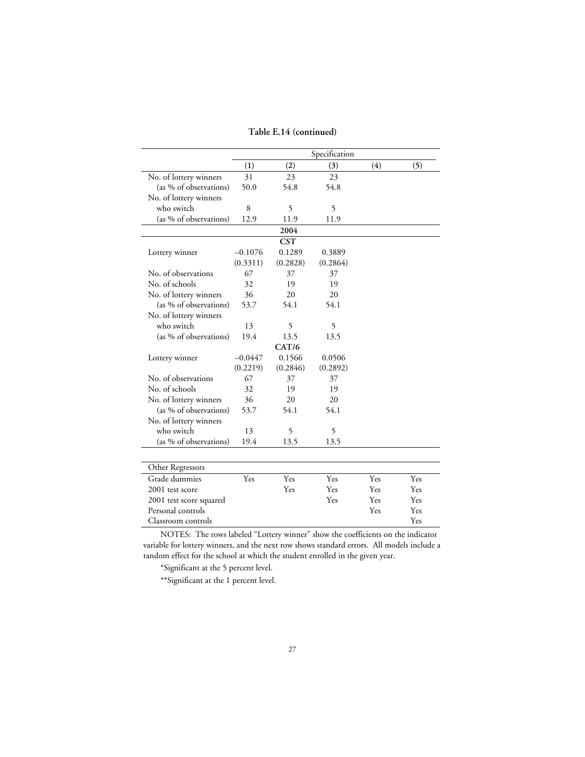|                        | Specification |            |          |        |        |
|------------------------|---------------|------------|----------|--------|--------|
|                        | (1)           | (2)        | (3)      | (4)    | (5)    |
| No. of lottery winners | 31            | 23         | 23       |        |        |
| (as % of observations) | 50.0          | 54.8       | 54.8     |        |        |
| No. of lottery winners |               |            |          |        |        |
| who switch             | 8             | 5          | 5        |        |        |
| (as % of observations) | 12.9          | 11.9       | 11.9     |        |        |
|                        |               | 2004       |          |        |        |
|                        |               | <b>CST</b> |          |        |        |
| Lottery winner         | $-0.1076$     | 0.1289     | 0.3889   |        |        |
|                        | (0.3311)      | (0.2828)   | (0.2864) |        |        |
| No. of observations    | 67            | 37         | 37       |        |        |
| No. of schools         | 32            | 19         | 19       |        |        |
| No. of lottery winners | 36            | 20         | 20       |        |        |
| (as % of observations) | 53.7          | 54.1       | 54.1     |        |        |
| No. of lottery winners |               |            |          |        |        |
| who switch             | 13            | 5          | 5        |        |        |
| (as % of observations) | 19.4          | 13.5       | 13.5     |        |        |
|                        |               | CAT/6      |          |        |        |
| Lottery winner         | $-0.0447$     | 0.1566     | 0.0506   |        |        |
|                        | (0.2219)      | (0.2846)   | (0.2892) |        |        |
| No. of observations    | 67            | 37         | 37       |        |        |
| No. of schools         | 32            | 19         | 19       |        |        |
| No. of lottery winners | 36            | 20         | 20       |        |        |
| (as % of observations) | 53.7          | 54.1       | 54.1     |        |        |
| No. of lottery winners |               |            |          |        |        |
| who switch             | 13            | 5          | 5        |        |        |
| (as % of observations) | 19.4          | 13.5       | 13.5     |        |        |
|                        |               |            |          |        |        |
| Other Regressors       |               |            |          |        |        |
| Grade dummies          | Yes           | Yes        | Yes      | Yes    | Yes    |
| 2001                   |               | $\tau$     | $\tau$   | $\tau$ | $\tau$ |

**Table E.14 (continued)**

| Other Regressors        |     |     |     |     |     |  |
|-------------------------|-----|-----|-----|-----|-----|--|
| Grade dummies           | Yes | Yes | Yes | Yes | Yes |  |
| 2001 rest score         |     | Yes | Yes | Yes | Yes |  |
| 2001 test score squared |     |     | Yes | Yes | Yes |  |
| Personal controls       |     |     |     | Yes | Yes |  |
| Classroom controls      |     |     |     |     | Yes |  |
|                         |     |     |     |     |     |  |

\*Significant at the 5 percent level.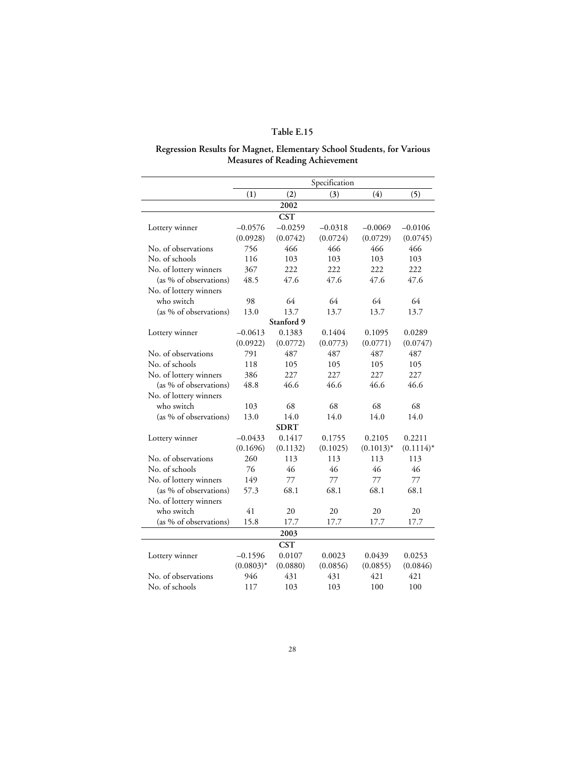#### **Regression Results for Magnet, Elementary School Students, for Various Measures of Reading Achievement**

|                        |              |             | Specification |              |              |
|------------------------|--------------|-------------|---------------|--------------|--------------|
|                        | (1)          | (2)         | (3)           | (4)          | (5)          |
|                        |              | 2002        |               |              |              |
|                        |              | <b>CST</b>  |               |              |              |
| Lottery winner         | $-0.0576$    | $-0.0259$   | $-0.0318$     | $-0.0069$    | $-0.0106$    |
|                        | (0.0928)     | (0.0742)    | (0.0724)      | (0.0729)     | (0.0745)     |
| No. of observations    | 756          | 466         | 466           | 466          | 466          |
| No. of schools         | 116          | 103         | 103           | 103          | 103          |
| No. of lottery winners | 367          | 222         | 222           | 222          | 222          |
| (as % of observations) | 48.5         | 47.6        | 47.6          | 47.6         | 47.6         |
| No. of lottery winners |              |             |               |              |              |
| who switch             | 98           | 64          | 64            | 64           | 64           |
| (as % of observations) | 13.0         | 13.7        | 13.7          | 13.7         | 13.7         |
|                        |              | Stanford 9  |               |              |              |
| Lottery winner         | $-0.0613$    | 0.1383      | 0.1404        | 0.1095       | 0.0289       |
|                        | (0.0922)     | (0.0772)    | (0.0773)      | (0.0771)     | (0.0747)     |
| No. of observations    | 791          | 487         | 487           | 487          | 487          |
| No. of schools         | 118          | 105         | 105           | 105          | 105          |
| No. of lottery winners | 386          | 227         | 227           | 227          | 227          |
| (as % of observations) | 48.8         | 46.6        | 46.6          | 46.6         | 46.6         |
| No. of lottery winners |              |             |               |              |              |
| who switch             | 103          | 68          | 68            | 68           | 68           |
| (as % of observations) | 13.0         | 14.0        | 14.0          | 14.0         | 14.0         |
|                        |              | <b>SDRT</b> |               |              |              |
| Lottery winner         | $-0.0433$    | 0.1417      | 0.1755        | 0.2105       | 0.2211       |
|                        | (0.1696)     | (0.1132)    | (0.1025)      | $(0.1013)^*$ | $(0.1114)^*$ |
| No. of observations    | 260          | 113         | 113           | 113          | 113          |
| No. of schools         | 76           | 46          | 46            | 46           | 46           |
| No. of lottery winners | 149          | 77          | 77            | 77           | 77           |
| (as % of observations) | 57.3         | 68.1        | 68.1          | 68.1         | 68.1         |
| No. of lottery winners |              |             |               |              |              |
| who switch             | 41           | 20          | 20            | 20           | 20           |
| (as % of observations) | 15.8         | 17.7        | 17.7          | 17.7         | 17.7         |
|                        |              | 2003        |               |              |              |
|                        |              | <b>CST</b>  |               |              |              |
| Lottery winner         | $-0.1596$    | 0.0107      | 0.0023        | 0.0439       | 0.0253       |
|                        | $(0.0803)^*$ | (0.0880)    | (0.0856)      | (0.0855)     | (0.0846)     |
| No. of observations    | 946          | 431         | 431           | 421          | 421          |
| No. of schools         | 117          | 103         | 103           | 100          | 100          |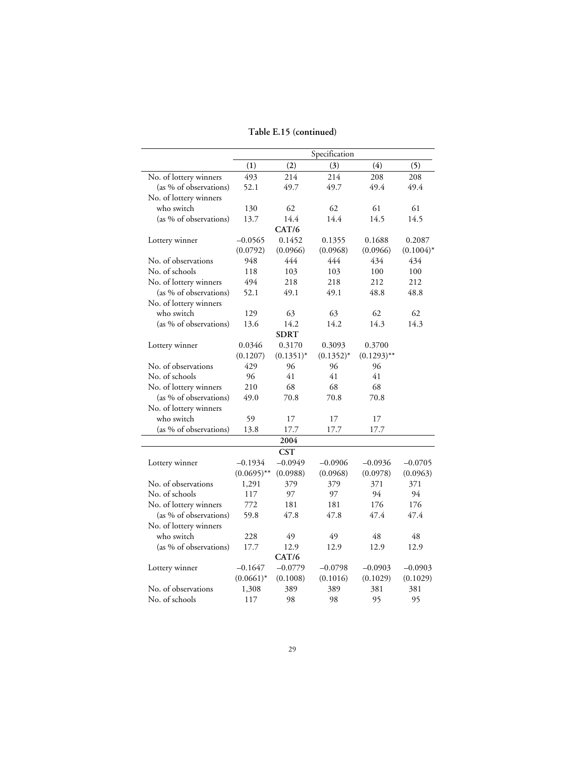### **Table E.15 (continued)**

|                        |               |              | Specification |               |              |
|------------------------|---------------|--------------|---------------|---------------|--------------|
|                        | (1)           | (2)          | (3)           | (4)           | (5)          |
| No. of lottery winners | 493           | 214          | 214           | 208           | 208          |
| (as % of observations) | 52.1          | 49.7         | 49.7          | 49.4          | 49.4         |
| No. of lottery winners |               |              |               |               |              |
| who switch             | 130           | 62           | 62            | 61            | 61           |
| (as % of observations) | 13.7          | 14.4         | 14.4          | 14.5          | 14.5         |
|                        |               | CAT/6        |               |               |              |
| Lottery winner         | $-0.0565$     | 0.1452       | 0.1355        | 0.1688        | 0.2087       |
|                        | (0.0792)      | (0.0966)     | (0.0968)      | (0.0966)      | $(0.1004)^*$ |
| No. of observations    | 948           | 444          | 444           | 434           | 434          |
| No. of schools         | 118           | 103          | 103           | 100           | 100          |
| No. of lottery winners | 494           | 218          | 218           | 212           | 212          |
| (as % of observations) | 52.1          | 49.1         | 49.1          | 48.8          | 48.8         |
| No. of lottery winners |               |              |               |               |              |
| who switch             | 129           | 63           | 63            | 62            | 62           |
| (as % of observations) | 13.6          | 14.2         | 14.2          | 14.3          | 14.3         |
|                        |               | <b>SDRT</b>  |               |               |              |
| Lottery winner         | 0.0346        | 0.3170       | 0.3093        | 0.3700        |              |
|                        | (0.1207)      | $(0.1351)^*$ | $(0.1352)^*$  | $(0.1293)$ ** |              |
| No. of observations    | 429           | 96           | 96            | 96            |              |
| No. of schools         | 96            | 41           | 41            | 41            |              |
| No. of lottery winners | 210           | 68           | 68            | 68            |              |
| (as % of observations) | 49.0          | 70.8         | 70.8          | 70.8          |              |
| No. of lottery winners |               |              |               |               |              |
| who switch             | 59            | 17           | 17            | 17            |              |
| (as % of observations) | 13.8          | 17.7         | 17.7          | 17.7          |              |
|                        |               | 2004         |               |               |              |
|                        |               | <b>CST</b>   |               |               |              |
| Lottery winner         | $-0.1934$     | $-0.0949$    | $-0.0906$     | $-0.0936$     | $-0.0705$    |
|                        | $(0.0695)$ ** | (0.0988)     | (0.0968)      | (0.0978)      | (0.0963)     |
| No. of observations    | 1,291         | 379          | 379           | 371           | 371          |
| No. of schools         | 117           | 97           | 97            | 94            | 94           |
| No. of lottery winners | 772           | 181          | 181           | 176           | 176          |
| (as % of observations) | 59.8          | 47.8         | 47.8          | 47.4          | 47.4         |
| No. of lottery winners |               |              |               |               |              |
| who switch             | 228           | 49           | 49            | 48            | 48           |
| (as % of observations) | 17.7          | 12.9         | 12.9          | 12.9          | 12.9         |
|                        |               | CAT/6        |               |               |              |
| Lottery winner         | $-0.1647$     | $-0.0779$    | $-0.0798$     | $-0.0903$     | $-0.0903$    |
|                        | $(0.0661)^*$  | (0.1008)     | (0.1016)      | (0.1029)      | (0.1029)     |
| No. of observations    | 1,308         | 389          | 389           | 381           | 381          |
| No. of schools         | 117           | 98           | 98            | 95            | 95           |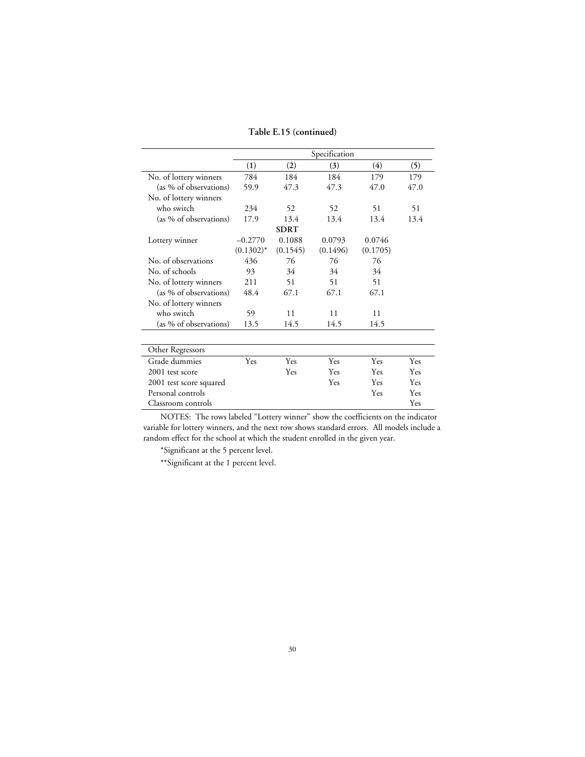#### **Table E.15 (continued)**

|                         |              |             | Specification |          |      |
|-------------------------|--------------|-------------|---------------|----------|------|
|                         | (1)          | (2)         | (3)           | (4)      | (5)  |
| No. of lottery winners  | 784          | 184         | 184           | 179      | 179  |
| (as % of observations)  | 59.9         | 47.3        | 47.3          | 47.0     | 47.0 |
| No. of lottery winners  |              |             |               |          |      |
| who switch              | 234          | 52          | 52            | 51       | 51   |
| (as % of observations)  | 17.9         | 13.4        | 13.4          | 13.4     | 13.4 |
|                         |              | <b>SDRT</b> |               |          |      |
| Lottery winner          | $-0.2770$    | 0.1088      | 0.0793        | 0.0746   |      |
|                         | $(0.1302)^*$ | (0.1545)    | (0.1496)      | (0.1705) |      |
| No. of observations     | 436          | 76          | 76            | 76       |      |
| No. of schools          | 93           | 34          | 34            | 34       |      |
| No. of lottery winners  | 211          | 51          | 51            | 51       |      |
| (as % of observations)  | 48.4         | 67.1        | 67.1          | 67.1     |      |
| No. of lottery winners  |              |             |               |          |      |
| who switch              | 59           | 11          | 11            | 11       |      |
| (as % of observations)  | 13.5         | 14.5        | 14.5          | 14.5     |      |
|                         |              |             |               |          |      |
| Other Regressors        |              |             |               |          |      |
| Grade dummies           | Yes          | Yes         | Yes           | Yes      | Yes  |
| 2001 test score         |              | Yes         | Yes           | Yes      | Yes  |
| 2001 test score squared |              |             | Yes           | Yes      | Yes  |
| Personal controls       |              |             |               | Yes      | Yes  |

NOTES: The rows labeled "Lottery winner" show the coefficients on the indicator variable for lottery winners, and the next row shows standard errors. All models include a random effect for the school at which the student enrolled in the given year.

Classroom controls Yes

\*Significant at the 5 percent level.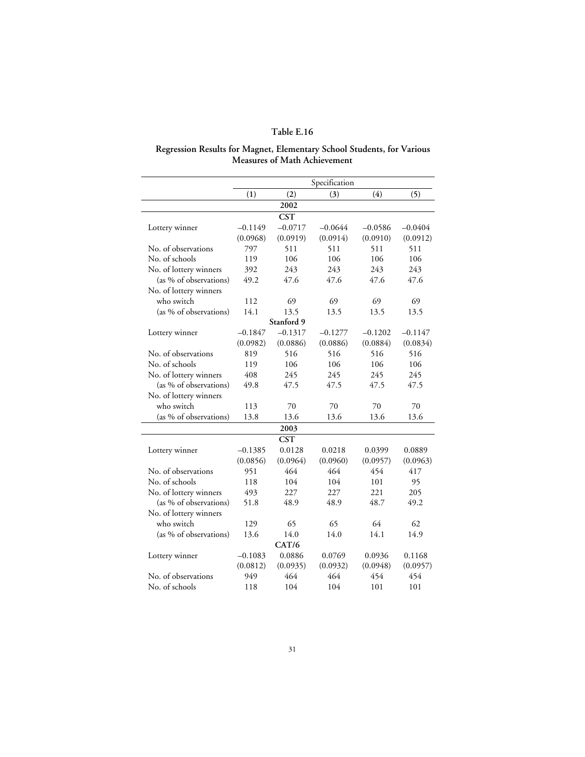#### **Regression Results for Magnet, Elementary School Students, for Various Measures of Math Achievement**

|                        | Specification |            |           |           |           |  |  |
|------------------------|---------------|------------|-----------|-----------|-----------|--|--|
|                        | (1)           | (2)        | (3)       | (4)       | (5)       |  |  |
|                        |               | 2002       |           |           |           |  |  |
|                        |               | <b>CST</b> |           |           |           |  |  |
| Lottery winner         | $-0.1149$     | $-0.0717$  | $-0.0644$ | $-0.0586$ | $-0.0404$ |  |  |
|                        | (0.0968)      | (0.0919)   | (0.0914)  | (0.0910)  | (0.0912)  |  |  |
| No. of observations    | 797           | 511        | 511       | 511       | 511       |  |  |
| No. of schools         | 119           | 106        | 106       | 106       | 106       |  |  |
| No. of lottery winners | 392           | 243        | 243       | 243       | 243       |  |  |
| (as % of observations) | 49.2          | 47.6       | 47.6      | 47.6      | 47.6      |  |  |
| No. of lottery winners |               |            |           |           |           |  |  |
| who switch             | 112           | 69         | 69        | 69        | 69        |  |  |
| (as % of observations) | 14.1          | 13.5       | 13.5      | 13.5      | 13.5      |  |  |
|                        |               | Stanford 9 |           |           |           |  |  |
| Lottery winner         | $-0.1847$     | $-0.1317$  | $-0.1277$ | $-0.1202$ | $-0.1147$ |  |  |
|                        | (0.0982)      | (0.0886)   | (0.0886)  | (0.0884)  | (0.0834)  |  |  |
| No. of observations    | 819           | 516        | 516       | 516       | 516       |  |  |
| No. of schools         | 119           | 106        | 106       | 106       | 106       |  |  |
| No. of lottery winners | 408           | 245        | 245       | 245       | 245       |  |  |
| (as % of observations) | 49.8          | 47.5       | 47.5      | 47.5      | 47.5      |  |  |
| No. of lottery winners |               |            |           |           |           |  |  |
| who switch             | 113           | 70         | 70        | 70        | 70        |  |  |
| (as % of observations) | 13.8          | 13.6       | 13.6      | 13.6      | 13.6      |  |  |
|                        |               | 2003       |           |           |           |  |  |
|                        |               | <b>CST</b> |           |           |           |  |  |
| Lottery winner         | $-0.1385$     | 0.0128     | 0.0218    | 0.0399    | 0.0889    |  |  |
|                        | (0.0856)      | (0.0964)   | (0.0960)  | (0.0957)  | (0.0963)  |  |  |
| No. of observations    | 951           | 464        | 464       | 454       | 417       |  |  |
| No. of schools         | 118           | 104        | 104       | 101       | 95        |  |  |
| No. of lottery winners | 493           | 227        | 227       | 221       | 205       |  |  |
| (as % of observations) | 51.8          | 48.9       | 48.9      | 48.7      | 49.2      |  |  |
| No. of lottery winners |               |            |           |           |           |  |  |
| who switch             | 129           | 65         | 65        | 64        | 62        |  |  |
| (as % of observations) | 13.6          | 14.0       | 14.0      | 14.1      | 14.9      |  |  |
|                        |               | CAT/6      |           |           |           |  |  |
| Lottery winner         | $-0.1083$     | 0.0886     | 0.0769    | 0.0936    | 0.1168    |  |  |
|                        | (0.0812)      | (0.0935)   | (0.0932)  | (0.0948)  | (0.0957)  |  |  |
| No. of observations    | 949           | 464        | 464       | 454       | 454       |  |  |
| No. of schools         | 118           | 104        | 104       | 101       | 101       |  |  |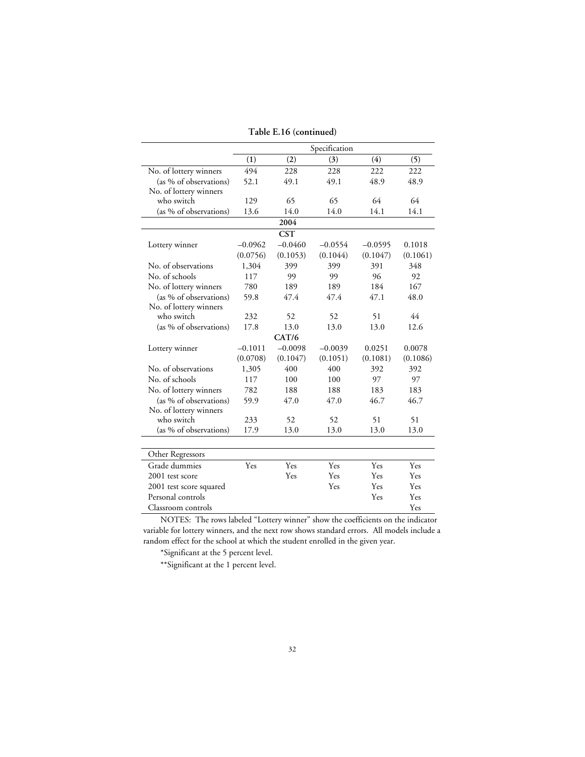|                         |           |            | Specification |           |          |
|-------------------------|-----------|------------|---------------|-----------|----------|
|                         | (1)       | (2)        | (3)           | (4)       | (5)      |
| No. of lottery winners  | 494       | 228        | 228           | 222       | 222      |
| (as % of observations)  | 52.1      | 49.1       | 49.1          | 48.9      | 48.9     |
| No. of lottery winners  |           |            |               |           |          |
| who switch              | 129       | 65         | 65            | 64        | 64       |
| (as % of observations)  | 13.6      | 14.0       | 14.0          | 14.1      | 14.1     |
|                         |           | 2004       |               |           |          |
|                         |           | <b>CST</b> |               |           |          |
| Lottery winner          | $-0.0962$ | $-0.0460$  | $-0.0554$     | $-0.0595$ | 0.1018   |
|                         | (0.0756)  | (0.1053)   | (0.1044)      | (0.1047)  | (0.1061) |
| No. of observations     | 1,304     | 399        | 399           | 391       | 348      |
| No. of schools          | 117       | 99         | 99            | 96        | 92       |
| No. of lottery winners  | 780       | 189        | 189           | 184       | 167      |
| (as % of observations)  | 59.8      | 47.4       | 47.4          | 47.1      | 48.0     |
| No. of lottery winners  |           |            |               |           |          |
| who switch              | 232       | 52         | 52            | 51        | 44       |
| (as % of observations)  | 17.8      | 13.0       | 13.0          | 13.0      | 12.6     |
|                         |           | CAT/6      |               |           |          |
| Lottery winner          | $-0.1011$ | $-0.0098$  | $-0.0039$     | 0.0251    | 0.0078   |
|                         | (0.0708)  | (0.1047)   | (0.1051)      | (0.1081)  | (0.1086) |
| No. of observations     | 1,305     | 400        | 400           | 392       | 392      |
| No. of schools          | 117       | 100        | 100           | 97        | 97       |
| No. of lottery winners  | 782       | 188        | 188           | 183       | 183      |
| (as % of observations)  | 59.9      | 47.0       | 47.0          | 46.7      | 46.7     |
| No. of lottery winners  |           |            |               |           |          |
| who switch              | 233       | 52         | 52            | 51        | 51       |
| (as % of observations)  | 17.9      | 13.0       | 13.0          | 13.0      | 13.0     |
|                         |           |            |               |           |          |
| Other Regressors        |           |            |               |           |          |
| Grade dummies           | Yes       | Yes        | Yes           | Yes       | Yes      |
| 2001 test score         |           | Yes        | Yes           | Yes       | Yes      |
| 2001 test score squared |           |            | Yes           | Yes       | Yes      |
| Personal controls       |           |            |               | Yes       | Yes      |
| Classroom controls      |           |            |               |           | Yes      |

**Table E.16 (continued)**

\*Significant at the 5 percent level.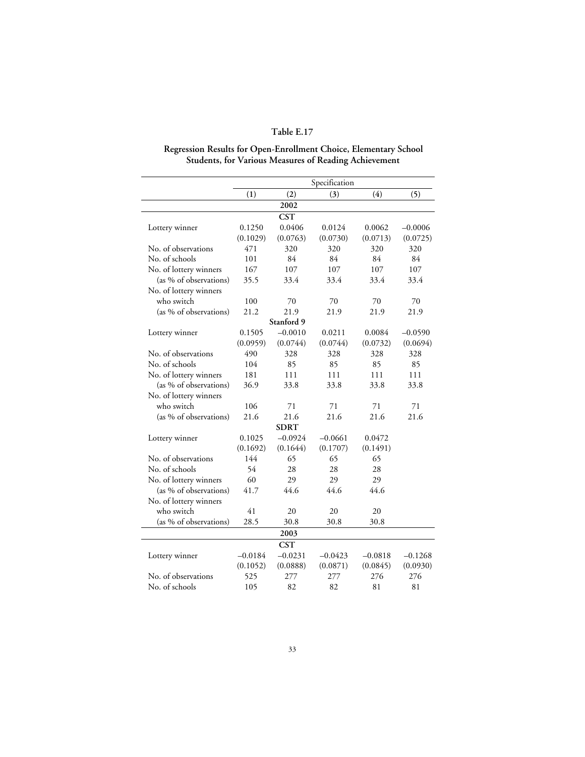# **Regression Results for Open-Enrollment Choice, Elementary School Students, for Various Measures of Reading Achievement**

|                        |           |             | Specification |           |           |
|------------------------|-----------|-------------|---------------|-----------|-----------|
|                        | (1)       | (2)         | (3)           | (4)       | (5)       |
|                        |           | 2002        |               |           |           |
|                        |           | <b>CST</b>  |               |           |           |
| Lottery winner         | 0.1250    | 0.0406      | 0.0124        | 0.0062    | $-0.0006$ |
|                        | (0.1029)  | (0.0763)    | (0.0730)      | (0.0713)  | (0.0725)  |
| No. of observations    | 471       | 320         | 320           | 320       | 320       |
| No. of schools         | 101       | 84          | 84            | 84        | 84        |
| No. of lottery winners | 167       | 107         | 107           | 107       | 107       |
| (as % of observations) | 35.5      | 33.4        | 33.4          | 33.4      | 33.4      |
| No. of lottery winners |           |             |               |           |           |
| who switch             | 100       | 70          | 70            | 70        | 70        |
| (as % of observations) | 21.2      | 21.9        | 21.9          | 21.9      | 21.9      |
|                        |           | Stanford 9  |               |           |           |
| Lottery winner         | 0.1505    | $-0.0010$   | 0.0211        | 0.0084    | $-0.0590$ |
|                        | (0.0959)  | (0.0744)    | (0.0744)      | (0.0732)  | (0.0694)  |
| No. of observations    | 490       | 328         | 328           | 328       | 328       |
| No. of schools         | 104       | 85          | 85            | 85        | 85        |
| No. of lottery winners | 181       | 111         | 111           | 111       | 111       |
| (as % of observations) | 36.9      | 33.8        | 33.8          | 33.8      | 33.8      |
| No. of lottery winners |           |             |               |           |           |
| who switch             | 106       | 71          | 71            | 71        | 71        |
| (as % of observations) | 21.6      | 21.6        | 21.6          | 21.6      | 21.6      |
|                        |           | <b>SDRT</b> |               |           |           |
| Lottery winner         | 0.1025    | $-0.0924$   | $-0.0661$     | 0.0472    |           |
|                        | (0.1692)  | (0.1644)    | (0.1707)      | (0.1491)  |           |
| No. of observations    | 144       | 65          | 65            | 65        |           |
| No. of schools         | 54        | 28          | 28            | 28        |           |
| No. of lottery winners | 60        | 29          | 29            | 29        |           |
| (as % of observations) | 41.7      | 44.6        | 44.6          | 44.6      |           |
| No. of lottery winners |           |             |               |           |           |
| who switch             | 41        | 20          | 20            | 20        |           |
| (as % of observations) | 28.5      | 30.8        | 30.8          | 30.8      |           |
|                        |           | 2003        |               |           |           |
|                        |           | <b>CST</b>  |               |           |           |
| Lottery winner         | $-0.0184$ | $-0.0231$   | $-0.0423$     | $-0.0818$ | $-0.1268$ |
|                        | (0.1052)  | (0.0888)    | (0.0871)      | (0.0845)  | (0.0930)  |
| No. of observations    | 525       | 277         | 277           | 276       | 276       |
| No. of schools         | 105       | 82          | 82            | 81        | 81        |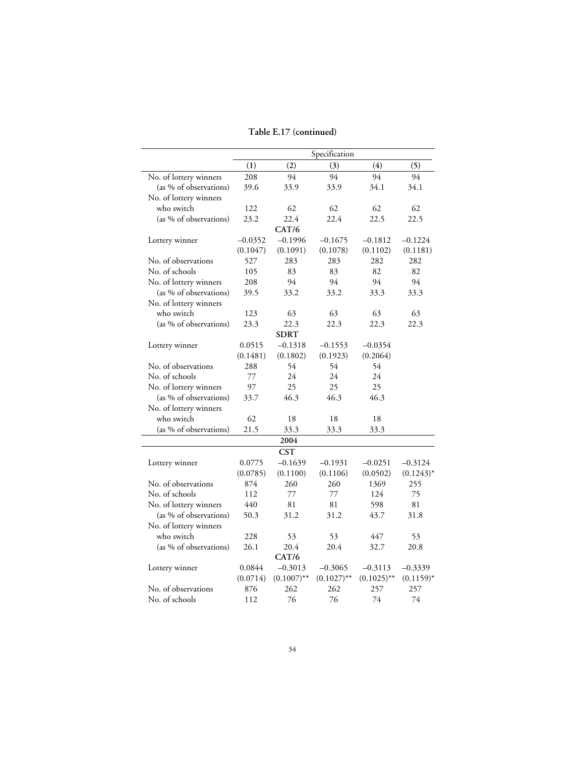### **Table E.17 (continued)**

| (1)<br>(2)<br>(3)<br>(4)<br>(5)<br>94<br>94<br>94<br>No. of lottery winners<br>208<br>94<br>(as % of observations)<br>34.1<br>34.1<br>39.6<br>33.9<br>33.9<br>No. of lottery winners<br>62<br>62<br>62<br>62<br>who switch<br>122<br>22.4<br>(as % of observations)<br>23.2<br>22.4<br>22.5<br>22.5<br>CAT/6<br>$-0.0352$<br>$-0.1996$<br>$-0.1675$<br>$-0.1812$<br>$-0.1224$<br>Lottery winner<br>(0.1047)<br>(0.1091)<br>(0.1078)<br>(0.1102)<br>(0.1181)<br>No. of observations<br>527<br>283<br>282<br>282<br>283<br>No. of schools<br>82<br>82<br>105<br>83<br>83<br>No. of lottery winners<br>208<br>94<br>94<br>94<br>94<br>(as % of observations)<br>39.5<br>33.2<br>33.3<br>33.2<br>33.3<br>No. of lottery winners<br>who switch<br>63<br>63<br>63<br>63<br>123<br>(as % of observations)<br>23.3<br>22.3<br>22.3<br>22.3<br>22.3<br><b>SDRT</b><br>$-0.1318$<br>0.0515<br>$-0.1553$<br>$-0.0354$<br>Lottery winner<br>(0.1481)<br>(0.1802)<br>(0.1923)<br>(0.2064)<br>No. of observations<br>288<br>54<br>54<br>54<br>24<br>No. of schools<br>24<br>24<br>77<br>No. of lottery winners<br>97<br>25<br>25<br>25<br>46.3<br>46.3<br>46.3<br>(as % of observations)<br>33.7<br>No. of lottery winners<br>62<br>who switch<br>18<br>18<br>18<br>(as % of observations)<br>21.5<br>33.3<br>33.3<br>33.3<br>2004<br><b>CST</b> |  | Specification |              |
|------------------------------------------------------------------------------------------------------------------------------------------------------------------------------------------------------------------------------------------------------------------------------------------------------------------------------------------------------------------------------------------------------------------------------------------------------------------------------------------------------------------------------------------------------------------------------------------------------------------------------------------------------------------------------------------------------------------------------------------------------------------------------------------------------------------------------------------------------------------------------------------------------------------------------------------------------------------------------------------------------------------------------------------------------------------------------------------------------------------------------------------------------------------------------------------------------------------------------------------------------------------------------------------------------------------------------------|--|---------------|--------------|
|                                                                                                                                                                                                                                                                                                                                                                                                                                                                                                                                                                                                                                                                                                                                                                                                                                                                                                                                                                                                                                                                                                                                                                                                                                                                                                                                    |  |               |              |
|                                                                                                                                                                                                                                                                                                                                                                                                                                                                                                                                                                                                                                                                                                                                                                                                                                                                                                                                                                                                                                                                                                                                                                                                                                                                                                                                    |  |               |              |
|                                                                                                                                                                                                                                                                                                                                                                                                                                                                                                                                                                                                                                                                                                                                                                                                                                                                                                                                                                                                                                                                                                                                                                                                                                                                                                                                    |  |               |              |
|                                                                                                                                                                                                                                                                                                                                                                                                                                                                                                                                                                                                                                                                                                                                                                                                                                                                                                                                                                                                                                                                                                                                                                                                                                                                                                                                    |  |               |              |
|                                                                                                                                                                                                                                                                                                                                                                                                                                                                                                                                                                                                                                                                                                                                                                                                                                                                                                                                                                                                                                                                                                                                                                                                                                                                                                                                    |  |               |              |
|                                                                                                                                                                                                                                                                                                                                                                                                                                                                                                                                                                                                                                                                                                                                                                                                                                                                                                                                                                                                                                                                                                                                                                                                                                                                                                                                    |  |               |              |
|                                                                                                                                                                                                                                                                                                                                                                                                                                                                                                                                                                                                                                                                                                                                                                                                                                                                                                                                                                                                                                                                                                                                                                                                                                                                                                                                    |  |               |              |
|                                                                                                                                                                                                                                                                                                                                                                                                                                                                                                                                                                                                                                                                                                                                                                                                                                                                                                                                                                                                                                                                                                                                                                                                                                                                                                                                    |  |               |              |
|                                                                                                                                                                                                                                                                                                                                                                                                                                                                                                                                                                                                                                                                                                                                                                                                                                                                                                                                                                                                                                                                                                                                                                                                                                                                                                                                    |  |               |              |
|                                                                                                                                                                                                                                                                                                                                                                                                                                                                                                                                                                                                                                                                                                                                                                                                                                                                                                                                                                                                                                                                                                                                                                                                                                                                                                                                    |  |               |              |
|                                                                                                                                                                                                                                                                                                                                                                                                                                                                                                                                                                                                                                                                                                                                                                                                                                                                                                                                                                                                                                                                                                                                                                                                                                                                                                                                    |  |               |              |
|                                                                                                                                                                                                                                                                                                                                                                                                                                                                                                                                                                                                                                                                                                                                                                                                                                                                                                                                                                                                                                                                                                                                                                                                                                                                                                                                    |  |               |              |
|                                                                                                                                                                                                                                                                                                                                                                                                                                                                                                                                                                                                                                                                                                                                                                                                                                                                                                                                                                                                                                                                                                                                                                                                                                                                                                                                    |  |               |              |
|                                                                                                                                                                                                                                                                                                                                                                                                                                                                                                                                                                                                                                                                                                                                                                                                                                                                                                                                                                                                                                                                                                                                                                                                                                                                                                                                    |  |               |              |
|                                                                                                                                                                                                                                                                                                                                                                                                                                                                                                                                                                                                                                                                                                                                                                                                                                                                                                                                                                                                                                                                                                                                                                                                                                                                                                                                    |  |               |              |
|                                                                                                                                                                                                                                                                                                                                                                                                                                                                                                                                                                                                                                                                                                                                                                                                                                                                                                                                                                                                                                                                                                                                                                                                                                                                                                                                    |  |               |              |
|                                                                                                                                                                                                                                                                                                                                                                                                                                                                                                                                                                                                                                                                                                                                                                                                                                                                                                                                                                                                                                                                                                                                                                                                                                                                                                                                    |  |               |              |
|                                                                                                                                                                                                                                                                                                                                                                                                                                                                                                                                                                                                                                                                                                                                                                                                                                                                                                                                                                                                                                                                                                                                                                                                                                                                                                                                    |  |               |              |
|                                                                                                                                                                                                                                                                                                                                                                                                                                                                                                                                                                                                                                                                                                                                                                                                                                                                                                                                                                                                                                                                                                                                                                                                                                                                                                                                    |  |               |              |
|                                                                                                                                                                                                                                                                                                                                                                                                                                                                                                                                                                                                                                                                                                                                                                                                                                                                                                                                                                                                                                                                                                                                                                                                                                                                                                                                    |  |               |              |
|                                                                                                                                                                                                                                                                                                                                                                                                                                                                                                                                                                                                                                                                                                                                                                                                                                                                                                                                                                                                                                                                                                                                                                                                                                                                                                                                    |  |               |              |
|                                                                                                                                                                                                                                                                                                                                                                                                                                                                                                                                                                                                                                                                                                                                                                                                                                                                                                                                                                                                                                                                                                                                                                                                                                                                                                                                    |  |               |              |
|                                                                                                                                                                                                                                                                                                                                                                                                                                                                                                                                                                                                                                                                                                                                                                                                                                                                                                                                                                                                                                                                                                                                                                                                                                                                                                                                    |  |               |              |
|                                                                                                                                                                                                                                                                                                                                                                                                                                                                                                                                                                                                                                                                                                                                                                                                                                                                                                                                                                                                                                                                                                                                                                                                                                                                                                                                    |  |               |              |
|                                                                                                                                                                                                                                                                                                                                                                                                                                                                                                                                                                                                                                                                                                                                                                                                                                                                                                                                                                                                                                                                                                                                                                                                                                                                                                                                    |  |               |              |
|                                                                                                                                                                                                                                                                                                                                                                                                                                                                                                                                                                                                                                                                                                                                                                                                                                                                                                                                                                                                                                                                                                                                                                                                                                                                                                                                    |  |               |              |
|                                                                                                                                                                                                                                                                                                                                                                                                                                                                                                                                                                                                                                                                                                                                                                                                                                                                                                                                                                                                                                                                                                                                                                                                                                                                                                                                    |  |               |              |
|                                                                                                                                                                                                                                                                                                                                                                                                                                                                                                                                                                                                                                                                                                                                                                                                                                                                                                                                                                                                                                                                                                                                                                                                                                                                                                                                    |  |               |              |
| $-0.1639$<br>Lottery winner<br>0.0775<br>$-0.1931$<br>$-0.0251$<br>$-0.3124$                                                                                                                                                                                                                                                                                                                                                                                                                                                                                                                                                                                                                                                                                                                                                                                                                                                                                                                                                                                                                                                                                                                                                                                                                                                       |  |               |              |
| (0.0785)<br>(0.1100)<br>(0.1106)<br>(0.0502)                                                                                                                                                                                                                                                                                                                                                                                                                                                                                                                                                                                                                                                                                                                                                                                                                                                                                                                                                                                                                                                                                                                                                                                                                                                                                       |  |               | $(0.1243)^*$ |
| No. of observations<br>874<br>260<br>260<br>1369<br>255                                                                                                                                                                                                                                                                                                                                                                                                                                                                                                                                                                                                                                                                                                                                                                                                                                                                                                                                                                                                                                                                                                                                                                                                                                                                            |  |               |              |
| No. of schools<br>112<br>124<br>75<br>77<br>77                                                                                                                                                                                                                                                                                                                                                                                                                                                                                                                                                                                                                                                                                                                                                                                                                                                                                                                                                                                                                                                                                                                                                                                                                                                                                     |  |               |              |
| 440<br>598<br>No. of lottery winners<br>81<br>81<br>81                                                                                                                                                                                                                                                                                                                                                                                                                                                                                                                                                                                                                                                                                                                                                                                                                                                                                                                                                                                                                                                                                                                                                                                                                                                                             |  |               |              |
| 43.7<br>(as % of observations)<br>50.3<br>31.2<br>31.2<br>31.8                                                                                                                                                                                                                                                                                                                                                                                                                                                                                                                                                                                                                                                                                                                                                                                                                                                                                                                                                                                                                                                                                                                                                                                                                                                                     |  |               |              |
| No. of lottery winners                                                                                                                                                                                                                                                                                                                                                                                                                                                                                                                                                                                                                                                                                                                                                                                                                                                                                                                                                                                                                                                                                                                                                                                                                                                                                                             |  |               |              |
| who switch<br>228<br>53<br>53<br>447<br>53                                                                                                                                                                                                                                                                                                                                                                                                                                                                                                                                                                                                                                                                                                                                                                                                                                                                                                                                                                                                                                                                                                                                                                                                                                                                                         |  |               |              |
| (as % of observations)<br>20.4<br>26.1<br>20.4<br>32.7<br>20.8                                                                                                                                                                                                                                                                                                                                                                                                                                                                                                                                                                                                                                                                                                                                                                                                                                                                                                                                                                                                                                                                                                                                                                                                                                                                     |  |               |              |
| CAT/6                                                                                                                                                                                                                                                                                                                                                                                                                                                                                                                                                                                                                                                                                                                                                                                                                                                                                                                                                                                                                                                                                                                                                                                                                                                                                                                              |  |               |              |
| Lottery winner<br>0.0844<br>$-0.3013$<br>$-0.3065$<br>$-0.3339$<br>$-0.3113$                                                                                                                                                                                                                                                                                                                                                                                                                                                                                                                                                                                                                                                                                                                                                                                                                                                                                                                                                                                                                                                                                                                                                                                                                                                       |  |               |              |
| (0.0714)<br>$(0.1007)$ **<br>$(0.1027)$ **<br>$(0.1025)$ **                                                                                                                                                                                                                                                                                                                                                                                                                                                                                                                                                                                                                                                                                                                                                                                                                                                                                                                                                                                                                                                                                                                                                                                                                                                                        |  |               | $(0.1159)^*$ |
| No. of observations<br>876<br>262<br>262<br>257<br>257                                                                                                                                                                                                                                                                                                                                                                                                                                                                                                                                                                                                                                                                                                                                                                                                                                                                                                                                                                                                                                                                                                                                                                                                                                                                             |  |               |              |
| No. of schools<br>76<br>76<br>74<br>74<br>112                                                                                                                                                                                                                                                                                                                                                                                                                                                                                                                                                                                                                                                                                                                                                                                                                                                                                                                                                                                                                                                                                                                                                                                                                                                                                      |  |               |              |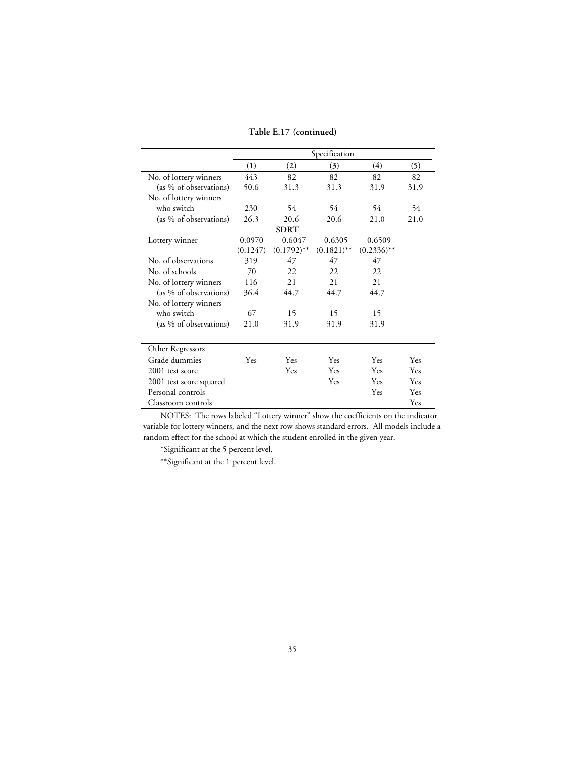#### **Table E.17 (continued)**

|                         | Specification    |               |               |               |      |  |
|-------------------------|------------------|---------------|---------------|---------------|------|--|
|                         | $\left(1\right)$ | (2)           | (3)           | (4)           | (5)  |  |
| No. of lottery winners  | 443              | 82            | 82            | 82            | 82   |  |
| (as % of observations)  | 50.6             | 31.3          | 31.3          | 31.9          | 31.9 |  |
| No. of lottery winners  |                  |               |               |               |      |  |
| who switch              | 230              | 54            | 54            | 54            | 54   |  |
| (as % of observations)  | 26.3             | 20.6          | 20.6          | 21.0          | 21.0 |  |
|                         |                  | <b>SDRT</b>   |               |               |      |  |
| Lottery winner          | 0.0970           | $-0.6047$     | $-0.6305$     | $-0.6509$     |      |  |
|                         | (0.1247)         | $(0.1792)$ ** | $(0.1821)$ ** | $(0.2336)$ ** |      |  |
| No. of observations     | 319              | 47            | 47            | 47            |      |  |
| No. of schools          | 70               | 22            | 22            | 22            |      |  |
| No. of lottery winners  | 116              | 2.1           | 2.1           | 2.1           |      |  |
| (as % of observations)  | 36.4             | 44.7          | 44.7          | 44.7          |      |  |
| No. of lottery winners  |                  |               |               |               |      |  |
| who switch              | 67               | 15            | 15            | 15            |      |  |
| (as % of observations)  | 21.0             | 31.9          | 31.9          | 31.9          |      |  |
|                         |                  |               |               |               |      |  |
| Other Regressors        |                  |               |               |               |      |  |
| Grade dummies           | Yes              | Yes           | Yes           | Yes           | Yes  |  |
| 2001 test score         |                  | Yes           | Yes           | Yes           | Yes  |  |
| 2001 test score squared |                  |               | Yes           | Yes           | Yes  |  |
| Personal controls       |                  |               |               | Yes           | Yes  |  |
| Classroom controls      |                  |               |               |               | Yes  |  |

NOTES: The rows labeled "Lottery winner" show the coefficients on the indicator variable for lottery winners, and the next row shows standard errors. All models include a random effect for the school at which the student enrolled in the given year.

\*Significant at the 5 percent level.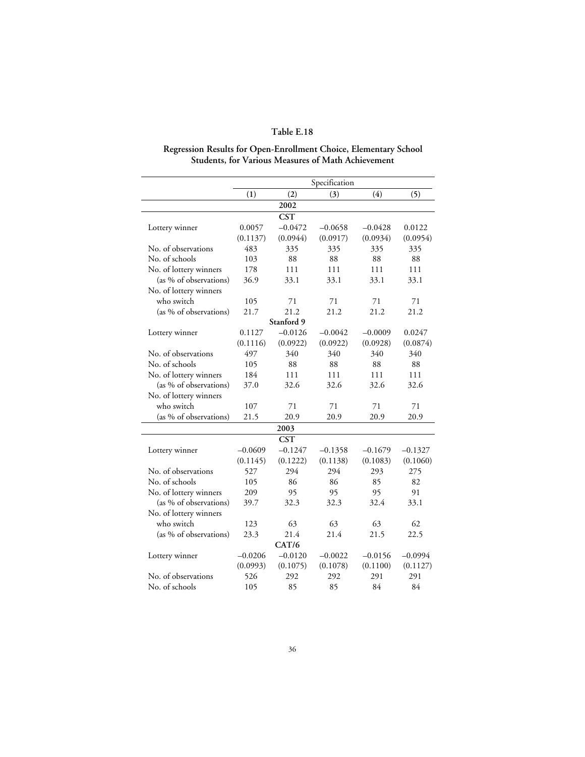#### **Regression Results for Open-Enrollment Choice, Elementary School Students, for Various Measures of Math Achievement**

|                        |           |            | Specification |           |           |
|------------------------|-----------|------------|---------------|-----------|-----------|
|                        | (1)       | (2)        | (3)           | (4)       | (5)       |
|                        |           | 2002       |               |           |           |
|                        |           | <b>CST</b> |               |           |           |
| Lottery winner         | 0.0057    | $-0.0472$  | $-0.0658$     | $-0.0428$ | 0.0122    |
|                        | (0.1137)  | (0.0944)   | (0.0917)      | (0.0934)  | (0.0954)  |
| No. of observations    | 483       | 335        | 335           | 335       | 335       |
| No. of schools         | 103       | 88         | 88            | 88        | 88        |
| No. of lottery winners | 178       | 111        | 111           | 111       | 111       |
| (as % of observations) | 36.9      | 33.1       | 33.1          | 33.1      | 33.1      |
| No. of lottery winners |           |            |               |           |           |
| who switch             | 105       | 71         | 71            | 71        | 71        |
| (as % of observations) | 21.7      | 21.2       | 21.2          | 21.2      | 21.2      |
|                        |           | Stanford 9 |               |           |           |
| Lottery winner         | 0.1127    | $-0.0126$  | $-0.0042$     | $-0.0009$ | 0.0247    |
|                        | (0.1116)  | (0.0922)   | (0.0922)      | (0.0928)  | (0.0874)  |
| No. of observations    | 497       | 340        | 340           | 340       | 340       |
| No. of schools         | 105       | 88         | 88            | 88        | 88        |
| No. of lottery winners | 184       | 111        | 111           | 111       | 111       |
| (as % of observations) | 37.0      | 32.6       | 32.6          | 32.6      | 32.6      |
| No. of lottery winners |           |            |               |           |           |
| who switch             | 107       | 71         | 71            | 71        | 71        |
| (as % of observations) | 21.5      | 20.9       | 20.9          | 20.9      | 20.9      |
|                        |           | 2003       |               |           |           |
|                        |           | <b>CST</b> |               |           |           |
| Lottery winner         | $-0.0609$ | $-0.1247$  | $-0.1358$     | $-0.1679$ | $-0.1327$ |
|                        | (0.1145)  | (0.1222)   | (0.1138)      | (0.1083)  | (0.1060)  |
| No. of observations    | 527       | 294        | 294           | 293       | 275       |
| No. of schools         | 105       | 86         | 86            | 85        | 82        |
| No. of lottery winners | 209       | 95         | 95            | 95        | 91        |
| (as % of observations) | 39.7      | 32.3       | 32.3          | 32.4      | 33.1      |
| No. of lottery winners |           |            |               |           |           |
| who switch             | 123       | 63         | 63            | 63        | 62        |
| (as % of observations) | 23.3      | 21.4       | 21.4          | 21.5      | 22.5      |
|                        |           | CAT/6      |               |           |           |
| Lottery winner         | $-0.0206$ | $-0.0120$  | $-0.0022$     | $-0.0156$ | $-0.0994$ |
|                        | (0.0993)  | (0.1075)   | (0.1078)      | (0.1100)  | (0.1127)  |
| No. of observations    | 526       | 292        | 292           | 291       | 291       |
| No. of schools         | 105       | 85         | 85            | 84        | 84        |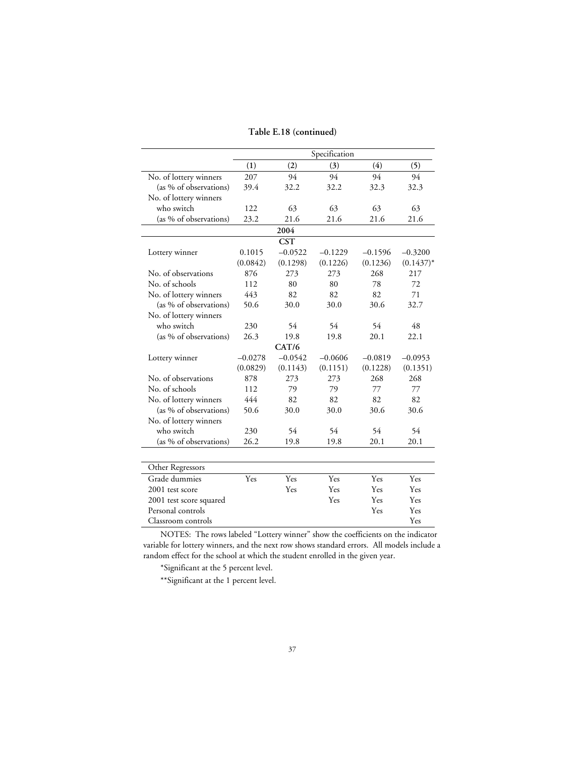#### **Table E.18 (continued)**

|                         |           |            | Specification |           |              |
|-------------------------|-----------|------------|---------------|-----------|--------------|
|                         | (1)       | (2)        | (3)           | (4)       | (5)          |
| No. of lottery winners  | 207       | 94         | 94            | 94        | 94           |
| (as % of observations)  | 39.4      | 32.2       | 32.2          | 32.3      | 32.3         |
| No. of lottery winners  |           |            |               |           |              |
| who switch              | 122       | 63         | 63            | 63        | 63           |
| (as % of observations)  | 23.2      | 21.6       | 21.6          | 21.6      | 21.6         |
|                         |           | 2004       |               |           |              |
|                         |           | <b>CST</b> |               |           |              |
| Lottery winner          | 0.1015    | $-0.0522$  | $-0.1229$     | $-0.1596$ | $-0.3200$    |
|                         | (0.0842)  | (0.1298)   | (0.1226)      | (0.1236)  | $(0.1437)^*$ |
| No. of observations     | 876       | 273        | 273           | 268       | 217          |
| No. of schools          | 112       | 80         | 80            | 78        | 72           |
| No. of lottery winners  | 443       | 82         | 82            | 82        | 71           |
| (as % of observations)  | 50.6      | 30.0       | 30.0          | 30.6      | 32.7         |
| No. of lottery winners  |           |            |               |           |              |
| who switch              | 230       | 54         | 54            | 54        | 48           |
| (as % of observations)  | 26.3      | 19.8       | 19.8          | 20.1      | 22.1         |
|                         |           | CAT/6      |               |           |              |
| Lottery winner          | $-0.0278$ | $-0.0542$  | $-0.0606$     | $-0.0819$ | $-0.0953$    |
|                         | (0.0829)  | (0.1143)   | (0.1151)      | (0.1228)  | (0.1351)     |
| No. of observations     | 878       | 273        | 273           | 268       | 268          |
| No. of schools          | 112       | 79         | 79            | 77        | 77           |
| No. of lottery winners  | 444       | 82         | 82            | 82        | 82           |
| (as % of observations)  | 50.6      | 30.0       | 30.0          | 30.6      | 30.6         |
| No. of lottery winners  |           |            |               |           |              |
| who switch              | 230       | 54         | 54            | 54        | 54           |
| (as % of observations)  | 26.2      | 19.8       | 19.8          | 20.1      | 20.1         |
|                         |           |            |               |           |              |
| Other Regressors        |           |            |               |           |              |
| Grade dummies           | Yes       | Yes        | Yes           | Yes       | Yes          |
| 2001 test score         |           | Yes        | Yes           | Yes       | Yes          |
| 2001 test score squared |           |            | Yes           | Yes       | Yes          |
| Personal controls       |           |            |               | Yes       | Yes          |
| Classroom controls      |           |            |               |           | Yes          |

NOTES: The rows labeled "Lottery winner" show the coefficients on the indicator variable for lottery winners, and the next row shows standard errors. All models include a random effect for the school at which the student enrolled in the given year.

\*Significant at the 5 percent level.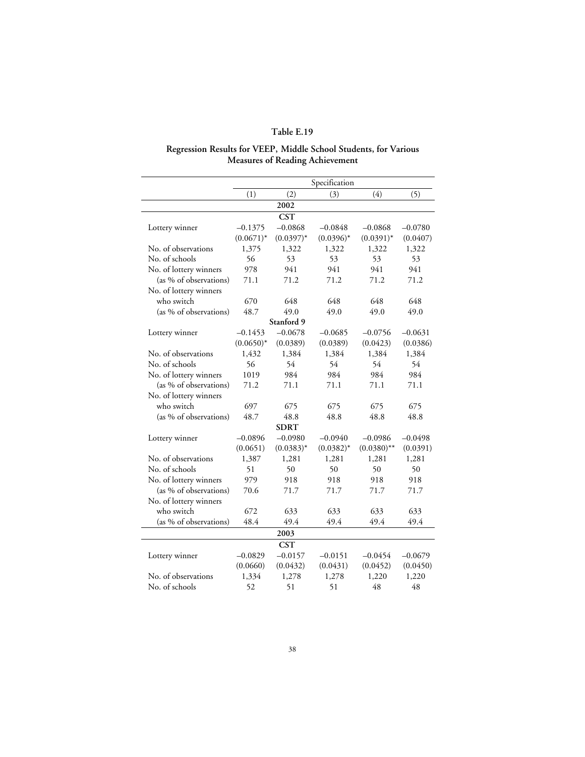# **Regression Results for VEEP, Middle School Students, for Various Measures of Reading Achievement**

|                        |              |              | Specification |               |           |
|------------------------|--------------|--------------|---------------|---------------|-----------|
|                        | (1)          | (2)          | (3)           | (4)           | (5)       |
|                        |              | 2002         |               |               |           |
|                        |              | <b>CST</b>   |               |               |           |
| Lottery winner         | $-0.1375$    | $-0.0868$    | $-0.0848$     | $-0.0868$     | $-0.0780$ |
|                        | $(0.0671)^*$ | $(0.0397)^*$ | $(0.0396)^*$  | $(0.0391)^*$  | (0.0407)  |
| No. of observations    | 1,375        | 1,322        | 1,322         | 1,322         | 1,322     |
| No. of schools         | 56           | 53           | 53            | 53            | 53        |
| No. of lottery winners | 978          | 941          | 941           | 941           | 941       |
| (as % of observations) | 71.1         | 71.2         | 71.2          | 71.2          | 71.2      |
| No. of lottery winners |              |              |               |               |           |
| who switch             | 670          | 648          | 648           | 648           | 648       |
| (as % of observations) | 48.7         | 49.0         | 49.0          | 49.0          | 49.0      |
|                        |              | Stanford 9   |               |               |           |
| Lottery winner         | $-0.1453$    | $-0.0678$    | $-0.0685$     | $-0.0756$     | $-0.0631$ |
|                        | $(0.0650)*$  | (0.0389)     | (0.0389)      | (0.0423)      | (0.0386)  |
| No. of observations    | 1,432        | 1,384        | 1,384         | 1,384         | 1,384     |
| No. of schools         | 56           | 54           | 54            | 54            | 54        |
| No. of lottery winners | 1019         | 984          | 984           | 984           | 984       |
| (as % of observations) | 71.2         | 71.1         | 71.1          | 71.1          | 71.1      |
| No. of lottery winners |              |              |               |               |           |
| who switch             | 697          | 675          | 675           | 675           | 675       |
| (as % of observations) | 48.7         | 48.8         | 48.8          | 48.8          | 48.8      |
|                        |              | SDRT         |               |               |           |
| Lottery winner         | $-0.0896$    | $-0.0980$    | $-0.0940$     | $-0.0986$     | $-0.0498$ |
|                        | (0.0651)     | $(0.0383)^*$ | $(0.0382)^*$  | $(0.0380)$ ** | (0.0391)  |
| No. of observations    | 1,387        | 1.281        | 1,281         | 1,281         | 1,281     |
| No. of schools         | 51           | 50           | 50            | 50            | 50        |
| No. of lottery winners | 979          | 918          | 918           | 918           | 918       |
| (as % of observations) | 70.6         | 71.7         | 71.7          | 71.7          | 71.7      |
| No. of lottery winners |              |              |               |               |           |
| who switch             | 672          | 633          | 633           | 633           | 633       |
| (as % of observations) | 48.4         | 49.4         | 49.4          | 49.4          | 49.4      |
|                        |              | 2003         |               |               |           |
|                        |              | <b>CST</b>   |               |               |           |
| Lottery winner         | $-0.0829$    | $-0.0157$    | $-0.0151$     | $-0.0454$     | $-0.0679$ |
|                        | (0.0660)     | (0.0432)     | (0.0431)      | (0.0452)      | (0.0450)  |
| No. of observations    | 1,334        | 1,278        | 1,278         | 1,220         | 1,220     |
| No. of schools         | 52           | 51           | 51            | 48            | 48        |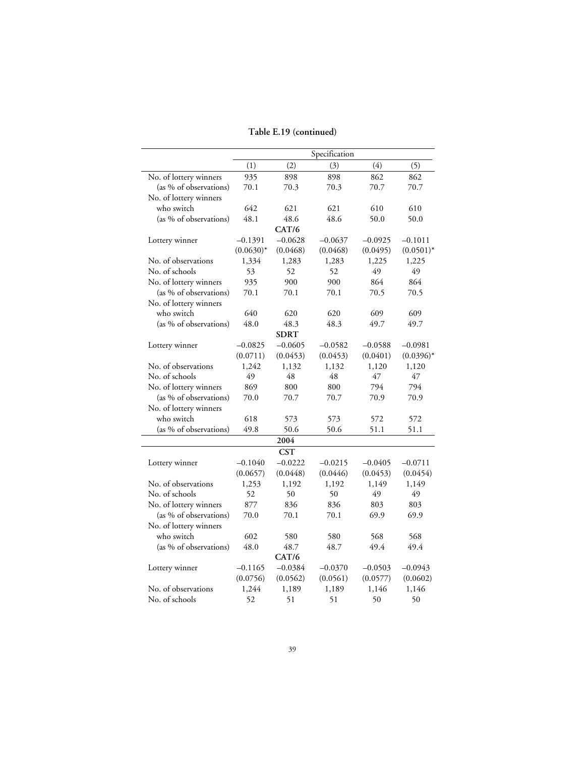### **Table E.19 (continued)**

|                        |              |             | Specification |           |              |
|------------------------|--------------|-------------|---------------|-----------|--------------|
|                        | (1)          | (2)         | (3)           | (4)       | (5)          |
| No. of lottery winners | 935          | 898         | 898           | 862       | 862          |
| (as % of observations) | 70.1         | 70.3        | 70.3          | 70.7      | 70.7         |
| No. of lottery winners |              |             |               |           |              |
| who switch             | 642          | 621         | 621           | 610       | 610          |
| (as % of observations) | 48.1         | 48.6        | 48.6          | 50.0      | 50.0         |
|                        |              | CAT/6       |               |           |              |
| Lottery winner         | $-0.1391$    | $-0.0628$   | $-0.0637$     | $-0.0925$ | $-0.1011$    |
|                        | $(0.0630)^*$ | (0.0468)    | (0.0468)      | (0.0495)  | $(0.0501)^*$ |
| No. of observations    | 1,334        | 1,283       | 1,283         | 1,225     | 1,225        |
| No. of schools         | 53           | 52          | 52            | 49        | 49           |
| No. of lottery winners | 935          | 900         | 900           | 864       | 864          |
| (as % of observations) | 70.1         | 70.1        | 70.1          | 70.5      | 70.5         |
| No. of lottery winners |              |             |               |           |              |
| who switch             | 640          | 620         | 620           | 609       | 609          |
| (as % of observations) | 48.0         | 48.3        | 48.3          | 49.7      | 49.7         |
|                        |              | <b>SDRT</b> |               |           |              |
| Lottery winner         | $-0.0825$    | $-0.0605$   | $-0.0582$     | $-0.0588$ | $-0.0981$    |
|                        | (0.0711)     | (0.0453)    | (0.0453)      | (0.0401)  | $(0.0396)^*$ |
| No. of observations    | 1,242        | 1,132       | 1,132         | 1,120     | 1,120        |
| No. of schools         | 49           | 48          | 48            | 47        | 47           |
| No. of lottery winners | 869          | 800         | 800           | 794       | 794          |
| (as % of observations) | 70.0         | 70.7        | 70.7          | 70.9      | 70.9         |
| No. of lottery winners |              |             |               |           |              |
| who switch             | 618          | 573         | 573           | 572       | 572          |
| (as % of observations) | 49.8         | 50.6        | 50.6          | 51.1      | 51.1         |
|                        |              | 2004        |               |           |              |
|                        |              | <b>CST</b>  |               |           |              |
| Lottery winner         | $-0.1040$    | $-0.0222$   | $-0.0215$     | $-0.0405$ | $-0.0711$    |
|                        | (0.0657)     | (0.0448)    | (0.0446)      | (0.0453)  | (0.0454)     |
| No. of observations    | 1,253        | 1,192       | 1,192         | 1,149     | 1,149        |
| No. of schools         | 52           | 50          | 50            | 49        | 49           |
| No. of lottery winners | 877          | 836         | 836           | 803       | 803          |
| (as % of observations) | 70.0         | 70.1        | 70.1          | 69.9      | 69.9         |
| No. of lottery winners |              |             |               |           |              |
| who switch             | 602          | 580         | 580           | 568       | 568          |
| (as % of observations) | 48.0         | 48.7        | 48.7          | 49.4      | 49.4         |
|                        |              | CAT/6       |               |           |              |
| Lottery winner         | $-0.1165$    | $-0.0384$   | $-0.0370$     | $-0.0503$ | $-0.0943$    |
|                        | (0.0756)     | (0.0562)    | (0.0561)      | (0.0577)  | (0.0602)     |
| No. of observations    | 1,244        | 1,189       | 1,189         | 1,146     | 1,146        |
| No. of schools         | 52           | 51          | 51            | 50        | 50           |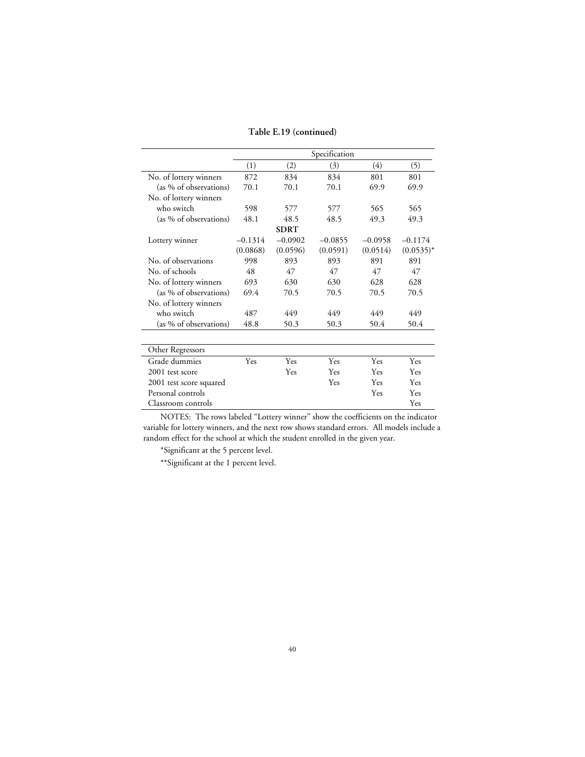#### **Table E.19 (continued)**

|                         |           |             | Specification |            |              |
|-------------------------|-----------|-------------|---------------|------------|--------------|
|                         | (1)       | (2)         | (3)           | (4)        | (5)          |
| No. of lottery winners  | 872       | 834         | 834           | 801        | 801          |
| (as % of observations)  | 70.1      | 70.1        | 70.1          | 69.9       | 69.9         |
| No. of lottery winners  |           |             |               |            |              |
| who switch              | 598       | 577         | 577           | 565        | 565          |
| (as % of observations)  | 48.1      | 48.5        | 48.5          | 49.3       | 49.3         |
|                         |           | <b>SDRT</b> |               |            |              |
| Lottery winner          | $-0.1314$ | $-0.0902$   | $-0.0855$     | $-0.0958$  | $-0.1174$    |
|                         | (0.0868)  | (0.0596)    | (0.0591)      | (0.0514)   | $(0.0535)^*$ |
| No. of observations     | 998       | 893         | 893           | 891        | 891          |
| No. of schools          | 48        | 47          | 47            | 47         | 47           |
| No. of lottery winners  | 693       | 630         | 630           | 628        | 628          |
| (as % of observations)  | 69.4      | 70.5        | 70.5          | 70.5       | 70.5         |
| No. of lottery winners  |           |             |               |            |              |
| who switch              | 487       | 449         | 449           | 449        | 449          |
| (as % of observations)  | 48.8      | 50.3        | 50.3          | 50.4       | 50.4         |
| Other Regressors        |           |             |               |            |              |
| Grade dummies           | Yes       | Yes         | Yes           | Yes        | Yes          |
| 2001 test score         |           | Yes         | Yes           | Yes        | Yes          |
| 2001 test score squared |           |             | Yes           | <b>Yes</b> | Yes          |
| Personal controls       |           |             |               | Yes        | Yes          |
| Classroom controls      |           |             |               |            | Yes          |

NOTES: The rows labeled "Lottery winner" show the coefficients on the indicator variable for lottery winners, and the next row shows standard errors. All models include a random effect for the school at which the student enrolled in the given year.

\*Significant at the 5 percent level.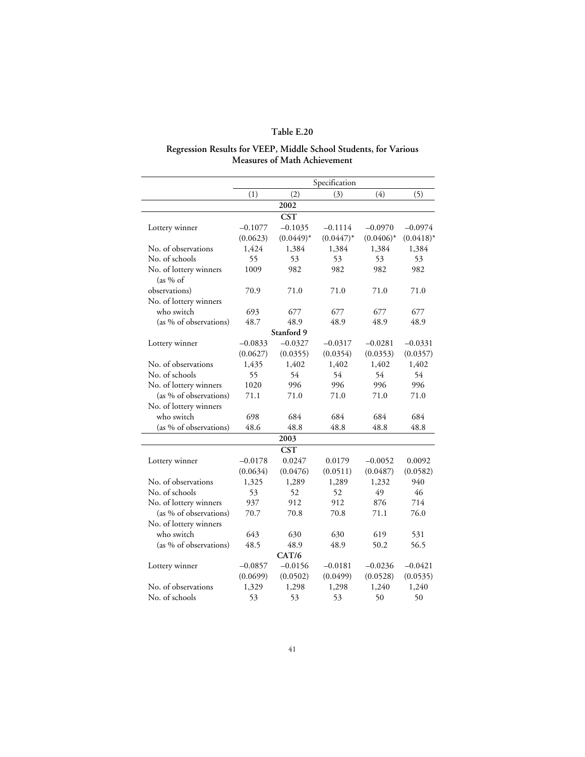#### **Regression Results for VEEP, Middle School Students, for Various Measures of Math Achievement**

|                                     |           |              | Specification |              |              |
|-------------------------------------|-----------|--------------|---------------|--------------|--------------|
|                                     | (1)       | (2)          | (3)           | (4)          | (5)          |
|                                     |           | 2002         |               |              |              |
|                                     |           | <b>CST</b>   |               |              |              |
| Lottery winner                      | $-0.1077$ | $-0.1035$    | $-0.1114$     | $-0.0970$    | $-0.0974$    |
|                                     | (0.0623)  | $(0.0449)^*$ | $(0.0447)^*$  | $(0.0406)^*$ | $(0.0418)^*$ |
| No. of observations                 | 1,424     | 1,384        | 1,384         | 1,384        | 1,384        |
| No. of schools                      | 55        | 53           | 53            | 53           | 53           |
| No. of lottery winners<br>(as 96 of | 1009      | 982          | 982           | 982          | 982          |
| observations)                       | 70.9      | 71.0         | 71.0          | 71.0         | 71.0         |
| No. of lottery winners              |           |              |               |              |              |
| who switch                          | 693       | 677          | 677           | 677          | 677          |
| (as % of observations)              | 48.7      | 48.9         | 48.9          | 48.9         | 48.9         |
|                                     |           | Stanford 9   |               |              |              |
| Lottery winner                      | $-0.0833$ | $-0.0327$    | $-0.0317$     | $-0.0281$    | $-0.0331$    |
|                                     | (0.0627)  | (0.0355)     | (0.0354)      | (0.0353)     | (0.0357)     |
| No. of observations                 | 1,435     | 1,402        | 1,402         | 1,402        | 1,402        |
| No. of schools                      | 55        | 54           | 54            | 54           | 54           |
| No. of lottery winners              | 1020      | 996          | 996           | 996          | 996          |
| (as % of observations)              | 71.1      | 71.0         | 71.0          | 71.0         | 71.0         |
| No. of lottery winners              |           |              |               |              |              |
| who switch                          | 698       | 684          | 684           | 684          | 684          |
| (as % of observations)              | 48.6      | 48.8         | 48.8          | 48.8         | 48.8         |
|                                     |           | 2003         |               |              |              |
|                                     |           | <b>CST</b>   |               |              |              |
| Lottery winner                      | $-0.0178$ | 0.0247       | 0.0179        | $-0.0052$    | 0.0092       |
|                                     | (0.0634)  | (0.0476)     | (0.0511)      | (0.0487)     | (0.0582)     |
| No. of observations                 | 1,325     | 1,289        | 1,289         | 1,232        | 940          |
| No. of schools                      | 53        | 52           | 52            | 49           | 46           |
| No. of lottery winners              | 937       | 912          | 912           | 876          | 714          |
| (as % of observations)              | 70.7      | 70.8         | 70.8          | 71.1         | 76.0         |
| No. of lottery winners              |           |              |               |              |              |
| who switch                          | 643       | 630          | 630           | 619          | 531          |
| (as % of observations)              | 48.5      | 48.9         | 48.9          | 50.2         | 56.5         |
|                                     |           | CAT/6        |               |              |              |
| Lottery winner                      | $-0.0857$ | $-0.0156$    | $-0.0181$     | $-0.0236$    | $-0.0421$    |
|                                     | (0.0699)  | (0.0502)     | (0.0499)      | (0.0528)     | (0.0535)     |
| No. of observations                 | 1,329     | 1,298        | 1,298         | 1,240        | 1,240        |
| No. of schools                      | 53        | 53           | 53            | 50           | 50           |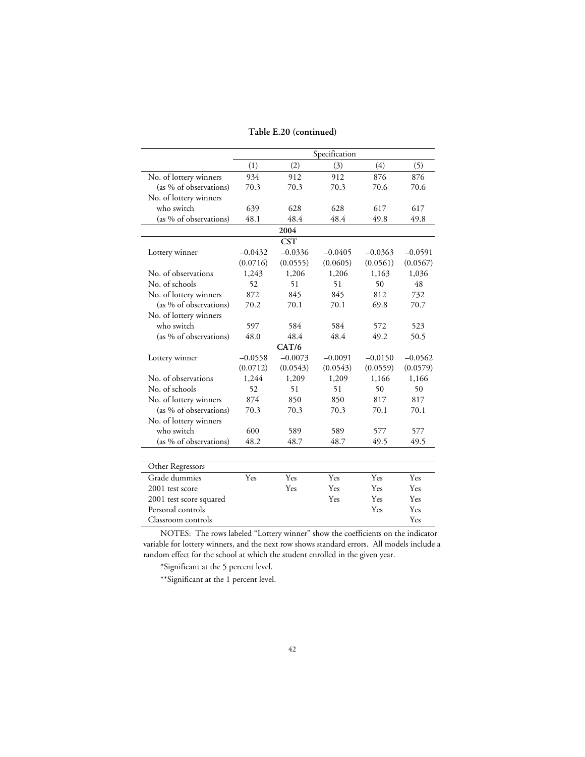#### **Table E.20 (continued)**

|                         |           |            | Specification |           |           |
|-------------------------|-----------|------------|---------------|-----------|-----------|
|                         | (1)       | (2)        | (3)           | (4)       | (5)       |
| No. of lottery winners  | 934       | 912        | 912           | 876       | 876       |
| (as % of observations)  | 70.3      | 70.3       | 70.3          | 70.6      | 70.6      |
| No. of lottery winners  |           |            |               |           |           |
| who switch              | 639       | 628        | 628           | 617       | 617       |
| (as % of observations)  | 48.1      | 48.4       | 48.4          | 49.8      | 49.8      |
|                         |           | 2004       |               |           |           |
|                         |           | <b>CST</b> |               |           |           |
| Lottery winner          | $-0.0432$ | $-0.0336$  | $-0.0405$     | $-0.0363$ | $-0.0591$ |
|                         | (0.0716)  | (0.0555)   | (0.0605)      | (0.0561)  | (0.0567)  |
| No. of observations     | 1,243     | 1,206      | 1,206         | 1,163     | 1,036     |
| No. of schools          | 52        | 51         | 51            | 50        | 48        |
| No. of lottery winners  | 872       | 845        | 845           | 812       | 732       |
| (as % of observations)  | 70.2      | 70.1       | 70.1          | 69.8      | 70.7      |
| No. of lottery winners  |           |            |               |           |           |
| who switch              | 597       | 584        | 584           | 572       | 523       |
| (as % of observations)  | 48.0      | 48.4       | 48.4          | 49.2      | 50.5      |
|                         |           | CAT/6      |               |           |           |
| Lottery winner          | $-0.0558$ | $-0.0073$  | $-0.0091$     | $-0.0150$ | $-0.0562$ |
|                         | (0.0712)  | (0.0543)   | (0.0543)      | (0.0559)  | (0.0579)  |
| No. of observations     | 1,244     | 1,209      | 1,209         | 1,166     | 1,166     |
| No. of schools          | 52        | 51         | 51            | 50        | 50        |
| No. of lottery winners  | 874       | 850        | 850           | 817       | 817       |
| (as % of observations)  | 70.3      | 70.3       | 70.3          | 70.1      | 70.1      |
| No. of lottery winners  |           |            |               |           |           |
| who switch              | 600       | 589        | 589           | 577       | 577       |
| (as % of observations)  | 48.2      | 48.7       | 48.7          | 49.5      | 49.5      |
|                         |           |            |               |           |           |
| Other Regressors        |           |            |               |           |           |
| Grade dummies           | Yes       | Yes        | Yes           | Yes       | Yes       |
| 2001 test score         |           | Yes        | Yes           | Yes       | Yes       |
| 2001 test score squared |           |            | Yes           | Yes       | Yes       |
| Personal controls       |           |            |               | Yes       | Yes       |
| Classroom controls      |           |            |               |           | Yes       |

NOTES: The rows labeled "Lottery winner" show the coefficients on the indicator variable for lottery winners, and the next row shows standard errors. All models include a random effect for the school at which the student enrolled in the given year.

\*Significant at the 5 percent level.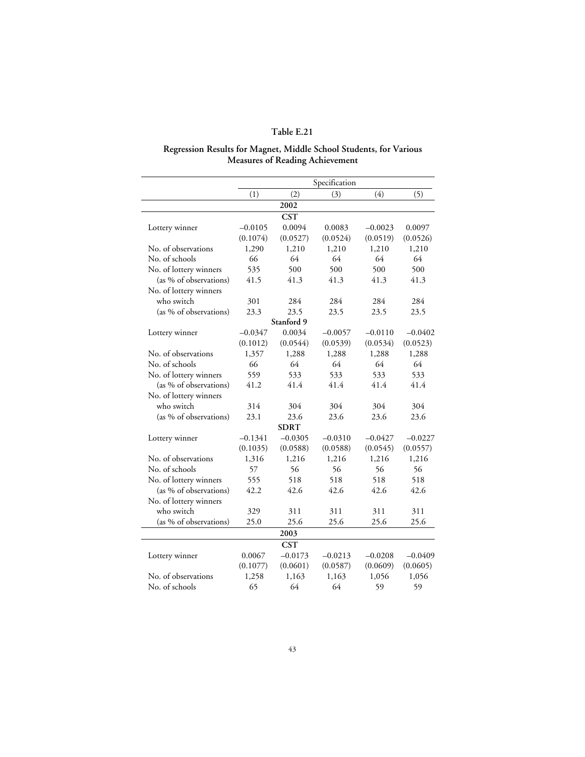#### **Regression Results for Magnet, Middle School Students, for Various Measures of Reading Achievement**

|                        |           |             | Specification |           |           |
|------------------------|-----------|-------------|---------------|-----------|-----------|
|                        | (1)       | (2)         | (3)           | (4)       | (5)       |
|                        |           | 2002        |               |           |           |
|                        |           | <b>CST</b>  |               |           |           |
| Lottery winner         | $-0.0105$ | 0.0094      | 0.0083        | $-0.0023$ | 0.0097    |
|                        | (0.1074)  | (0.0527)    | (0.0524)      | (0.0519)  | (0.0526)  |
| No. of observations    | 1,290     | 1,210       | 1,210         | 1,210     | 1,210     |
| No. of schools         | 66        | 64          | 64            | 64        | 64        |
| No. of lottery winners | 535       | 500         | 500           | 500       | 500       |
| (as % of observations) | 41.5      | 41.3        | 41.3          | 41.3      | 41.3      |
| No. of lottery winners |           |             |               |           |           |
| who switch             | 301       | 284         | 284           | 284       | 284       |
| (as % of observations) | 23.3      | 23.5        | 23.5          | 23.5      | 23.5      |
|                        |           | Stanford 9  |               |           |           |
| Lottery winner         | $-0.0347$ | 0.0034      | $-0.0057$     | $-0.0110$ | $-0.0402$ |
|                        | (0.1012)  | (0.0544)    | (0.0539)      | (0.0534)  | (0.0523)  |
| No. of observations    | 1,357     | 1,288       | 1,288         | 1,288     | 1,288     |
| No. of schools         | 66        | 64          | 64            | 64        | 64        |
| No. of lottery winners | 559       | 533         | 533           | 533       | 533       |
| (as % of observations) | 41.2      | 41.4        | 41.4          | 41.4      | 41.4      |
| No. of lottery winners |           |             |               |           |           |
| who switch             | 314       | 304         | 304           | 304       | 304       |
| (as % of observations) | 23.1      | 23.6        | 23.6          | 23.6      | 23.6      |
|                        |           | <b>SDRT</b> |               |           |           |
| Lottery winner         | $-0.1341$ | $-0.0305$   | $-0.0310$     | $-0.0427$ | $-0.0227$ |
|                        | (0.1035)  | (0.0588)    | (0.0588)      | (0.0545)  | (0.0557)  |
| No. of observations    | 1,316     | 1,216       | 1,216         | 1,216     | 1,216     |
| No. of schools         | 57        | 56          | 56            | 56        | 56        |
| No. of lottery winners | 555       | 518         | 518           | 518       | 518       |
| (as % of observations) | 42.2      | 42.6        | 42.6          | 42.6      | 42.6      |
| No. of lottery winners |           |             |               |           |           |
| who switch             | 329       | 311         | 311           | 311       | 311       |
| (as % of observations) | 25.0      | 25.6        | 25.6          | 25.6      | 25.6      |
|                        |           | 2003        |               |           |           |
|                        |           | <b>CST</b>  |               |           |           |
| Lottery winner         | 0.0067    | $-0.0173$   | $-0.0213$     | $-0.0208$ | $-0.0409$ |
|                        | (0.1077)  | (0.0601)    | (0.0587)      | (0.0609)  | (0.0605)  |
| No. of observations    | 1,258     | 1,163       | 1,163         | 1,056     | 1,056     |
| No. of schools         | 65        | 64          | 64            | 59        | 59        |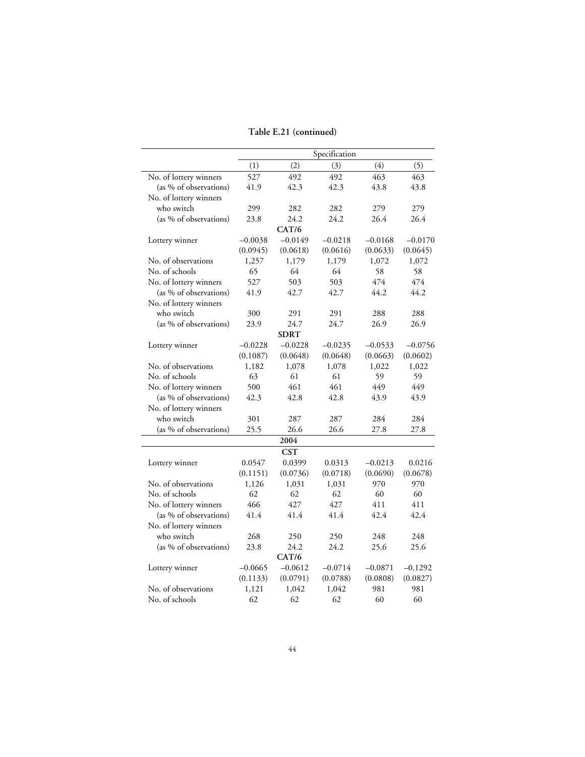### **Table E.21 (continued)**

|                        |           |             | Specification |           |           |
|------------------------|-----------|-------------|---------------|-----------|-----------|
|                        | (1)       | (2)         | (3)           | (4)       | (5)       |
| No. of lottery winners | 527       | 492         | 492           | 463       | 463       |
| (as % of observations) | 41.9      | 42.3        | 42.3          | 43.8      | 43.8      |
| No. of lottery winners |           |             |               |           |           |
| who switch             | 299       | 282         | 282           | 279       | 279       |
| (as % of observations) | 23.8      | 24.2        | 24.2          | 26.4      | 26.4      |
|                        |           | CAT/6       |               |           |           |
| Lottery winner         | $-0.0038$ | $-0.0149$   | $-0.0218$     | $-0.0168$ | $-0.0170$ |
|                        | (0.0945)  | (0.0618)    | (0.0616)      | (0.0633)  | (0.0645)  |
| No. of observations    | 1,257     | 1,179       | 1,179         | 1,072     | 1,072     |
| No. of schools         | 65        | 64          | 64            | 58        | 58        |
| No. of lottery winners | 527       | 503         | 503           | 474       | 474       |
| (as % of observations) | 41.9      | 42.7        | 42.7          | 44.2      | 44.2      |
| No. of lottery winners |           |             |               |           |           |
| who switch             | 300       | 291         | 291           | 288       | 288       |
| (as % of observations) | 23.9      | 24.7        | 24.7          | 26.9      | 26.9      |
|                        |           | <b>SDRT</b> |               |           |           |
| Lottery winner         | $-0.0228$ | $-0.0228$   | $-0.0235$     | $-0.0533$ | $-0.0756$ |
|                        | (0.1087)  | (0.0648)    | (0.0648)      | (0.0663)  | (0.0602)  |
| No. of observations    | 1,182     | 1,078       | 1,078         | 1,022     | 1,022     |
| No. of schools         | 63        | 61          | 61            | 59        | 59        |
| No. of lottery winners | 500       | 461         | 461           | 449       | 449       |
| (as % of observations) | 42.3      | 42.8        | 42.8          | 43.9      | 43.9      |
| No. of lottery winners |           |             |               |           |           |
| who switch             | 301       | 287         | 287           | 284       | 284       |
| (as % of observations) | 25.5      | 26.6        | 26.6          | 27.8      | 27.8      |
|                        |           | 2004        |               |           |           |
|                        |           | <b>CST</b>  |               |           |           |
| Lottery winner         | 0.0547    | 0.0399      | 0.0313        | $-0.0213$ | 0.0216    |
|                        | (0.1151)  | (0.0736)    | (0.0718)      | (0.0690)  | (0.0678)  |
| No. of observations    | 1,126     | 1,031       | 1,031         | 970       | 970       |
| No. of schools         | 62        | 62          | 62            | 60        | 60        |
| No. of lottery winners | 466       | 427         | 427           | 411       | 411       |
| (as % of observations) | 41.4      | 41.4        | 41.4          | 42.4      | 42.4      |
| No. of lottery winners |           |             |               |           |           |
| who switch             | 268       | 250         | 250           | 248       | 248       |
| (as % of observations) | 23.8      | 24.2        | 24.2          | 25.6      | 25.6      |
|                        |           | CAT/6       |               |           |           |
| Lottery winner         | $-0.0665$ | $-0.0612$   | $-0.0714$     | $-0.0871$ | $-0.1292$ |
|                        | (0.1133)  | (0.0791)    | (0.0788)      | (0.0808)  | (0.0827)  |
| No. of observations    | 1,121     | 1,042       | 1,042         | 981       | 981       |
| No. of schools         | 62        | 62          | 62            | 60        | 60        |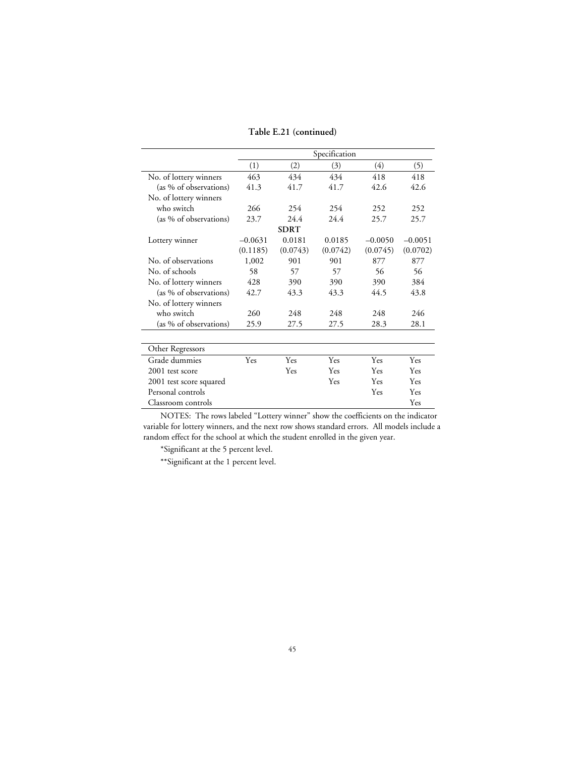**Table E.21 (continued)**

|                         | Specification |             |          |            |           |
|-------------------------|---------------|-------------|----------|------------|-----------|
|                         | (1)           | (2)         | (3)      | (4)        | (5)       |
| No. of lottery winners  | 463           | 434         | 434      | 418        | 418       |
| (as % of observations)  | 41.3          | 41.7        | 41.7     | 42.6       | 42.6      |
| No. of lottery winners  |               |             |          |            |           |
| who switch              | 266           | 254         | 254      | 252        | 252       |
| (as % of observations)  | 23.7          | 24.4        | 24.4     | 25.7       | 25.7      |
|                         |               | <b>SDRT</b> |          |            |           |
| Lottery winner          | $-0.0631$     | 0.0181      | 0.0185   | $-0.0050$  | $-0.0051$ |
|                         | (0.1185)      | (0.0743)    | (0.0742) | (0.0745)   | (0.0702)  |
| No. of observations     | 1,002         | 901         | 901      | 877        | 877       |
| No. of schools          | 58            | 57          | 57       | 56         | 56        |
| No. of lottery winners  | 428           | 390         | 390      | 390        | 384       |
| (as % of observations)  | 42.7          | 43.3        | 43.3     | 44.5       | 43.8      |
| No. of lottery winners  |               |             |          |            |           |
| who switch              | 260           | 248         | 248      | 248        | 246       |
| (as % of observations)  | 25.9          | 27.5        | 27.5     | 28.3       | 28.1      |
|                         |               |             |          |            |           |
| Other Regressors        |               |             |          |            |           |
| Grade dummies           | Yes           | Yes         | Yes      | Yes        | Yes       |
| 2001 test score         |               | Yes         | Yes      | <b>Yes</b> | Yes       |
| 2001 test score squared |               |             | Yes      | Yes        | Yes       |
| Personal controls       |               |             |          | Yes        | Yes       |
| Classroom controls      |               |             |          |            | Yes       |

\*Significant at the 5 percent level.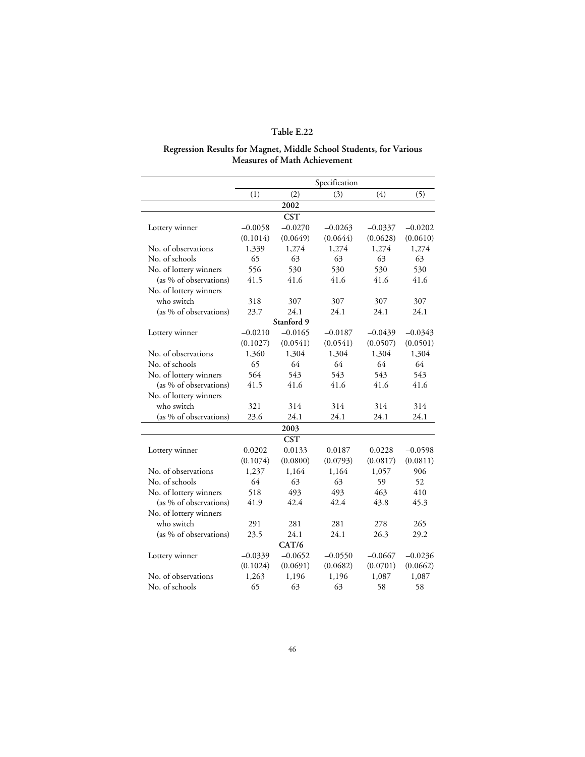#### **Regression Results for Magnet, Middle School Students, for Various Measures of Math Achievement**

|                        |           |            | Specification |           |           |
|------------------------|-----------|------------|---------------|-----------|-----------|
|                        | (1)       | (2)        | (3)           | (4)       | (5)       |
|                        |           | 2002       |               |           |           |
|                        |           | <b>CST</b> |               |           |           |
| Lottery winner         | $-0.0058$ | $-0.0270$  | $-0.0263$     | $-0.0337$ | $-0.0202$ |
|                        | (0.1014)  | (0.0649)   | (0.0644)      | (0.0628)  | (0.0610)  |
| No. of observations    | 1,339     | 1,274      | 1,274         | 1,274     | 1,274     |
| No. of schools         | 65        | 63         | 63            | 63        | 63        |
| No. of lottery winners | 556       | 530        | 530           | 530       | 530       |
| (as % of observations) | 41.5      | 41.6       | 41.6          | 41.6      | 41.6      |
| No. of lottery winners |           |            |               |           |           |
| who switch             | 318       | 307        | 307           | 307       | 307       |
| (as % of observations) | 23.7      | 24.1       | 24.1          | 24.1      | 24.1      |
|                        |           | Stanford 9 |               |           |           |
| Lottery winner         | $-0.0210$ | $-0.0165$  | $-0.0187$     | $-0.0439$ | $-0.0343$ |
|                        | (0.1027)  | (0.0541)   | (0.0541)      | (0.0507)  | (0.0501)  |
| No. of observations    | 1,360     | 1,304      | 1,304         | 1,304     | 1,304     |
| No. of schools         | 65        | 64         | 64            | 64        | 64        |
| No. of lottery winners | 564       | 543        | 543           | 543       | 543       |
| (as % of observations) | 41.5      | 41.6       | 41.6          | 41.6      | 41.6      |
| No. of lottery winners |           |            |               |           |           |
| who switch             | 321       | 314        | 314           | 314       | 314       |
| (as % of observations) | 23.6      | 24.1       | 24.1          | 24.1      | 24.1      |
|                        |           | 2003       |               |           |           |
|                        |           | <b>CST</b> |               |           |           |
| Lottery winner         | 0.0202    | 0.0133     | 0.0187        | 0.0228    | $-0.0598$ |
|                        | (0.1074)  | (0.0800)   | (0.0793)      | (0.0817)  | (0.0811)  |
| No. of observations    | 1,237     | 1,164      | 1,164         | 1,057     | 906       |
| No. of schools         | 64        | 63         | 63            | 59        | 52        |
| No. of lottery winners | 518       | 493        | 493           | 463       | 410       |
| (as % of observations) | 41.9      | 42.4       | 42.4          | 43.8      | 45.3      |
| No. of lottery winners |           |            |               |           |           |
| who switch             | 291       | 281        | 281           | 278       | 265       |
| (as % of observations) | 23.5      | 24.1       | 24.1          | 26.3      | 29.2      |
|                        |           | CAT/6      |               |           |           |
| Lottery winner         | $-0.0339$ | $-0.0652$  | $-0.0550$     | $-0.0667$ | $-0.0236$ |
|                        | (0.1024)  | (0.0691)   | (0.0682)      | (0.0701)  | (0.0662)  |
| No. of observations    | 1,263     | 1,196      | 1,196         | 1,087     | 1,087     |
| No. of schools         | 65        | 63         | 63            | 58        | 58        |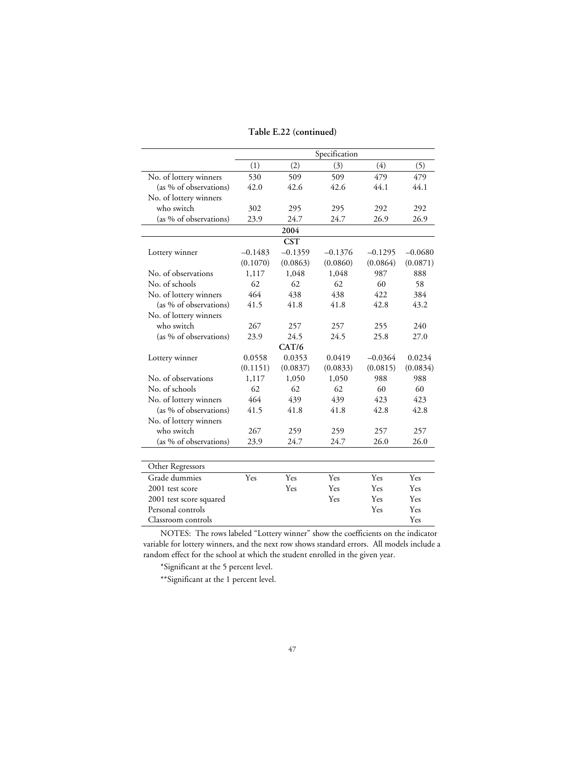**Table E.22 (continued)**

|                         |           |            | Specification |           |           |
|-------------------------|-----------|------------|---------------|-----------|-----------|
|                         | (1)       | (2)        | (3)           | (4)       | (5)       |
| No. of lottery winners  | 530       | 509        | 509           | 479       | 479       |
| (as % of observations)  | 42.0      | 42.6       | 42.6          | 44.1      | 44.1      |
| No. of lottery winners  |           |            |               |           |           |
| who switch              | 302       | 295        | 295           | 292       | 292       |
| (as % of observations)  | 23.9      | 24.7       | 24.7          | 26.9      | 26.9      |
|                         |           | 2004       |               |           |           |
|                         |           | <b>CST</b> |               |           |           |
| Lottery winner          | $-0.1483$ | $-0.1359$  | $-0.1376$     | $-0.1295$ | $-0.0680$ |
|                         | (0.1070)  | (0.0863)   | (0.0860)      | (0.0864)  | (0.0871)  |
| No. of observations     | 1,117     | 1,048      | 1.048         | 987       | 888       |
| No. of schools          | 62        | 62         | 62            | 60        | 58        |
| No. of lottery winners  | 464       | 438        | 438           | 422       | 384       |
| (as % of observations)  | 41.5      | 41.8       | 41.8          | 42.8      | 43.2      |
| No. of lottery winners  |           |            |               |           |           |
| who switch              | 267       | 257        | 257           | 255       | 240       |
| (as % of observations)  | 23.9      | 24.5       | 24.5          | 25.8      | 27.0      |
|                         |           | CAT/6      |               |           |           |
| Lottery winner          | 0.0558    | 0.0353     | 0.0419        | $-0.0364$ | 0.0234    |
|                         | (0.1151)  | (0.0837)   | (0.0833)      | (0.0815)  | (0.0834)  |
| No. of observations     | 1,117     | 1,050      | 1,050         | 988       | 988       |
| No. of schools          | 62        | 62         | 62            | 60        | 60        |
| No. of lottery winners  | 464       | 439        | 439           | 423       | 423       |
| (as % of observations)  | 41.5      | 41.8       | 41.8          | 42.8      | 42.8      |
| No. of lottery winners  |           |            |               |           |           |
| who switch              | 267       | 259        | 259           | 257       | 257       |
| (as % of observations)  | 23.9      | 24.7       | 24.7          | 26.0      | 26.0      |
|                         |           |            |               |           |           |
| Other Regressors        |           |            |               |           |           |
| Grade dummies           | Yes       | Yes        | Yes           | Yes       | Yes       |
| 2001 test score         |           | Yes        | Yes           | Yes       | Yes       |
| 2001 test score squared |           |            | Yes           | Yes       | Yes       |
| Personal controls       |           |            |               | Yes       | Yes       |
| Classroom controls      |           |            |               |           | Yes       |

\*Significant at the 5 percent level.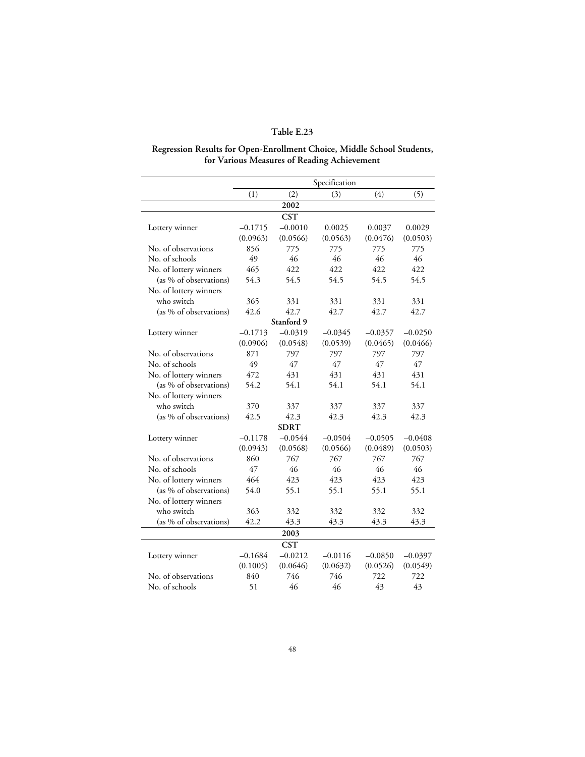## **Regression Results for Open-Enrollment Choice, Middle School Students, for Various Measures of Reading Achievement**

|                        |           |             | Specification |           |           |
|------------------------|-----------|-------------|---------------|-----------|-----------|
|                        | (1)       | (2)         | (3)           | (4)       | (5)       |
|                        |           | 2002        |               |           |           |
|                        |           | <b>CST</b>  |               |           |           |
| Lottery winner         | $-0.1715$ | $-0.0010$   | 0.0025        | 0.0037    | 0.0029    |
|                        | (0.0963)  | (0.0566)    | (0.0563)      | (0.0476)  | (0.0503)  |
| No. of observations    | 856       | 775         | 775           | 775       | 775       |
| No. of schools         | 49        | 46          | 46            | 46        | 46        |
| No. of lottery winners | 465       | 422         | 422           | 422       | 422       |
| (as % of observations) | 54.3      | 54.5        | 54.5          | 54.5      | 54.5      |
| No. of lottery winners |           |             |               |           |           |
| who switch             | 365       | 331         | 331           | 331       | 331       |
| (as % of observations) | 42.6      | 42.7        | 42.7          | 42.7      | 42.7      |
|                        |           | Stanford 9  |               |           |           |
| Lottery winner         | $-0.1713$ | $-0.0319$   | $-0.0345$     | $-0.0357$ | $-0.0250$ |
|                        | (0.0906)  | (0.0548)    | (0.0539)      | (0.0465)  | (0.0466)  |
| No. of observations    | 871       | 797         | 797           | 797       | 797       |
| No. of schools         | 49        | 47          | 47            | 47        | 47        |
| No. of lottery winners | 472       | 431         | 431           | 431       | 431       |
| (as % of observations) | 54.2      | 54.1        | 54.1          | 54.1      | 54.1      |
| No. of lottery winners |           |             |               |           |           |
| who switch             | 370       | 337         | 337           | 337       | 337       |
| (as % of observations) | 42.5      | 42.3        | 42.3          | 42.3      | 42.3      |
|                        |           | <b>SDRT</b> |               |           |           |
| Lottery winner         | $-0.1178$ | $-0.0544$   | $-0.0504$     | $-0.0505$ | $-0.0408$ |
|                        | (0.0943)  | (0.0568)    | (0.0566)      | (0.0489)  | (0.0503)  |
| No. of observations    | 860       | 767         | 767           | 767       | 767       |
| No. of schools         | 47        | 46          | 46            | 46        | 46        |
| No. of lottery winners | 464       | 423         | 423           | 423       | 423       |
| (as % of observations) | 54.0      | 55.1        | 55.1          | 55.1      | 55.1      |
| No. of lottery winners |           |             |               |           |           |
| who switch             | 363       | 332         | 332           | 332       | 332       |
| (as % of observations) | 42.2      | 43.3        | 43.3          | 43.3      | 43.3      |
|                        |           | 2003        |               |           |           |
|                        |           | <b>CST</b>  |               |           |           |
| Lottery winner         | $-0.1684$ | $-0.0212$   | $-0.0116$     | $-0.0850$ | $-0.0397$ |
|                        | (0.1005)  | (0.0646)    | (0.0632)      | (0.0526)  | (0.0549)  |
| No. of observations    | 840       | 746         | 746           | 722       | 722       |
| No. of schools         | 51        | 46          | 46            | 43        | 43        |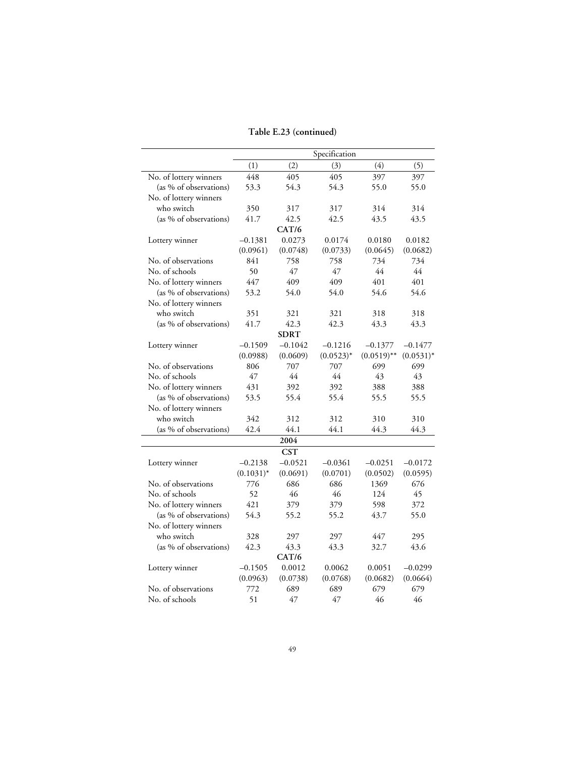### **Table E.23 (continued)**

|                        |              |             | Specification |               |              |
|------------------------|--------------|-------------|---------------|---------------|--------------|
|                        | (1)          | (2)         | (3)           | (4)           | (5)          |
| No. of lottery winners | 448          | 405         | 405           | 397           | 397          |
| (as % of observations) | 53.3         | 54.3        | 54.3          | 55.0          | 55.0         |
| No. of lottery winners |              |             |               |               |              |
| who switch             | 350          | 317         | 317           | 314           | 314          |
| (as % of observations) | 41.7         | 42.5        | 42.5          | 43.5          | 43.5         |
|                        |              | CAT/6       |               |               |              |
| Lottery winner         | $-0.1381$    | 0.0273      | 0.0174        | 0.0180        | 0.0182       |
|                        | (0.0961)     | (0.0748)    | (0.0733)      | (0.0645)      | (0.0682)     |
| No. of observations    | 841          | 758         | 758           | 734           | 734          |
| No. of schools         | 50           | 47          | 47            | 44            | 44           |
| No. of lottery winners | 447          | 409         | 409           | 401           | 401          |
| (as % of observations) | 53.2         | 54.0        | 54.0          | 54.6          | 54.6         |
| No. of lottery winners |              |             |               |               |              |
| who switch             | 351          | 321         | 321           | 318           | 318          |
| (as % of observations) | 41.7         | 42.3        | 42.3          | 43.3          | 43.3         |
|                        |              | <b>SDRT</b> |               |               |              |
| Lottery winner         | $-0.1509$    | $-0.1042$   | $-0.1216$     | $-0.1377$     | $-0.1477$    |
|                        | (0.0988)     | (0.0609)    | $(0.0523)^*$  | $(0.0519)$ ** | $(0.0531)^*$ |
| No. of observations    | 806          | 707         | 707           | 699           | 699          |
| No. of schools         | 47           | 44          | 44            | 43            | 43           |
| No. of lottery winners | 431          | 392         | 392           | 388           | 388          |
| (as % of observations) | 53.5         | 55.4        | 55.4          | 55.5          | 55.5         |
| No. of lottery winners |              |             |               |               |              |
| who switch             | 342          | 312         | 312           | 310           | 310          |
| (as % of observations) | 42.4         | 44.1        | 44.1          | 44.3          | 44.3         |
|                        |              | 2004        |               |               |              |
|                        |              | <b>CST</b>  |               |               |              |
| Lottery winner         | $-0.2138$    | $-0.0521$   | $-0.0361$     | $-0.0251$     | $-0.0172$    |
|                        | $(0.1031)^*$ | (0.0691)    | (0.0701)      | (0.0502)      | (0.0595)     |
| No. of observations    | 776          | 686         | 686           | 1369          | 676          |
| No. of schools         | 52           | 46          | 46            | 124           | 45           |
| No. of lottery winners | 421          | 379         | 379           | 598           | 372          |
| (as % of observations) | 54.3         | 55.2        | 55.2          | 43.7          | 55.0         |
| No. of lottery winners |              |             |               |               |              |
| who switch             | 328          | 297         | 297           | 447           | 295          |
| (as % of observations) | 42.3         | 43.3        | 43.3          | 32.7          | 43.6         |
|                        |              | CAT/6       |               |               |              |
| Lottery winner         | $-0.1505$    | 0.0012      | 0.0062        | 0.0051        | $-0.0299$    |
|                        | (0.0963)     | (0.0738)    | (0.0768)      | (0.0682)      | (0.0664)     |
| No. of observations    | 772          | 689         | 689           | 679           | 679          |
| No. of schools         | 51           | 47          | 47            | 46            | 46           |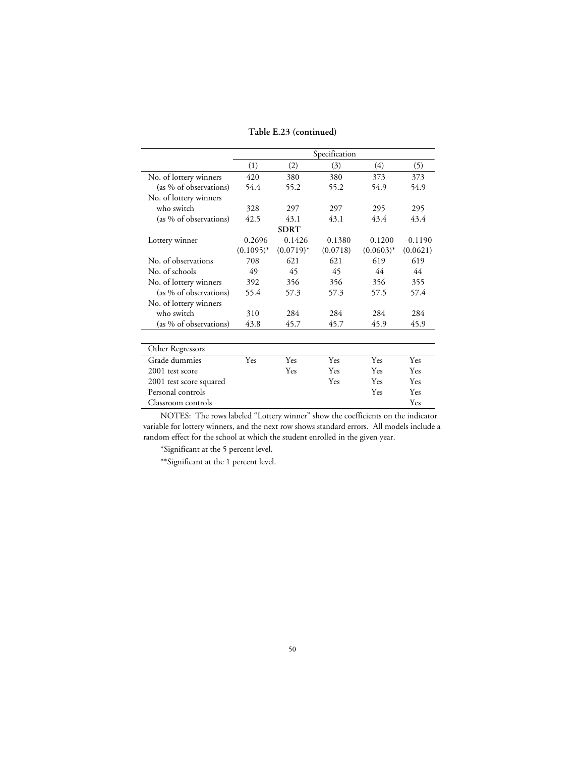#### **Table E.23 (continued)**

|                         | Specification |              |           |              |           |
|-------------------------|---------------|--------------|-----------|--------------|-----------|
|                         | (1)           | (2)          | (3)       | (4)          | (5)       |
| No. of lottery winners  | 420           | 380          | 380       | 373          | 373       |
| (as % of observations)  | 54.4          | 55.2         | 55.2      | 54.9         | 54.9      |
| No. of lottery winners  |               |              |           |              |           |
| who switch              | 328           | 297          | 297       | 295          | 295       |
| (as % of observations)  | 42.5          | 43.1         | 43.1      | 43.4         | 43.4      |
|                         |               | <b>SDRT</b>  |           |              |           |
| Lottery winner          | $-0.2696$     | $-0.1426$    | $-0.1380$ | $-0.1200$    | $-0.1190$ |
|                         | $(0.1095)^*$  | $(0.0719)^*$ | (0.0718)  | $(0.0603)^*$ | (0.0621)  |
| No. of observations     | 708           | 621          | 621       | 619          | 619       |
| No. of schools          | 49            | 45           | 45        | 44           | 44        |
| No. of lottery winners  | 392           | 356          | 356       | 356          | 355       |
| (as % of observations)  | 55.4          | 57.3         | 57.3      | 57.5         | 57.4      |
| No. of lottery winners  |               |              |           |              |           |
| who switch              | 310           | 284          | 284       | 284          | 284       |
| (as % of observations)  | 43.8          | 45.7         | 45.7      | 45.9         | 45.9      |
|                         |               |              |           |              |           |
| Other Regressors        |               |              |           |              |           |
| Grade dummies           | Yes           | Yes          | Yes       | Yes          | Yes       |
| 2001 test score         |               | Yes          | Yes       | Yes          | Yes       |
| 2001 test score squared |               |              | Yes       | Yes          | Yes       |
| Personal controls       |               |              |           | Yes          | Yes       |
| Classroom controls      |               |              |           |              | Yes       |

NOTES: The rows labeled "Lottery winner" show the coefficients on the indicator variable for lottery winners, and the next row shows standard errors. All models include a random effect for the school at which the student enrolled in the given year.

\*Significant at the 5 percent level.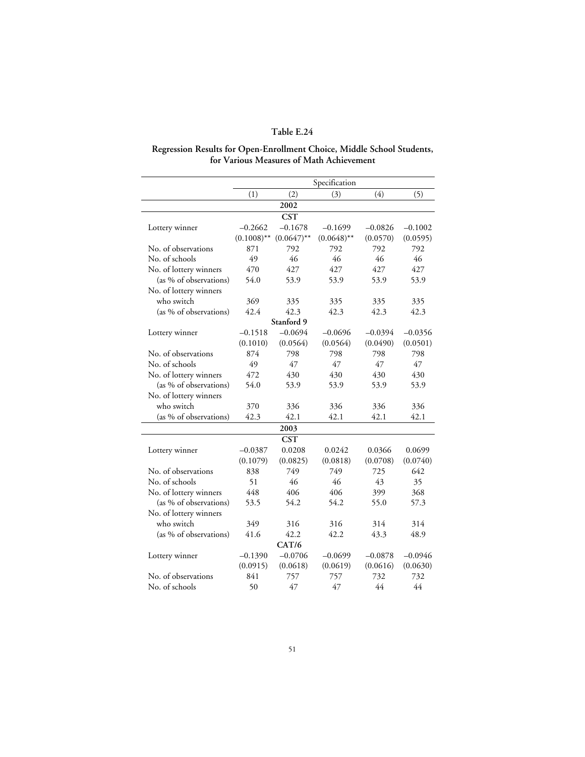#### **Regression Results for Open-Enrollment Choice, Middle School Students, for Various Measures of Math Achievement**

|                        | Specification |               |               |           |           |
|------------------------|---------------|---------------|---------------|-----------|-----------|
|                        | (1)           | (2)           | (3)           | (4)       | (5)       |
|                        |               | 2002          |               |           |           |
|                        |               | <b>CST</b>    |               |           |           |
| Lottery winner         | $-0.2662$     | $-0.1678$     | $-0.1699$     | $-0.0826$ | $-0.1002$ |
|                        | $(0.1008)$ ** | $(0.0647)$ ** | $(0.0648)$ ** | (0.0570)  | (0.0595)  |
| No. of observations    | 871           | 792           | 792           | 792       | 792       |
| No. of schools         | 49            | 46            | 46            | 46        | 46        |
| No. of lottery winners | 470           | 427           | 427           | 427       | 427       |
| (as % of observations) | 54.0          | 53.9          | 53.9          | 53.9      | 53.9      |
| No. of lottery winners |               |               |               |           |           |
| who switch             | 369           | 335           | 335           | 335       | 335       |
| (as % of observations) | 42.4          | 42.3          | 42.3          | 42.3      | 42.3      |
|                        |               | Stanford 9    |               |           |           |
| Lottery winner         | $-0.1518$     | $-0.0694$     | $-0.0696$     | $-0.0394$ | $-0.0356$ |
|                        | (0.1010)      | (0.0564)      | (0.0564)      | (0.0490)  | (0.0501)  |
| No. of observations    | 874           | 798           | 798           | 798       | 798       |
| No. of schools         | 49            | 47            | 47            | 47        | 47        |
| No. of lottery winners | 472           | 430           | 430           | 430       | 430       |
| (as % of observations) | 54.0          | 53.9          | 53.9          | 53.9      | 53.9      |
| No. of lottery winners |               |               |               |           |           |
| who switch             | 370           | 336           | 336           | 336       | 336       |
| (as % of observations) | 42.3          | 42.1          | 42.1          | 42.1      | 42.1      |
|                        |               | 2003          |               |           |           |
|                        |               | <b>CST</b>    |               |           |           |
| Lottery winner         | $-0.0387$     | 0.0208        | 0.0242        | 0.0366    | 0.0699    |
|                        | (0.1079)      | (0.0825)      | (0.0818)      | (0.0708)  | (0.0740)  |
| No. of observations    | 838           | 749           | 749           | 725       | 642       |
| No. of schools         | 51            | 46            | 46            | 43        | 35        |
| No. of lottery winners | 448           | 406           | 406           | 399       | 368       |
| (as % of observations) | 53.5          | 54.2          | 54.2          | 55.0      | 57.3      |
| No. of lottery winners |               |               |               |           |           |
| who switch             | 349           | 316           | 316           | 314       | 314       |
| (as % of observations) | 41.6          | 42.2          | 42.2          | 43.3      | 48.9      |
|                        |               | CAT/6         |               |           |           |
| Lottery winner         | $-0.1390$     | $-0.0706$     | $-0.0699$     | $-0.0878$ | $-0.0946$ |
|                        | (0.0915)      | (0.0618)      | (0.0619)      | (0.0616)  | (0.0630)  |
| No. of observations    | 841           | 757           | 757           | 732       | 732       |
| No. of schools         | 50            | 47            | 47            | 44        | 44        |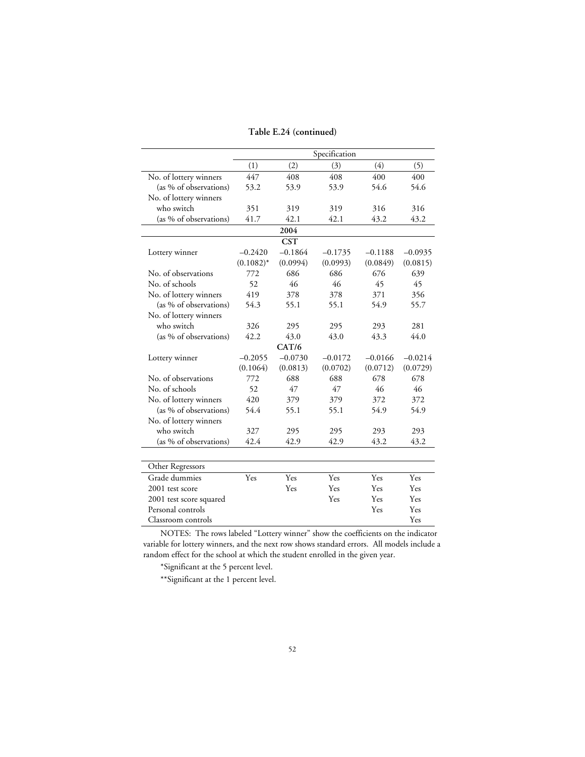|  | Table E.24 (continued) |
|--|------------------------|
|--|------------------------|

|                         |              |            | Specification |           |           |
|-------------------------|--------------|------------|---------------|-----------|-----------|
|                         |              |            |               |           |           |
|                         | (1)          | (2)        | (3)           | (4)       | (5)       |
| No. of lottery winners  | 447          | 408        | 408           | 400       | 400       |
| (as % of observations)  | 53.2         | 53.9       | 53.9          | 54.6      | 54.6      |
| No. of lottery winners  |              |            |               |           |           |
| who switch              | 351          | 319        | 319           | 316       | 316       |
| (as % of observations)  | 41.7         | 42.1       | 42.1          | 43.2      | 43.2      |
|                         |              | 2004       |               |           |           |
|                         |              | <b>CST</b> |               |           |           |
| Lottery winner          | $-0.2420$    | $-0.1864$  | $-0.1735$     | $-0.1188$ | $-0.0935$ |
|                         | $(0.1082)^*$ | (0.0994)   | (0.0993)      | (0.0849)  | (0.0815)  |
| No. of observations     | 772          | 686        | 686           | 676       | 639       |
| No. of schools          | 52           | 46         | 46            | 45        | 45        |
| No. of lottery winners  | 419          | 378        | 378           | 371       | 356       |
| (as % of observations)  | 54.3         | 55.1       | 55.1          | 54.9      | 55.7      |
| No. of lottery winners  |              |            |               |           |           |
| who switch              | 326          | 295        | 295           | 293       | 281       |
| (as % of observations)  | 42.2         | 43.0       | 43.0          | 43.3      | 44.0      |
|                         |              | CAT/6      |               |           |           |
| Lottery winner          | $-0.2055$    | $-0.0730$  | $-0.0172$     | $-0.0166$ | $-0.0214$ |
|                         | (0.1064)     | (0.0813)   | (0.0702)      | (0.0712)  | (0.0729)  |
| No. of observations     | 772          | 688        | 688           | 678       | 678       |
| No. of schools          | 52           | 47         | 47            | 46        | 46        |
| No. of lottery winners  | 420          | 379        | 379           | 372       | 372       |
| (as % of observations)  | 54.4         | 55.1       | 55.1          | 54.9      | 54.9      |
| No. of lottery winners  |              |            |               |           |           |
| who switch              | 327          | 295        | 295           | 293       | 293       |
| (as % of observations)  | 42.4         | 42.9       | 42.9          | 43.2      | 43.2      |
|                         |              |            |               |           |           |
| Other Regressors        |              |            |               |           |           |
| Grade dummies           | Yes          | Yes        | Yes           | Yes       | Yes       |
| 2001 test score         |              | Yes        | Yes           | Yes       | Yes       |
| 2001 test score squared |              |            | Yes           | Yes       | Yes       |
| Personal controls       |              |            |               | Yes       | Yes       |
| Classroom controls      |              |            |               |           | Yes       |

\*Significant at the 5 percent level.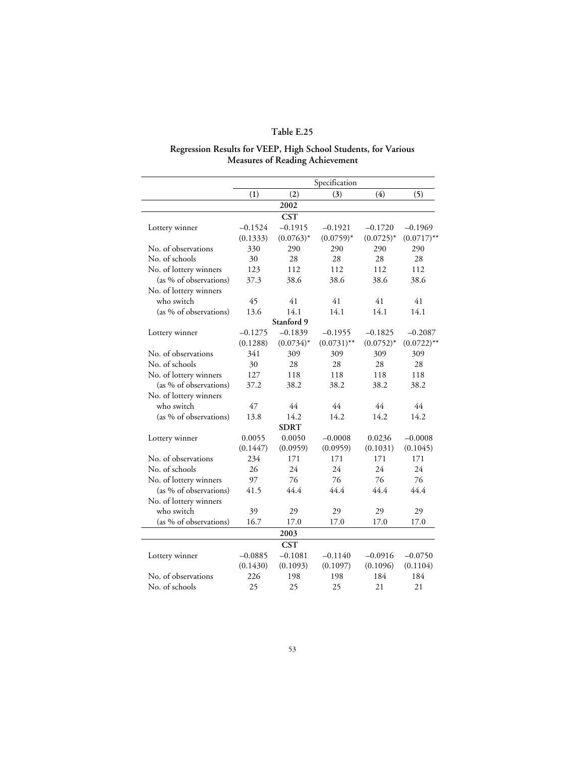#### **Regression Results for VEEP, High School Students, for Various Measures of Reading Achievement**

|                        | Specification |              |               |              |               |
|------------------------|---------------|--------------|---------------|--------------|---------------|
|                        | (1)           | (2)          | (3)           | (4)          | (5)           |
|                        |               | 2002         |               |              |               |
|                        |               | <b>CST</b>   |               |              |               |
| Lottery winner         | $-0.1524$     | $-0.1915$    | $-0.1921$     | $-0.1720$    | $-0.1969$     |
|                        | (0.1333)      | $(0.0763)^*$ | $(0.0759)*$   | $(0.0725)^*$ | $(0.0717)$ ** |
| No. of observations    | 330           | 290          | 290           | 290          | 290           |
| No. of schools         | 30            | 28           | 28            | 28           | 28            |
| No. of lottery winners | 123           | 112          | 112           | 112          | 112           |
| (as % of observations) | 37.3          | 38.6         | 38.6          | 38.6         | 38.6          |
| No. of lottery winners |               |              |               |              |               |
| who switch             | 45            | 41           | 41            | 41           | 41            |
| (as % of observations) | 13.6          | 14.1         | 14.1          | 14.1         | 14.1          |
|                        |               | Stanford 9   |               |              |               |
| Lottery winner         | $-0.1275$     | $-0.1839$    | $-0.1955$     | $-0.1825$    | $-0.2087$     |
|                        | (0.1288)      | $(0.0734)^*$ | $(0.0731)$ ** | $(0.0752)^*$ | $(0.0722)$ ** |
| No. of observations    | 341           | 309          | 309           | 309          | 309           |
| No. of schools         | 30            | 28           | 28            | 28           | 28            |
| No. of lottery winners | 127           | 118          | 118           | 118          | 118           |
| (as % of observations) | 37.2          | 38.2         | 38.2          | 38.2         | 38.2          |
| No. of lottery winners |               |              |               |              |               |
| who switch             | 47            | 44           | 44            | 44           | 44            |
| (as % of observations) | 13.8          | 14.2         | 14.2          | 14.2         | 14.2          |
|                        |               | <b>SDRT</b>  |               |              |               |
| Lottery winner         | 0.0055        | 0.0050       | $-0.0008$     | 0.0236       | $-0.0008$     |
|                        | (0.1447)      | (0.0959)     | (0.0959)      | (0.1031)     | (0.1045)      |
| No. of observations    | 234           | 171          | 171           | 171          | 171           |
| No. of schools         | 26            | 24           | 24            | 24           | 24            |
| No. of lottery winners | 97            | 76           | 76            | 76           | 76            |
| (as % of observations) | 41.5          | 44.4         | 44.4          | 44.4         | 44.4          |
| No. of lottery winners |               |              |               |              |               |
| who switch             | 39            | 29           | 29            | 29           | 29            |
| (as % of observations) | 16.7          | 17.0         | 17.0          | 17.0         | 17.0          |
|                        |               | 2003         |               |              |               |
|                        |               | <b>CST</b>   |               |              |               |
| Lottery winner         | $-0.0885$     | $-0.1081$    | $-0.1140$     | $-0.0916$    | $-0.0750$     |
|                        | (0.1430)      | (0.1093)     | (0.1097)      | (0.1096)     | (0.1104)      |
| No. of observations    | 226           | 198          | 198           | 184          | 184           |
| No. of schools         | 25            | 25           | 25            | 21           | 21            |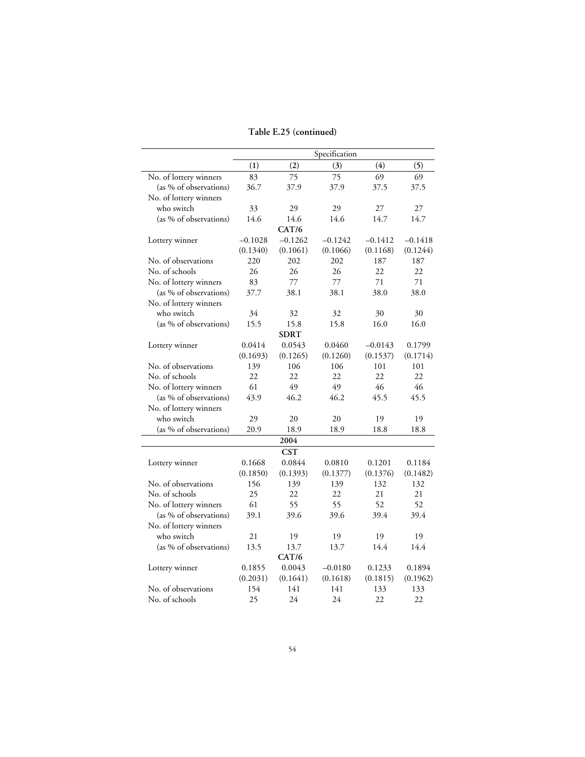### **Table E.25 (continued)**

|                        |           |             | Specification |           |           |
|------------------------|-----------|-------------|---------------|-----------|-----------|
|                        | (1)       | (2)         | (3)           | (4)       | (5)       |
| No. of lottery winners | 83        | 75          | 75            | 69        | 69        |
| (as % of observations) | 36.7      | 37.9        | 37.9          | 37.5      | 37.5      |
| No. of lottery winners |           |             |               |           |           |
| who switch             | 33        | 29          | 29            | 27        | 27        |
| (as % of observations) | 14.6      | 14.6        | 14.6          | 14.7      | 14.7      |
|                        |           | CAT/6       |               |           |           |
| Lottery winner         | $-0.1028$ | $-0.1262$   | $-0.1242$     | $-0.1412$ | $-0.1418$ |
|                        | (0.1340)  | (0.1061)    | (0.1066)      | (0.1168)  | (0.1244)  |
| No. of observations    | 220       | 202         | 202           | 187       | 187       |
| No. of schools         | 26        | 26          | 26            | 22        | 22        |
| No. of lottery winners | 83        | 77          | 77            | 71        | 71        |
| (as % of observations) | 37.7      | 38.1        | 38.1          | 38.0      | 38.0      |
| No. of lottery winners |           |             |               |           |           |
| who switch             | 34        | 32          | 32            | 30        | 30        |
| (as % of observations) | 15.5      | 15.8        | 15.8          | 16.0      | 16.0      |
|                        |           | <b>SDRT</b> |               |           |           |
| Lottery winner         | 0.0414    | 0.0543      | 0.0460        | $-0.0143$ | 0.1799    |
|                        | (0.1693)  | (0.1265)    | (0.1260)      | (0.1537)  | (0.1714)  |
| No. of observations    | 139       | 106         | 106           | 101       | 101       |
| No. of schools         | 22        | 22          | 22            | 22        | 22        |
| No. of lottery winners | 61        | 49          | 49            | 46        | 46        |
| (as % of observations) | 43.9      | 46.2        | 46.2          | 45.5      | 45.5      |
| No. of lottery winners |           |             |               |           |           |
| who switch             | 29        | 20          | 20            | 19        | 19        |
| (as % of observations) | 20.9      | 18.9        | 18.9          | 18.8      | 18.8      |
|                        |           | 2004        |               |           |           |
|                        |           | <b>CST</b>  |               |           |           |
| Lottery winner         | 0.1668    | 0.0844      | 0.0810        | 0.1201    | 0.1184    |
|                        | (0.1850)  | (0.1393)    | (0.1377)      | (0.1376)  | (0.1482)  |
| No. of observations    | 156       | 139         | 139           | 132       | 132       |
| No. of schools         | 25        | 22          | 22            | 21        | 21        |
| No. of lottery winners | 61        | 55          | 55            | 52        | 52        |
| (as % of observations) | 39.1      | 39.6        | 39.6          | 39.4      | 39.4      |
| No. of lottery winners |           |             |               |           |           |
| who switch             | 21        | 19          | 19            | 19        | 19        |
| (as % of observations) | 13.5      | 13.7        | 13.7          | 14.4      | 14.4      |
|                        |           | CAT/6       |               |           |           |
| Lottery winner         | 0.1855    | 0.0043      | $-0.0180$     | 0.1233    | 0.1894    |
|                        | (0.2031)  | (0.1641)    | (0.1618)      | (0.1815)  | (0.1962)  |
| No. of observations    | 154       | 141         | 141           | 133       | 133       |
| No. of schools         | 25        | 24          | 24            | 22        | 22        |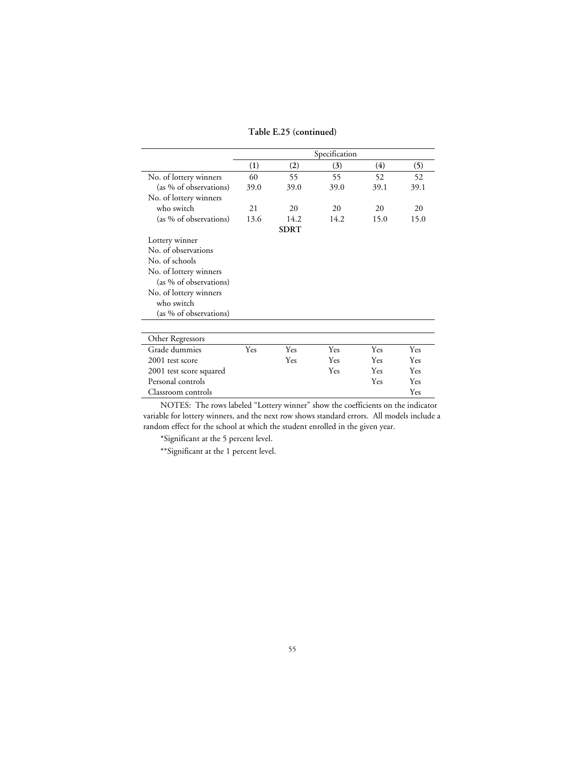**Table E.25 (continued)**

|                         | Specification |             |      |      |      |  |
|-------------------------|---------------|-------------|------|------|------|--|
|                         | (1)           | (2)         | (3)  | (4)  | (5)  |  |
| No. of lottery winners  | 60            | 55          | 55   | 52   | 52   |  |
| (as % of observations)  | 39.0          | 39.0        | 39.0 | 39.1 | 39.1 |  |
| No. of lottery winners  |               |             |      |      |      |  |
| who switch              | 21            | 20          | 20   | 20   | 20   |  |
| (as % of observations)  | 13.6          | 14.2        | 14.2 | 15.0 | 15.0 |  |
|                         |               | <b>SDRT</b> |      |      |      |  |
| Lottery winner          |               |             |      |      |      |  |
| No. of observations     |               |             |      |      |      |  |
| No. of schools          |               |             |      |      |      |  |
| No. of lottery winners  |               |             |      |      |      |  |
| (as % of observations)  |               |             |      |      |      |  |
| No. of lottery winners  |               |             |      |      |      |  |
| who switch              |               |             |      |      |      |  |
| (as % of observations)  |               |             |      |      |      |  |
|                         |               |             |      |      |      |  |
| Other Regressors        |               |             |      |      |      |  |
| Grade dummies           | Yes           | Yes         | Yes  | Yes  | Yes  |  |
| 2001 test score         |               | Yes         | Yes  | Yes  | Yes  |  |
| 2001 test score squared |               |             | Yes  | Yes  | Yes  |  |
| Personal controls       |               |             |      | Yes  | Yes  |  |
| Classroom controls      |               |             |      |      | Yes  |  |

\*Significant at the 5 percent level.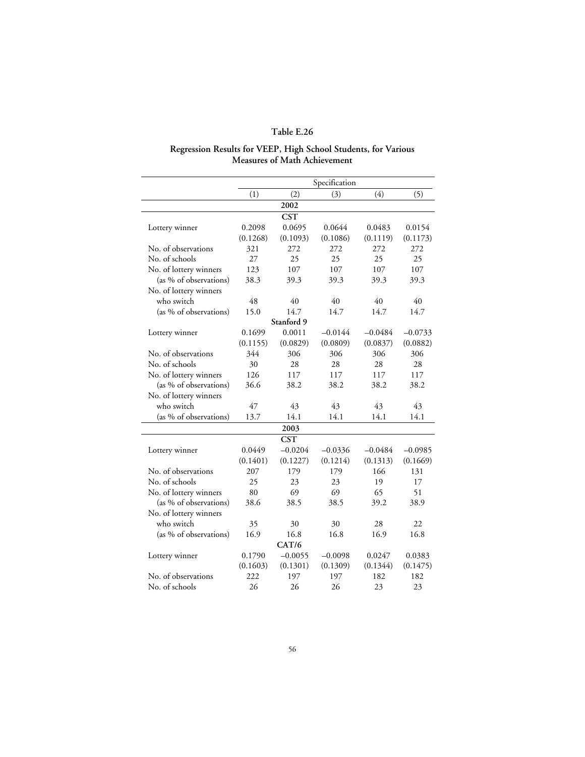#### **Regression Results for VEEP, High School Students, for Various Measures of Math Achievement**

|                        |          |            | Specification |           |           |
|------------------------|----------|------------|---------------|-----------|-----------|
|                        | (1)      | (2)        | (3)           | (4)       | (5)       |
|                        |          | 2002       |               |           |           |
|                        |          | <b>CST</b> |               |           |           |
| Lottery winner         | 0.2098   | 0.0695     | 0.0644        | 0.0483    | 0.0154    |
|                        | (0.1268) | (0.1093)   | (0.1086)      | (0.1119)  | (0.1173)  |
| No. of observations    | 321      | 272        | 272           | 272       | 272       |
| No. of schools         | 27       | 25         | 25            | 25        | 25        |
| No. of lottery winners | 123      | 107        | 107           | 107       | 107       |
| (as % of observations) | 38.3     | 39.3       | 39.3          | 39.3      | 39.3      |
| No. of lottery winners |          |            |               |           |           |
| who switch             | 48       | 40         | 40            | 40        | 40        |
| (as % of observations) | 15.0     | 14.7       | 14.7          | 14.7      | 14.7      |
|                        |          | Stanford 9 |               |           |           |
| Lottery winner         | 0.1699   | 0.0011     | $-0.0144$     | $-0.0484$ | $-0.0733$ |
|                        | (0.1155) | (0.0829)   | (0.0809)      | (0.0837)  | (0.0882)  |
| No. of observations    | 344      | 306        | 306           | 306       | 306       |
| No. of schools         | 30       | 28         | 28            | 28        | 28        |
| No. of lottery winners | 126      | 117        | 117           | 117       | 117       |
| (as % of observations) | 36.6     | 38.2       | 38.2          | 38.2      | 38.2      |
| No. of lottery winners |          |            |               |           |           |
| who switch             | 47       | 43         | 43            | 43        | 43        |
| (as % of observations) | 13.7     | 14.1       | 14.1          | 14.1      | 14.1      |
|                        |          | 2003       |               |           |           |
|                        |          | <b>CST</b> |               |           |           |
| Lottery winner         | 0.0449   | $-0.0204$  | $-0.0336$     | $-0.0484$ | $-0.0985$ |
|                        | (0.1401) | (0.1227)   | (0.1214)      | (0.1313)  | (0.1669)  |
| No. of observations    | 207      | 179        | 179           | 166       | 131       |
| No. of schools         | 25       | 23         | 23            | 19        | 17        |
| No. of lottery winners | 80       | 69         | 69            | 65        | 51        |
| (as % of observations) | 38.6     | 38.5       | 38.5          | 39.2      | 38.9      |
| No. of lottery winners |          |            |               |           |           |
| who switch             | 35       | 30         | 30            | 28        | 22        |
| (as % of observations) | 16.9     | 16.8       | 16.8          | 16.9      | 16.8      |
|                        |          | CAT/6      |               |           |           |
| Lottery winner         | 0.1790   | $-0.0055$  | $-0.0098$     | 0.0247    | 0.0383    |
|                        | (0.1603) | (0.1301)   | (0.1309)      | (0.1344)  | (0.1475)  |
| No. of observations    | 222      | 197        | 197           | 182       | 182       |
| No. of schools         | 26       | 26         | 26            | 23        | 23        |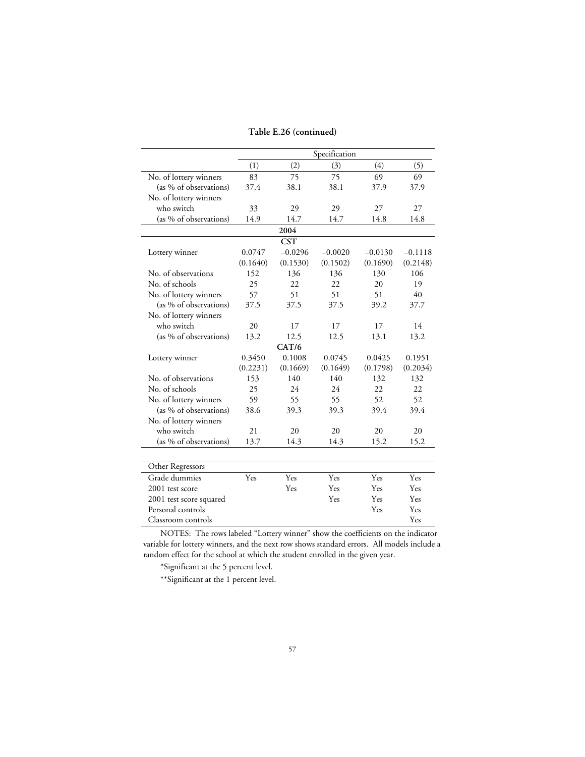|                         | Specification |            |           |           |           |
|-------------------------|---------------|------------|-----------|-----------|-----------|
|                         | (1)           | (2)        | (3)       | (4)       | (5)       |
| No. of lottery winners  | 83            | 75         | 75        | 69        | 69        |
| (as % of observations)  | 37.4          | 38.1       | 38.1      | 37.9      | 37.9      |
| No. of lottery winners  |               |            |           |           |           |
| who switch              | 33            | 29         | 29        | 27        | 27        |
| (as % of observations)  | 14.9          | 14.7       | 14.7      | 14.8      | 14.8      |
|                         |               | 2004       |           |           |           |
|                         |               | <b>CST</b> |           |           |           |
| Lottery winner          | 0.0747        | $-0.0296$  | $-0.0020$ | $-0.0130$ | $-0.1118$ |
|                         | (0.1640)      | (0.1530)   | (0.1502)  | (0.1690)  | (0.2148)  |
| No. of observations     | 152           | 136        | 136       | 130       | 106       |
| No. of schools          | 25            | 22         | 22        | 20        | 19        |
| No. of lottery winners  | 57            | 51         | 51        | 51        | 40        |
| (as % of observations)  | 37.5          | 37.5       | 37.5      | 39.2      | 37.7      |
| No. of lottery winners  |               |            |           |           |           |
| who switch              | 20            | 17         | 17        | 17        | 14        |
| (as % of observations)  | 13.2          | 12.5       | 12.5      | 13.1      | 13.2      |
|                         |               | CAT/6      |           |           |           |
| Lottery winner          | 0.3450        | 0.1008     | 0.0745    | 0.0425    | 0.1951    |
|                         | (0.2231)      | (0.1669)   | (0.1649)  | (0.1798)  | (0.2034)  |
| No. of observations     | 153           | 140        | 140       | 132       | 132       |
| No. of schools          | 25            | 24         | 24        | 22        | 22        |
| No. of lottery winners  | 59            | 55         | 55        | 52        | 52        |
| (as % of observations)  | 38.6          | 39.3       | 39.3      | 39.4      | 39.4      |
| No. of lottery winners  |               |            |           |           |           |
| who switch              | 21            | 20         | 20        | 20        | 20        |
| (as % of observations)  | 13.7          | 14.3       | 14.3      | 15.2      | 15.2      |
|                         |               |            |           |           |           |
| Other Regressors        |               |            |           |           |           |
| Grade dummies           | Yes           | Yes        | Yes       | Yes       | Yes       |
| 2001 test score         |               | Yes        | Yes       | Yes       | Yes       |
| 2001 test score squared |               |            | Yes       | Yes       | Yes       |
| Personal controls       |               |            |           | Yes       | Yes       |
| Classroom controls      |               |            |           |           | Yes       |

\*Significant at the 5 percent level.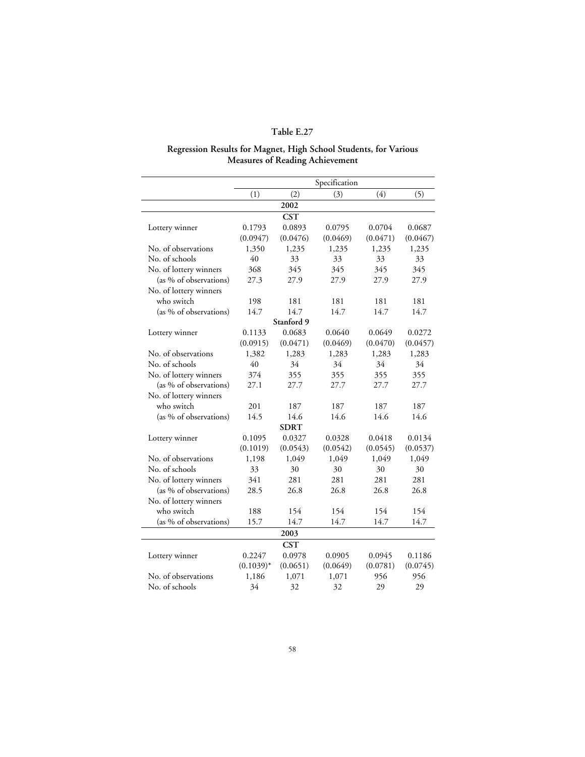#### **Regression Results for Magnet, High School Students, for Various Measures of Reading Achievement**

|                        |              |             | Specification |          |          |
|------------------------|--------------|-------------|---------------|----------|----------|
|                        | (1)          | (2)         | (3)           | (4)      | (5)      |
|                        |              | 2002        |               |          |          |
|                        |              | <b>CST</b>  |               |          |          |
| Lottery winner         | 0.1793       | 0.0893      | 0.0795        | 0.0704   | 0.0687   |
|                        | (0.0947)     | (0.0476)    | (0.0469)      | (0.0471) | (0.0467) |
| No. of observations    | 1,350        | 1,235       | 1,235         | 1,235    | 1,235    |
| No. of schools         | 40           | 33          | 33            | 33       | 33       |
| No. of lottery winners | 368          | 345         | 345           | 345      | 345      |
| (as % of observations) | 27.3         | 27.9        | 27.9          | 27.9     | 27.9     |
| No. of lottery winners |              |             |               |          |          |
| who switch             | 198          | 181         | 181           | 181      | 181      |
| (as % of observations) | 14.7         | 14.7        | 14.7          | 14.7     | 14.7     |
|                        |              | Stanford 9  |               |          |          |
| Lottery winner         | 0.1133       | 0.0683      | 0.0640        | 0.0649   | 0.0272   |
|                        | (0.0915)     | (0.0471)    | (0.0469)      | (0.0470) | (0.0457) |
| No. of observations    | 1,382        | 1,283       | 1,283         | 1,283    | 1,283    |
| No. of schools         | 40           | 34          | 34            | 34       | 34       |
| No. of lottery winners | 374          | 355         | 355           | 355      | 355      |
| (as % of observations) | 27.1         | 27.7        | 27.7          | 27.7     | 27.7     |
| No. of lottery winners |              |             |               |          |          |
| who switch             | 201          | 187         | 187           | 187      | 187      |
| (as % of observations) | 14.5         | 14.6        | 14.6          | 14.6     | 14.6     |
|                        |              | <b>SDRT</b> |               |          |          |
| Lottery winner         | 0.1095       | 0.0327      | 0.0328        | 0.0418   | 0.0134   |
|                        | (0.1019)     | (0.0543)    | (0.0542)      | (0.0545) | (0.0537) |
| No. of observations    | 1,198        | 1,049       | 1,049         | 1,049    | 1,049    |
| No. of schools         | 33           | 30          | 30            | 30       | 30       |
| No. of lottery winners | 341          | 281         | 281           | 281      | 281      |
| (as % of observations) | 28.5         | 26.8        | 26.8          | 26.8     | 26.8     |
| No. of lottery winners |              |             |               |          |          |
| who switch             | 188          | 154         | 154           | 154      | 154      |
| (as % of observations) | 15.7         | 14.7        | 14.7          | 14.7     | 14.7     |
|                        |              | 2003        |               |          |          |
|                        |              | <b>CST</b>  |               |          |          |
| Lottery winner         | 0.2247       | 0.0978      | 0.0905        | 0.0945   | 0.1186   |
|                        | $(0.1039)^*$ | (0.0651)    | (0.0649)      | (0.0781) | (0.0745) |
| No. of observations    | 1,186        | 1,071       | 1,071         | 956      | 956      |
| No. of schools         | 34           | 32          | 32            | 29       | 29       |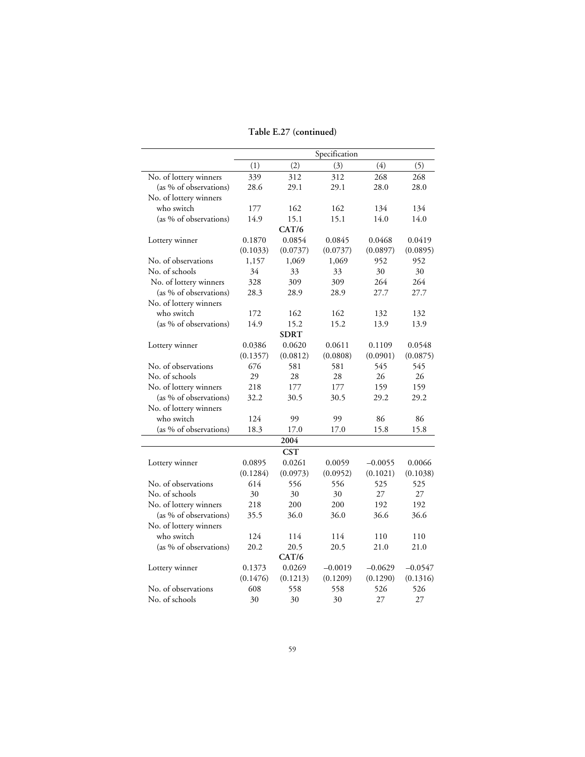### **Table E.27 (continued)**

|                        |          |             | Specification |           |           |
|------------------------|----------|-------------|---------------|-----------|-----------|
|                        | (1)      | (2)         | (3)           | (4)       | (5)       |
| No. of lottery winners | 339      | 312         | 312           | 268       | 268       |
| (as % of observations) | 28.6     | 29.1        | 29.1          | 28.0      | 28.0      |
| No. of lottery winners |          |             |               |           |           |
| who switch             | 177      | 162         | 162           | 134       | 134       |
| (as % of observations) | 14.9     | 15.1        | 15.1          | 14.0      | 14.0      |
|                        |          | CAT/6       |               |           |           |
| Lottery winner         | 0.1870   | 0.0854      | 0.0845        | 0.0468    | 0.0419    |
|                        | (0.1033) | (0.0737)    | (0.0737)      | (0.0897)  | (0.0895)  |
| No. of observations    | 1,157    | 1,069       | 1,069         | 952       | 952       |
| No. of schools         | 34       | 33          | 33            | 30        | 30        |
| No. of lottery winners | 328      | 309         | 309           | 264       | 264       |
| (as % of observations) | 28.3     | 28.9        | 28.9          | 27.7      | 27.7      |
| No. of lottery winners |          |             |               |           |           |
| who switch             | 172      | 162         | 162           | 132       | 132       |
| (as % of observations) | 14.9     | 15.2        | 15.2          | 13.9      | 13.9      |
|                        |          | <b>SDRT</b> |               |           |           |
| Lottery winner         | 0.0386   | 0.0620      | 0.0611        | 0.1109    | 0.0548    |
|                        | (0.1357) | (0.0812)    | (0.0808)      | (0.0901)  | (0.0875)  |
| No. of observations    | 676      | 581         | 581           | 545       | 545       |
| No. of schools         | 29       | 28          | 28            | 26        | 26        |
| No. of lottery winners | 218      | 177         | 177           | 159       | 159       |
| (as % of observations) | 32.2     | 30.5        | 30.5          | 29.2      | 29.2      |
| No. of lottery winners |          |             |               |           |           |
| who switch             | 124      | 99          | 99            | 86        | 86        |
| (as % of observations) | 18.3     | 17.0        | 17.0          | 15.8      | 15.8      |
|                        |          | 2004        |               |           |           |
|                        |          | <b>CST</b>  |               |           |           |
| Lottery winner         | 0.0895   | 0.0261      | 0.0059        | $-0.0055$ | 0.0066    |
|                        | (0.1284) | (0.0973)    | (0.0952)      | (0.1021)  | (0.1038)  |
| No. of observations    | 614      | 556         | 556           | 525       | 525       |
| No. of schools         | 30       | 30          | 30            | 27        | 27        |
| No. of lottery winners | 218      | 200         | 200           | 192       | 192       |
| (as % of observations) | 35.5     | 36.0        | 36.0          | 36.6      | 36.6      |
| No. of lottery winners |          |             |               |           |           |
| who switch             | 124      | 114         | 114           | 110       | 110       |
| (as % of observations) | 20.2     | 20.5        | 20.5          | 21.0      | 21.0      |
|                        |          | CAT/6       |               |           |           |
| Lottery winner         | 0.1373   | 0.0269      | $-0.0019$     | $-0.0629$ | $-0.0547$ |
|                        | (0.1476) | (0.1213)    | (0.1209)      | (0.1290)  | (0.1316)  |
| No. of observations    | 608      | 558         | 558           | 526       | 526       |
| No. of schools         | 30       | 30          | 30            | 27        | 27        |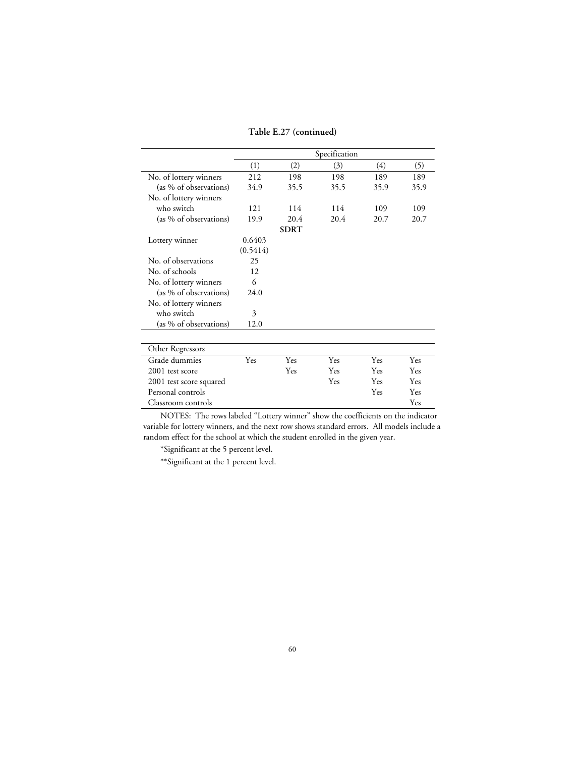**Table E.27 (continued)**

|                         | Specification |             |      |      |      |
|-------------------------|---------------|-------------|------|------|------|
|                         | (1)           | (2)         | (3)  | (4)  | (5)  |
| No. of lottery winners  | 212           | 198         | 198  | 189  | 189  |
| (as % of observations)  | 34.9          | 35.5        | 35.5 | 35.9 | 35.9 |
| No. of lottery winners  |               |             |      |      |      |
| who switch              | 121           | 114         | 114  | 109  | 109  |
| (as % of observations)  | 19.9          | 20.4        | 20.4 | 20.7 | 20.7 |
|                         |               | <b>SDRT</b> |      |      |      |
| Lottery winner          | 0.6403        |             |      |      |      |
|                         | (0.5414)      |             |      |      |      |
| No. of observations     | 25            |             |      |      |      |
| No. of schools          | 12            |             |      |      |      |
| No. of lottery winners  | 6             |             |      |      |      |
| (as % of observations)  | 24.0          |             |      |      |      |
| No. of lottery winners  |               |             |      |      |      |
| who switch              | 3             |             |      |      |      |
| (as % of observations)  | 12.0          |             |      |      |      |
| Other Regressors        |               |             |      |      |      |
| Grade dummies           | Yes           | Yes         | Yes  | Yes  | Yes  |
| 2001 test score         |               | Yes         | Yes  | Yes  | Yes  |
| 2001 test score squared |               |             | Yes  | Yes  | Yes  |
| Personal controls       |               |             |      | Yes  | Yes  |
| Classroom controls      |               |             |      |      | Yes  |

\*Significant at the 5 percent level.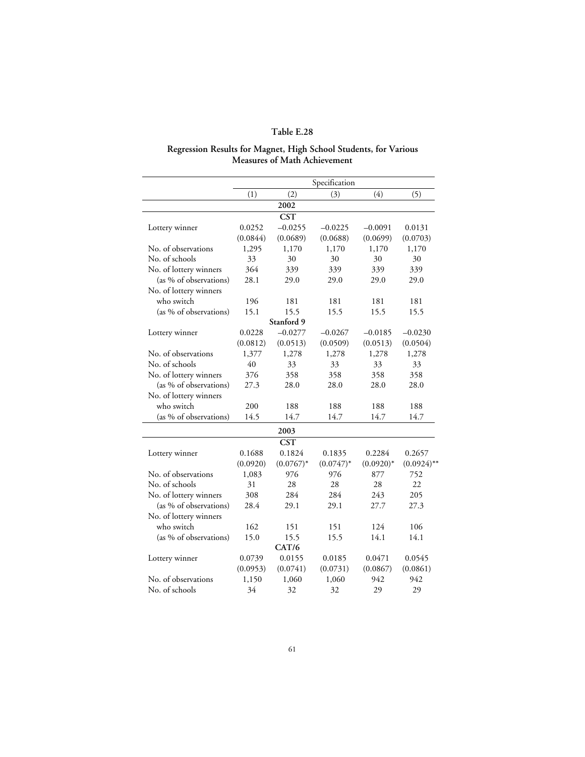#### **Regression Results for Magnet, High School Students, for Various Measures of Math Achievement**

|                        |          |              | Specification |             |               |
|------------------------|----------|--------------|---------------|-------------|---------------|
|                        | (1)      | (2)          | (3)           | (4)         | (5)           |
|                        |          | 2002         |               |             |               |
|                        |          | <b>CST</b>   |               |             |               |
| Lottery winner         | 0.0252   | $-0.0255$    | $-0.0225$     | $-0.0091$   | 0.0131        |
|                        | (0.0844) | (0.0689)     | (0.0688)      | (0.0699)    | (0.0703)      |
| No. of observations    | 1,295    | 1,170        | 1,170         | 1,170       | 1,170         |
| No. of schools         | 33       | 30           | 30            | 30          | 30            |
| No. of lottery winners | 364      | 339          | 339           | 339         | 339           |
| (as % of observations) | 28.1     | 29.0         | 29.0          | 29.0        | 29.0          |
| No. of lottery winners |          |              |               |             |               |
| who switch             | 196      | 181          | 181           | 181         | 181           |
| (as % of observations) | 15.1     | 15.5         | 15.5          | 15.5        | 15.5          |
|                        |          | Stanford 9   |               |             |               |
| Lottery winner         | 0.0228   | $-0.0277$    | $-0.0267$     | $-0.0185$   | $-0.0230$     |
|                        | (0.0812) | (0.0513)     | (0.0509)      | (0.0513)    | (0.0504)      |
| No. of observations    | 1,377    | 1,278        | 1,278         | 1,278       | 1,278         |
| No. of schools         | 40       | 33           | 33            | 33          | 33            |
| No. of lottery winners | 376      | 358          | 358           | 358         | 358           |
| (as % of observations) | 27.3     | 28.0         | 28.0          | 28.0        | 28.0          |
| No. of lottery winners |          |              |               |             |               |
| who switch             | 200      | 188          | 188           | 188         | 188           |
| (as % of observations) | 14.5     | 14.7         | 14.7          | 14.7        | 14.7          |
|                        |          | 2003         |               |             |               |
|                        |          | <b>CST</b>   |               |             |               |
| Lottery winner         | 0.1688   | 0.1824       | 0.1835        | 0.2284      | 0.2657        |
|                        | (0.0920) | $(0.0767)^*$ | $(0.0747)^*$  | $(0.0920)*$ | $(0.0924)$ ** |
| No. of observations    | 1,083    | 976          | 976           | 877         | 752           |
| No. of schools         | 31       | 28           | 28            | 28          | 22            |
| No. of lottery winners | 308      | 284          | 284           | 243         | 205           |
| (as % of observations) | 28.4     | 29.1         | 29.1          | 27.7        | 27.3          |
| No. of lottery winners |          |              |               |             |               |
| who switch             | 162      | 151          | 151           | 124         | 106           |
| (as % of observations) | 15.0     | 15.5         | 15.5          | 14.1        | 14.1          |
|                        |          | CAT/6        |               |             |               |
| Lottery winner         | 0.0739   | 0.0155       | 0.0185        | 0.0471      | 0.0545        |
|                        | (0.0953) | (0.0741)     | (0.0731)      | (0.0867)    | (0.0861)      |
| No. of observations    | 1,150    | 1,060        | 1,060         | 942         | 942           |
| No. of schools         | 34       | 32           | 32            | 29          | 29            |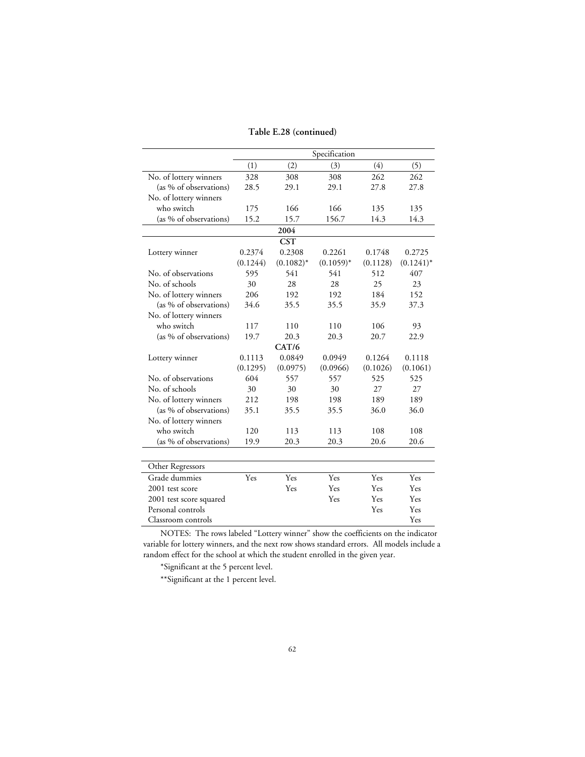|  | Table E.28 (continued) |
|--|------------------------|
|--|------------------------|

|                         |          |              | Specification |          |              |
|-------------------------|----------|--------------|---------------|----------|--------------|
|                         | (1)      | (2)          | (3)           | (4)      | (5)          |
| No. of lottery winners  | 328      | 308          | 308           | 262      | 262          |
| (as % of observations)  | 28.5     | 29.1         | 29.1          | 27.8     | 27.8         |
| No. of lottery winners  |          |              |               |          |              |
| who switch              | 175      | 166          | 166           | 135      | 135          |
| (as % of observations)  | 15.2     | 15.7         | 156.7         | 14.3     | 14.3         |
|                         |          | 2004         |               |          |              |
|                         |          | <b>CST</b>   |               |          |              |
| Lottery winner          | 0.2374   | 0.2308       | 0.2261        | 0.1748   | 0.2725       |
|                         | (0.1244) | $(0.1082)^*$ | $(0.1059)^*$  | (0.1128) | $(0.1241)^*$ |
| No. of observations     | 595      | 541          | 541           | 512      | 407          |
| No. of schools          | 30       | 28           | 28            | 25       | 23           |
| No. of lottery winners  | 206      | 192          | 192           | 184      | 152          |
| (as % of observations)  | 34.6     | 35.5         | 35.5          | 35.9     | 37.3         |
| No. of lottery winners  |          |              |               |          |              |
| who switch              | 117      | 110          | 110           | 106      | 93           |
| (as % of observations)  | 19.7     | 20.3         | 20.3          | 20.7     | 22.9         |
|                         |          | CAT/6        |               |          |              |
| Lottery winner          | 0.1113   | 0.0849       | 0.0949        | 0.1264   | 0.1118       |
|                         | (0.1295) | (0.0975)     | (0.0966)      | (0.1026) | (0.1061)     |
| No. of observations     | 604      | 557          | 557           | 525      | 525          |
| No. of schools          | 30       | 30           | 30            | 27       | 27           |
| No. of lottery winners  | 212      | 198          | 198           | 189      | 189          |
| (as % of observations)  | 35.1     | 35.5         | 35.5          | 36.0     | 36.0         |
| No. of lottery winners  |          |              |               |          |              |
| who switch              | 120      | 113          | 113           | 108      | 108          |
| (as % of observations)  | 19.9     | 20.3         | 20.3          | 20.6     | 20.6         |
|                         |          |              |               |          |              |
| Other Regressors        |          |              |               |          |              |
| Grade dummies           | Yes      | Yes          | Yes           | Yes      | Yes          |
| 2001 test score         |          | Yes          | Yes           | Yes      | Yes          |
| 2001 test score squared |          |              | Yes           | Yes      | Yes          |
| Personal controls       |          |              |               | Yes      | Yes          |
| Classroom controls      |          |              |               |          | Yes          |

\*Significant at the 5 percent level.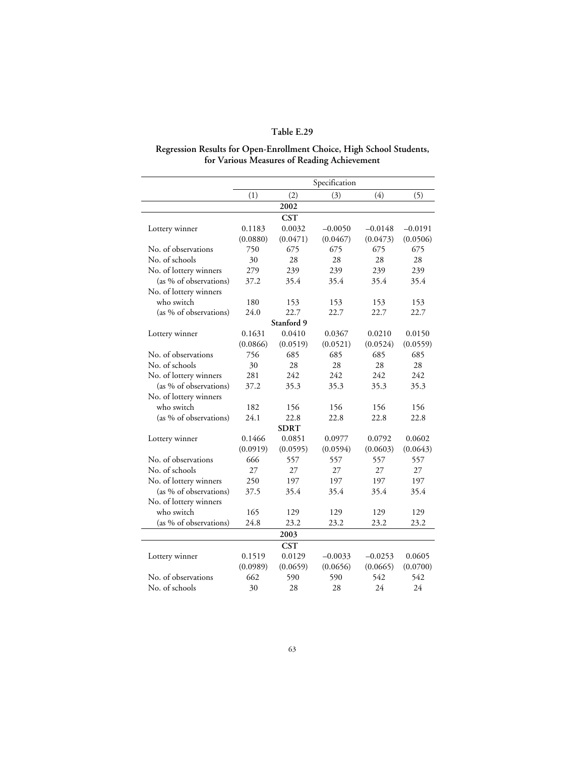#### **Regression Results for Open-Enrollment Choice, High School Students, for Various Measures of Reading Achievement**

|                        |          |             | Specification |           |           |
|------------------------|----------|-------------|---------------|-----------|-----------|
|                        | (1)      | (2)         | (3)           | (4)       | (5)       |
|                        |          | 2002        |               |           |           |
|                        |          | <b>CST</b>  |               |           |           |
| Lottery winner         | 0.1183   | 0.0032      | $-0.0050$     | $-0.0148$ | $-0.0191$ |
|                        | (0.0880) | (0.0471)    | (0.0467)      | (0.0473)  | (0.0506)  |
| No. of observations    | 750      | 675         | 675           | 675       | 675       |
| No. of schools         | 30       | 28          | 28            | 28        | 28        |
| No. of lottery winners | 279      | 239         | 239           | 239       | 239       |
| (as % of observations) | 37.2     | 35.4        | 35.4          | 35.4      | 35.4      |
| No. of lottery winners |          |             |               |           |           |
| who switch             | 180      | 153         | 153           | 153       | 153       |
| (as % of observations) | 24.0     | 22.7        | 22.7          | 22.7      | 22.7      |
|                        |          | Stanford 9  |               |           |           |
| Lottery winner         | 0.1631   | 0.0410      | 0.0367        | 0.0210    | 0.0150    |
|                        | (0.0866) | (0.0519)    | (0.0521)      | (0.0524)  | (0.0559)  |
| No. of observations    | 756      | 685         | 685           | 685       | 685       |
| No. of schools         | 30       | 28          | 28            | 28        | 28        |
| No. of lottery winners | 281      | 242         | 242           | 242       | 242       |
| (as % of observations) | 37.2     | 35.3        | 35.3          | 35.3      | 35.3      |
| No. of lottery winners |          |             |               |           |           |
| who switch             | 182      | 156         | 156           | 156       | 156       |
| (as % of observations) | 24.1     | 22.8        | 22.8          | 22.8      | 22.8      |
|                        |          | <b>SDRT</b> |               |           |           |
| Lottery winner         | 0.1466   | 0.0851      | 0.0977        | 0.0792    | 0.0602    |
|                        | (0.0919) | (0.0595)    | (0.0594)      | (0.0603)  | (0.0643)  |
| No. of observations    | 666      | 557         | 557           | 557       | 557       |
| No. of schools         | 27       | 27          | 27            | 27        | 27        |
| No. of lottery winners | 250      | 197         | 197           | 197       | 197       |
| (as % of observations) | 37.5     | 35.4        | 35.4          | 35.4      | 35.4      |
| No. of lottery winners |          |             |               |           |           |
| who switch             | 165      | 129         | 129           | 129       | 129       |
| (as % of observations) | 24.8     | 23.2        | 23.2          | 23.2      | 23.2      |
|                        |          | 2003        |               |           |           |
|                        |          | <b>CST</b>  |               |           |           |
| Lottery winner         | 0.1519   | 0.0129      | $-0.0033$     | $-0.0253$ | 0.0605    |
|                        | (0.0989) | (0.0659)    | (0.0656)      | (0.0665)  | (0.0700)  |
| No. of observations    | 662      | 590         | 590           | 542       | 542       |
| No. of schools         | 30       | 28          | 28            | 24        | 24        |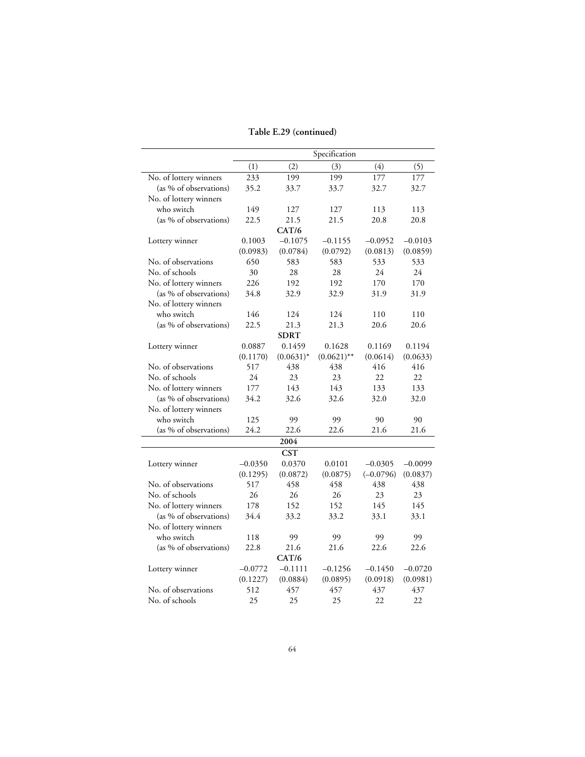### **Table E.29 (continued)**

|                        |           |              | Specification |             |           |
|------------------------|-----------|--------------|---------------|-------------|-----------|
|                        | (1)       | (2)          | (3)           | (4)         | (5)       |
| No. of lottery winners | 233       | 199          | 199           | 177         | 177       |
| (as % of observations) | 35.2      | 33.7         | 33.7          | 32.7        | 32.7      |
| No. of lottery winners |           |              |               |             |           |
| who switch             | 149       | 127          | 127           | 113         | 113       |
| (as % of observations) | 22.5      | 21.5         | 21.5          | 20.8        | 20.8      |
|                        |           | CAT/6        |               |             |           |
| Lottery winner         | 0.1003    | $-0.1075$    | $-0.1155$     | $-0.0952$   | $-0.0103$ |
|                        | (0.0983)  | (0.0784)     | (0.0792)      | (0.0813)    | (0.0859)  |
| No. of observations    | 650       | 583          | 583           | 533         | 533       |
| No. of schools         | 30        | 28           | 28            | 24          | 24        |
| No. of lottery winners | 226       | 192          | 192           | 170         | 170       |
| (as % of observations) | 34.8      | 32.9         | 32.9          | 31.9        | 31.9      |
| No. of lottery winners |           |              |               |             |           |
| who switch             | 146       | 124          | 124           | 110         | 110       |
| (as % of observations) | 22.5      | 21.3         | 21.3          | 20.6        | 20.6      |
|                        |           | <b>SDRT</b>  |               |             |           |
| Lottery winner         | 0.0887    | 0.1459       | 0.1628        | 0.1169      | 0.1194    |
|                        | (0.1170)  | $(0.0631)^*$ | $(0.0621)$ ** | (0.0614)    | (0.0633)  |
| No. of observations    | 517       | 438          | 438           | 416         | 416       |
| No. of schools         | 24        | 23           | 23            | 22          | 22        |
| No. of lottery winners | 177       | 143          | 143           | 133         | 133       |
| (as % of observations) | 34.2      | 32.6         | 32.6          | 32.0        | 32.0      |
| No. of lottery winners |           |              |               |             |           |
| who switch             | 125       | 99           | 99            | 90          | 90        |
| (as % of observations) | 24.2      | 22.6         | 22.6          | 21.6        | 21.6      |
|                        |           | 2004         |               |             |           |
|                        |           | <b>CST</b>   |               |             |           |
| Lottery winner         | $-0.0350$ | 0.0370       | 0.0101        | $-0.0305$   | $-0.0099$ |
|                        | (0.1295)  | (0.0872)     | (0.0875)      | $(-0.0796)$ | (0.0837)  |
| No. of observations    | 517       | 458          | 458           | 438         | 438       |
| No. of schools         | 26        | 26           | 26            | 23          | 23        |
| No. of lottery winners | 178       | 152          | 152           | 145         | 145       |
| (as % of observations) | 34.4      | 33.2         | 33.2          | 33.1        | 33.1      |
| No. of lottery winners |           |              |               |             |           |
| who switch             | 118       | 99           | 99            | 99          | 99        |
| (as % of observations) | 22.8      | 21.6         | 21.6          | 22.6        | 22.6      |
|                        |           | CAT/6        |               |             |           |
| Lottery winner         | $-0.0772$ | $-0.1111$    | $-0.1256$     | $-0.1450$   | $-0.0720$ |
|                        | (0.1227)  | (0.0884)     | (0.0895)      | (0.0918)    | (0.0981)  |
| No. of observations    | 512       | 457          | 457           | 437         | 437       |
| No. of schools         | 25        | 25           | 25            | 22          | 22        |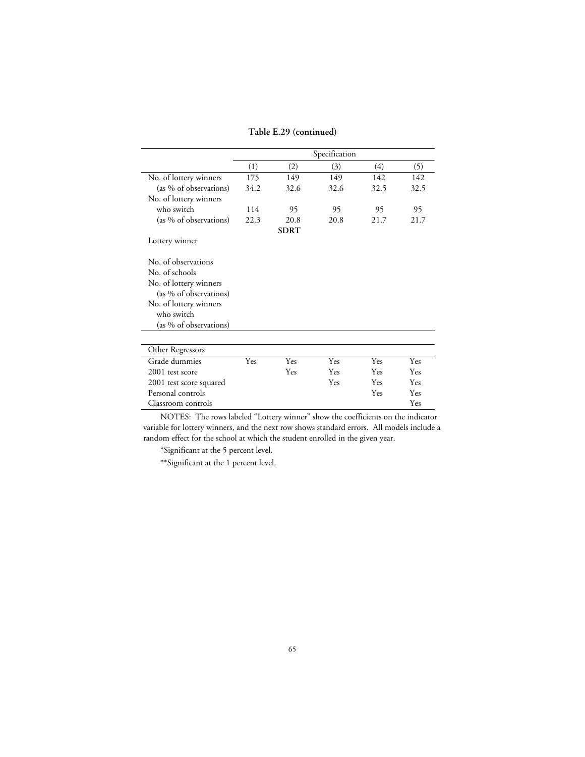#### **Table E.29 (continued)**

|                                              | Specification |             |      |      |      |  |  |
|----------------------------------------------|---------------|-------------|------|------|------|--|--|
|                                              | (1)           | (2)         | (3)  | (4)  | (5)  |  |  |
| No. of lottery winners                       | 175           | 149         | 149  | 142  | 142  |  |  |
| (as % of observations)                       | 34.2          | 32.6        | 32.6 | 32.5 | 32.5 |  |  |
| No. of lottery winners                       |               |             |      |      |      |  |  |
| who switch                                   | 114           | 95          | 95   | 95   | 95   |  |  |
| (as % of observations)                       | 22.3          | 20.8        | 20.8 | 21.7 | 21.7 |  |  |
|                                              |               | <b>SDRT</b> |      |      |      |  |  |
| Lottery winner                               |               |             |      |      |      |  |  |
| No. of observations                          |               |             |      |      |      |  |  |
| No. of schools                               |               |             |      |      |      |  |  |
| No. of lottery winners                       |               |             |      |      |      |  |  |
| (as % of observations)                       |               |             |      |      |      |  |  |
| No. of lottery winners                       |               |             |      |      |      |  |  |
| who switch                                   |               |             |      |      |      |  |  |
| (as % of observations)                       |               |             |      |      |      |  |  |
| Other Regressors                             |               |             |      |      |      |  |  |
| Grade dummies                                | Yes           | Yes         | Yes  | Yes  | Yes  |  |  |
| 2001 test score                              |               | Yes         | Yes  | Yes  | Yes  |  |  |
|                                              |               |             | Yes  | Yes  | Yes  |  |  |
| 2001 test score squared<br>Personal controls |               |             |      | Yes  | Yes  |  |  |
| Classroom controls                           |               |             |      |      | Yes  |  |  |
|                                              |               |             |      |      |      |  |  |

NOTES: The rows labeled "Lottery winner" show the coefficients on the indicator variable for lottery winners, and the next row shows standard errors. All models include a random effect for the school at which the student enrolled in the given year.

\*Significant at the 5 percent level.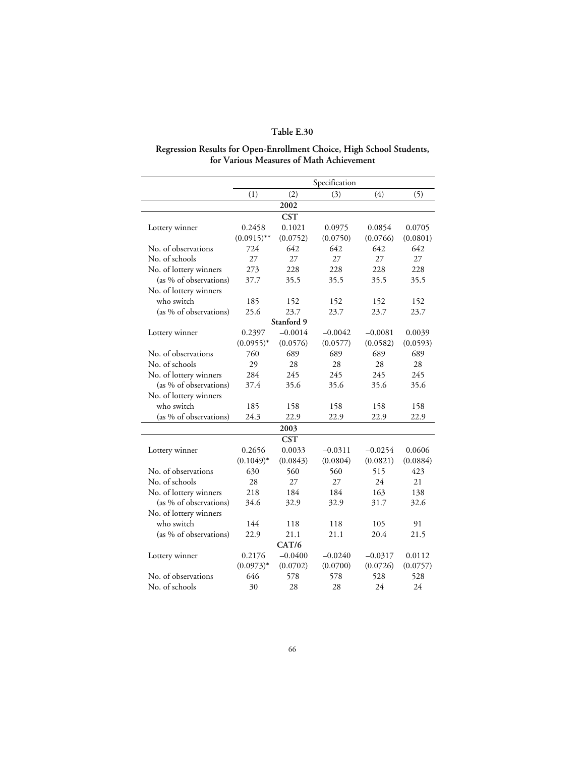#### **Regression Results for Open-Enrollment Choice, High School Students, for Various Measures of Math Achievement**

|                        | Specification |            |           |           |          |  |
|------------------------|---------------|------------|-----------|-----------|----------|--|
|                        | (1)           | (2)        | (3)       | (4)       | (5)      |  |
|                        |               | 2002       |           |           |          |  |
|                        |               | <b>CST</b> |           |           |          |  |
| Lottery winner         | 0.2458        | 0.1021     | 0.0975    | 0.0854    | 0.0705   |  |
|                        | $(0.0915)$ ** | (0.0752)   | (0.0750)  | (0.0766)  | (0.0801) |  |
| No. of observations    | 724           | 642        | 642       | 642       | 642      |  |
| No. of schools         | 27            | 27         | 27        | 27        | 27       |  |
| No. of lottery winners | 273           | 228        | 228       | 228       | 228      |  |
| (as % of observations) | 37.7          | 35.5       | 35.5      | 35.5      | 35.5     |  |
| No. of lottery winners |               |            |           |           |          |  |
| who switch             | 185           | 152        | 152       | 152       | 152      |  |
| (as % of observations) | 25.6          | 23.7       | 23.7      | 23.7      | 23.7     |  |
|                        |               | Stanford 9 |           |           |          |  |
| Lottery winner         | 0.2397        | $-0.0014$  | $-0.0042$ | $-0.0081$ | 0.0039   |  |
|                        | $(0.0955)^*$  | (0.0576)   | (0.0577)  | (0.0582)  | (0.0593) |  |
| No. of observations    | 760           | 689        | 689       | 689       | 689      |  |
| No. of schools         | 29            | 28         | 28        | 28        | 28       |  |
| No. of lottery winners | 284           | 245        | 245       | 245       | 245      |  |
| (as % of observations) | 37.4          | 35.6       | 35.6      | 35.6      | 35.6     |  |
| No. of lottery winners |               |            |           |           |          |  |
| who switch             | 185           | 158        | 158       | 158       | 158      |  |
| (as % of observations) | 24.3          | 22.9       | 22.9      | 22.9      | 22.9     |  |
|                        |               | 2003       |           |           |          |  |
|                        |               | <b>CST</b> |           |           |          |  |
| Lottery winner         | 0.2656        | 0.0033     | $-0.0311$ | $-0.0254$ | 0.0606   |  |
|                        | $(0.1049)^*$  | (0.0843)   | (0.0804)  | (0.0821)  | (0.0884) |  |
| No. of observations    | 630           | 560        | 560       | 515       | 423      |  |
| No. of schools         | 28            | 27         | 27        | 24        | 21       |  |
| No. of lottery winners | 218           | 184        | 184       | 163       | 138      |  |
| (as % of observations) | 34.6          | 32.9       | 32.9      | 31.7      | 32.6     |  |
| No. of lottery winners |               |            |           |           |          |  |
| who switch             | 144           | 118        | 118       | 105       | 91       |  |
| (as % of observations) | 22.9          | 21.1       | 21.1      | 20.4      | 21.5     |  |
|                        |               | CAT/6      |           |           |          |  |
| Lottery winner         | 0.2176        | $-0.0400$  | $-0.0240$ | $-0.0317$ | 0.0112   |  |
|                        | $(0.0973)^*$  | (0.0702)   | (0.0700)  | (0.0726)  | (0.0757) |  |
| No. of observations    | 646           | 578        | 578       | 528       | 528      |  |
| No. of schools         | 30            | 28         | 28        | 24        | 24       |  |